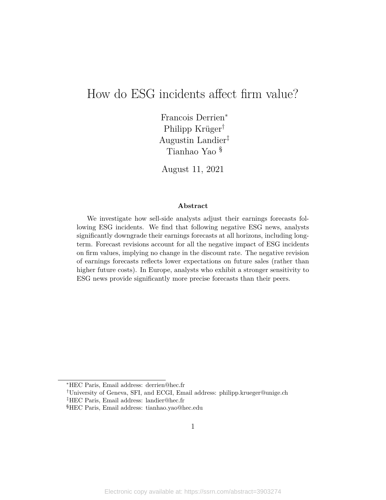# How do ESG incidents affect firm value?

Francois Derrien*<sup>∗</sup>* Philipp Krüger*†* Augustin Landier*‡* Tianhao Yao §

August 11, 2021

#### **Abstract**

We investigate how sell-side analysts adjust their earnings forecasts following ESG incidents. We find that following negative ESG news, analysts significantly downgrade their earnings forecasts at all horizons, including longterm. Forecast revisions account for all the negative impact of ESG incidents on firm values, implying no change in the discount rate. The negative revision of earnings forecasts reflects lower expectations on future sales (rather than higher future costs). In Europe, analysts who exhibit a stronger sensitivity to ESG news provide significantly more precise forecasts than their peers.

*<sup>∗</sup>*HEC Paris, Email address: derrien@hec.fr

*<sup>†</sup>*University of Geneva, SFI, and ECGI, Email address: philipp.krueger@unige.ch

*<sup>‡</sup>*HEC Paris, Email address: landier@hec.fr

<sup>§</sup>HEC Paris, Email address: tianhao.yao@hec.edu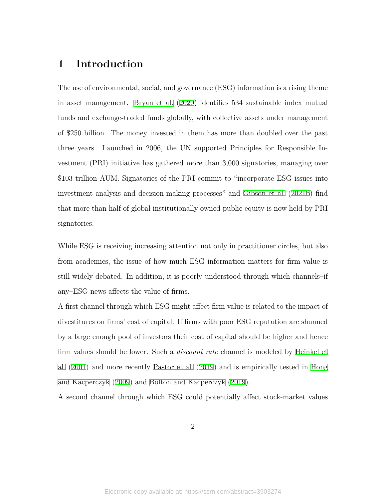# **1 Introduction**

The use of environmental, social, and governance (ESG) information is a rising theme in asset management. [Bryan et al.](#page-36-0) ([2020\)](#page-36-0) identifies 534 sustainable index mutual funds and exchange-traded funds globally, with collective assets under management of \$250 billion. The money invested in them has more than doubled over the past three years. Launched in 2006, the UN supported Principles for Responsible Investment (PRI) initiative has gathered more than 3,000 signatories, managing over \$103 trillion AUM. Signatories of the PRI commit to "incorporate ESG issues into investment analysis and decision-making processes" and [Gibson et al.](#page-37-0) ([2021b\)](#page-37-0) find that more than half of global institutionally owned public equity is now held by PRI signatories.

While ESG is receiving increasing attention not only in practitioner circles, but also from academics, the issue of how much ESG information matters for firm value is still widely debated. In addition, it is poorly understood through which channels–if any–ESG news affects the value of firms.

A first channel through which ESG might affect firm value is related to the impact of divestitures on firms' cost of capital. If firms with poor ESG reputation are shunned by a large enough pool of investors their cost of capital should be higher and hence firm values should be lower. Such a *discount rate* channel is modeled by [Heinkel et](#page-37-1) [al.](#page-37-1) [\(2001](#page-37-1)) and more recently [Pastor et al.](#page-38-0) ([2019](#page-38-0)) and is empirically tested in [Hong](#page-37-2) [and Kacperczyk](#page-37-2) ([2009\)](#page-37-2) and [Bolton and Kacperczyk](#page-36-1) [\(2019](#page-36-1)).

A second channel through which ESG could potentially affect stock-market values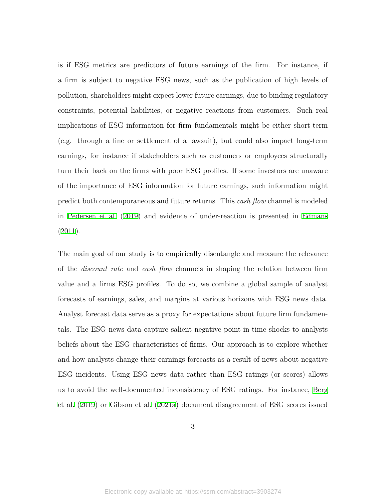is if ESG metrics are predictors of future earnings of the firm. For instance, if a firm is subject to negative ESG news, such as the publication of high levels of pollution, shareholders might expect lower future earnings, due to binding regulatory constraints, potential liabilities, or negative reactions from customers. Such real implications of ESG information for firm fundamentals might be either short-term (e.g. through a fine or settlement of a lawsuit), but could also impact long-term earnings, for instance if stakeholders such as customers or employees structurally turn their back on the firms with poor ESG profiles. If some investors are unaware of the importance of ESG information for future earnings, such information might predict both contemporaneous and future returns. This *cash flow* channel is modeled in [Pedersen et al.](#page-38-1) ([2019\)](#page-38-1) and evidence of under-reaction is presented in [Edmans](#page-36-2) [\(2011\)](#page-36-2).

The main goal of our study is to empirically disentangle and measure the relevance of the *discount rate* and *cash flow* channels in shaping the relation between firm value and a firms ESG profiles. To do so, we combine a global sample of analyst forecasts of earnings, sales, and margins at various horizons with ESG news data. Analyst forecast data serve as a proxy for expectations about future firm fundamentals. The ESG news data capture salient negative point-in-time shocks to analysts beliefs about the ESG characteristics of firms. Our approach is to explore whether and how analysts change their earnings forecasts as a result of news about negative ESG incidents. Using ESG news data rather than ESG ratings (or scores) allows us to avoid the well-documented inconsistency of ESG ratings. For instance, [Berg](#page-36-3) [et al.](#page-36-3) [\(2019\)](#page-36-3) or [Gibson et al.](#page-37-3) ([2021a](#page-37-3)) document disagreement of ESG scores issued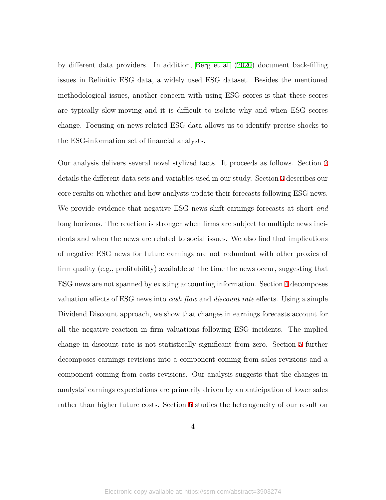by different data providers. In addition, [Berg et al.](#page-36-4) [\(2020](#page-36-4)) document back-filling issues in Refinitiv ESG data, a widely used ESG dataset. Besides the mentioned methodological issues, another concern with using ESG scores is that these scores are typically slow-moving and it is difficult to isolate why and when ESG scores change. Focusing on news-related ESG data allows us to identify precise shocks to the ESG-information set of financial analysts.

Our analysis delivers several novel stylized facts. It proceeds as follows. Section [2](#page-6-0) details the different data sets and variables used in our study. Section [3](#page-11-0) describes our core results on whether and how analysts update their forecasts following ESG news. We provide evidence that negative ESG news shift earnings forecasts at short *and* long horizons. The reaction is stronger when firms are subject to multiple news incidents and when the news are related to social issues. We also find that implications of negative ESG news for future earnings are not redundant with other proxies of firm quality (e.g., profitability) available at the time the news occur, suggesting that ESG news are not spanned by existing accounting information. Section [4](#page-18-0) decomposes valuation effects of ESG news into *cash flow* and *discount rate* effects. Using a simple Dividend Discount approach, we show that changes in earnings forecasts account for all the negative reaction in firm valuations following ESG incidents. The implied change in discount rate is not statistically significant from zero. Section [5](#page-22-0) further decomposes earnings revisions into a component coming from sales revisions and a component coming from costs revisions. Our analysis suggests that the changes in analysts' earnings expectations are primarily driven by an anticipation of lower sales rather than higher future costs. Section [6](#page-23-0) studies the heterogeneity of our result on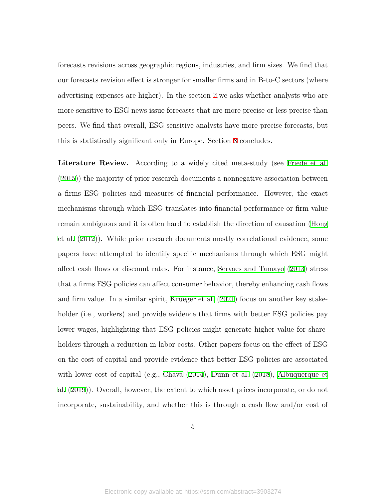forecasts revisions across geographic regions, industries, and firm sizes. We find that our forecasts revision effect is stronger for smaller firms and in B-to-C sectors (where advertising expenses are higher). In the section [7](#page-29-0),we asks whether analysts who are more sensitive to ESG news issue forecasts that are more precise or less precise than peers. We find that overall, ESG-sensitive analysts have more precise forecasts, but this is statistically significant only in Europe. Section [8](#page-31-0) concludes.

**Literature Review.** According to a widely cited meta-study (see [Friede et al.](#page-37-4) [\(2015\)](#page-37-4)) the majority of prior research documents a nonnegative association between a firms ESG policies and measures of financial performance. However, the exact mechanisms through which ESG translates into financial performance or firm value remain ambiguous and it is often hard to establish the direction of causation ([Hong](#page-37-5) [et al.](#page-37-5) [\(2012](#page-37-5))). While prior research documents mostly correlational evidence, some papers have attempted to identify specific mechanisms through which ESG might affect cash flows or discount rates. For instance, [Servaes and Tamayo](#page-38-2) ([2013](#page-38-2)) stress that a firms ESG policies can affect consumer behavior, thereby enhancing cash flows and firm value. In a similar spirit, [Krueger et al.](#page-37-6) ([2021](#page-37-6)) focus on another key stakeholder (i.e., workers) and provide evidence that firms with better ESG policies pay lower wages, highlighting that ESG policies might generate higher value for shareholders through a reduction in labor costs. Other papers focus on the effect of ESG on the cost of capital and provide evidence that better ESG policies are associated with lower cost of capital (e.g., [Chava](#page-36-5) ([2014\)](#page-36-5), [Dunn et al.](#page-36-6) [\(2018\)](#page-36-6), [Albuquerque et](#page-36-7) [al.](#page-36-7) [\(2019\)](#page-36-7)). Overall, however, the extent to which asset prices incorporate, or do not incorporate, sustainability, and whether this is through a cash flow and/or cost of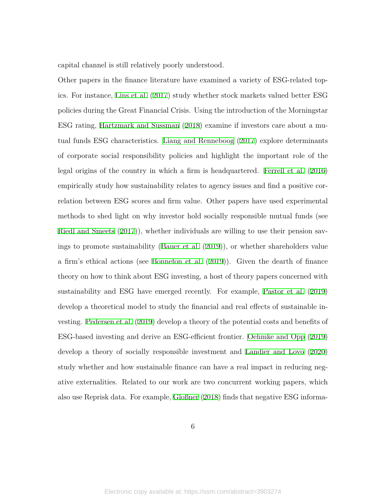capital channel is still relatively poorly understood.

Other papers in the finance literature have examined a variety of ESG-related topics. For instance, [Lins et al.](#page-37-7) [\(2017\)](#page-37-7) study whether stock markets valued better ESG policies during the Great Financial Crisis. Using the introduction of the Morningstar ESG rating, [Hartzmark and Sussman](#page-37-8) [\(2018\)](#page-37-8) examine if investors care about a mutual funds ESG characteristics. [Liang and Renneboog](#page-37-9) [\(2017\)](#page-37-9) explore determinants of corporate social responsibility policies and highlight the important role of the legal origins of the country in which a firm is headquartered. [Ferrell et al.](#page-36-8) [\(2016\)](#page-36-8) empirically study how sustainability relates to agency issues and find a positive correlation between ESG scores and firm value. Other papers have used experimental methods to shed light on why investor hold socially responsible mutual funds (see [Riedl and Smeets](#page-38-3) ([2017\)](#page-38-3)), whether individuals are willing to use their pension savings to promote sustainability [\(Bauer et al.](#page-36-9) ([2019](#page-36-9))), or whether shareholders value a firm's ethical actions (see [Bonnefon et al.](#page-36-10) ([2019](#page-36-10))). Given the dearth of finance theory on how to think about ESG investing, a host of theory papers concerned with sustainability and ESG have emerged recently. For example, [Pastor et al.](#page-38-0) [\(2019\)](#page-38-0) develop a theoretical model to study the financial and real effects of sustainable investing. [Pedersen et al.](#page-38-1) [\(2019](#page-38-1)) develop a theory of the potential costs and benefits of ESG-based investing and derive an ESG-efficient frontier. [Oehmke and Opp](#page-37-10) [\(2019\)](#page-37-10) develop a theory of socially responsible investment and [Landier and Lovo](#page-37-11) [\(2020\)](#page-37-11) study whether and how sustainable finance can have a real impact in reducing negative externalities. Related to our work are two concurrent working papers, which also use Reprisk data. For example, [Gloßner](#page-37-12) ([2018](#page-37-12)) finds that negative ESG informa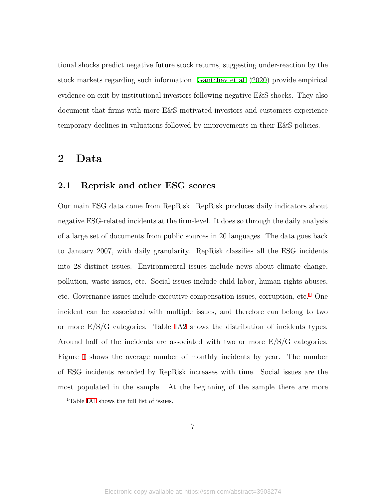tional shocks predict negative future stock returns, suggesting under-reaction by the stock markets regarding such information. [Gantchev et al.](#page-37-13) ([2020](#page-37-13)) provide empirical evidence on exit by institutional investors following negative E&S shocks. They also document that firms with more E&S motivated investors and customers experience temporary declines in valuations followed by improvements in their E&S policies.

# <span id="page-6-0"></span>**2 Data**

# **2.1 Reprisk and other ESG scores**

Our main ESG data come from RepRisk. RepRisk produces daily indicators about negative ESG-related incidents at the firm-level. It does so through the daily analysis of a large set of documents from public sources in 20 languages. The data goes back to January 2007, with daily granularity. RepRisk classifies all the ESG incidents into 28 distinct issues. Environmental issues include news about climate change, pollution, waste issues, etc. Social issues include child labor, human rights abuses, etc. Governance issues include executive compensation issues, corruption, etc.<sup>[1](#page-6-1)</sup> One incident can be associated with multiple issues, and therefore can belong to two or more E/S/G categories. Table [IA2](#page-56-0) shows the distribution of incidents types. Around half of the incidents are associated with two or more  $E/S/G$  categories. Figure [1](#page-39-0) shows the average number of monthly incidents by year. The number of ESG incidents recorded by RepRisk increases with time. Social issues are the most populated in the sample. At the beginning of the sample there are more

7

<span id="page-6-1"></span><sup>&</sup>lt;sup>1</sup>Table [IA1](#page-56-1) shows the full list of issues.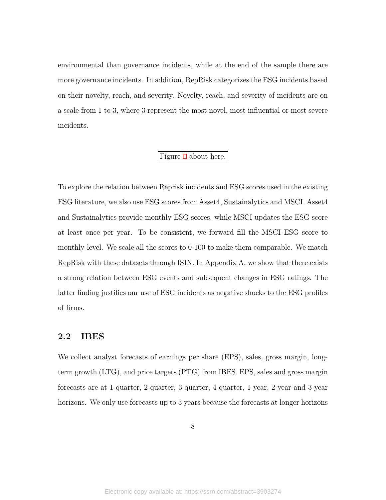environmental than governance incidents, while at the end of the sample there are more governance incidents. In addition, RepRisk categorizes the ESG incidents based on their novelty, reach, and severity. Novelty, reach, and severity of incidents are on a scale from 1 to 3, where 3 represent the most novel, most influential or most severe incidents.

# Figure [1](#page-39-0) about here.

To explore the relation between Reprisk incidents and ESG scores used in the existing ESG literature, we also use ESG scores from Asset4, Sustainalytics and MSCI. Asset4 and Sustainalytics provide monthly ESG scores, while MSCI updates the ESG score at least once per year. To be consistent, we forward fill the MSCI ESG score to monthly-level. We scale all the scores to 0-100 to make them comparable. We match RepRisk with these datasets through ISIN. In Appendix A, we show that there exists a strong relation between ESG events and subsequent changes in ESG ratings. The latter finding justifies our use of ESG incidents as negative shocks to the ESG profiles of firms.

# **2.2 IBES**

We collect analyst forecasts of earnings per share (EPS), sales, gross margin, longterm growth (LTG), and price targets (PTG) from IBES. EPS, sales and gross margin forecasts are at 1-quarter, 2-quarter, 3-quarter, 4-quarter, 1-year, 2-year and 3-year horizons. We only use forecasts up to 3 years because the forecasts at longer horizons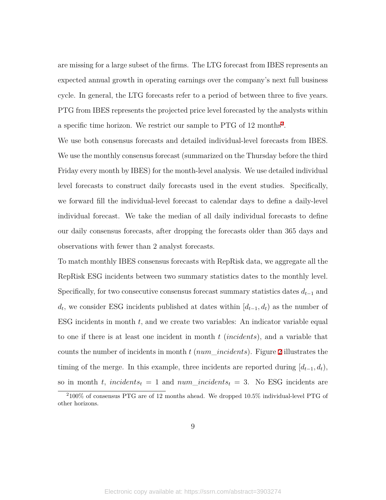are missing for a large subset of the firms. The LTG forecast from IBES represents an expected annual growth in operating earnings over the company's next full business cycle. In general, the LTG forecasts refer to a period of between three to five years. PTG from IBES represents the projected price level forecasted by the analysts within a specific time horizon. We restrict our sample to PTG of 1[2](#page-8-0) months<sup>2</sup>.

We use both consensus forecasts and detailed individual-level forecasts from IBES. We use the monthly consensus forecast (summarized on the Thursday before the third Friday every month by IBES) for the month-level analysis. We use detailed individual level forecasts to construct daily forecasts used in the event studies. Specifically, we forward fill the individual-level forecast to calendar days to define a daily-level individual forecast. We take the median of all daily individual forecasts to define our daily consensus forecasts, after dropping the forecasts older than 365 days and observations with fewer than 2 analyst forecasts.

To match monthly IBES consensus forecasts with RepRisk data, we aggregate all the RepRisk ESG incidents between two summary statistics dates to the monthly level. Specifically, for two consecutive consensus forecast summary statistics dates  $d_{t-1}$  and *d*<sub>*t*</sub>, we consider ESG incidents published at dates within [ $d$ <sup>*t*</sup> $-1$ *, d*<sup>*t*</sup> $)$  as the number of ESG incidents in month *t*, and we create two variables: An indicator variable equal to one if there is at least one incident in month *t* (*incidents*), and a variable that counts the number of incidents in month *t* (*num*\_*incidents*). Figure [2](#page-40-0) illustrates the timing of the merge. In this example, three incidents are reported during  $[d_{t-1}, d_t)$ , so in month *t*, *incidents*<sub>*t*</sub> = 1 and  $num\_incidents$ <sub>*t*</sub> = 3. No ESG incidents are

<span id="page-8-0"></span> $2100\%$  of consensus PTG are of 12 months ahead. We dropped 10.5% individual-level PTG of other horizons.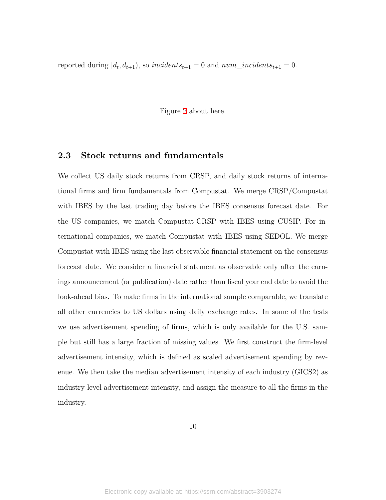reported during  $[d_t, d_{t+1})$ , so *incidents*<sub> $t+1$ </sub> = 0 and  $num\_incidents_{t+1}$  = 0.

Figure [2](#page-40-0) about here.

# **2.3 Stock returns and fundamentals**

We collect US daily stock returns from CRSP, and daily stock returns of international firms and firm fundamentals from Compustat. We merge CRSP/Compustat with IBES by the last trading day before the IBES consensus forecast date. For the US companies, we match Compustat-CRSP with IBES using CUSIP. For international companies, we match Compustat with IBES using SEDOL. We merge Compustat with IBES using the last observable financial statement on the consensus forecast date. We consider a financial statement as observable only after the earnings announcement (or publication) date rather than fiscal year end date to avoid the look-ahead bias. To make firms in the international sample comparable, we translate all other currencies to US dollars using daily exchange rates. In some of the tests we use advertisement spending of firms, which is only available for the U.S. sample but still has a large fraction of missing values. We first construct the firm-level advertisement intensity, which is defined as scaled advertisement spending by revenue. We then take the median advertisement intensity of each industry (GICS2) as industry-level advertisement intensity, and assign the measure to all the firms in the industry.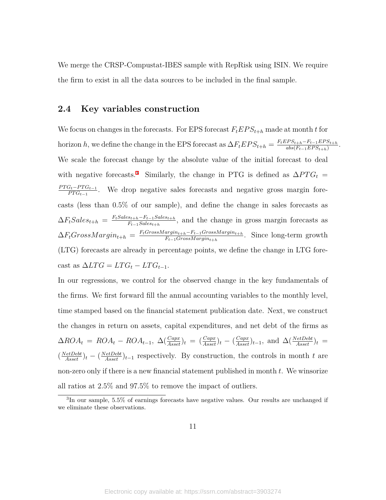We merge the CRSP-Compustat-IBES sample with RepRisk using ISIN. We require the firm to exist in all the data sources to be included in the final sample.

### <span id="page-10-1"></span>**2.4 Key variables construction**

We focus on changes in the forecasts. For EPS forecast  $F_t EPS_{t+h}$  made at month *t* for horizon *h*, we define the change in the EPS forecast as  $\Delta F_t EPS_{t+h} = \frac{F_t EPS_{t+h} - F_{t-1} EPS_{t+h}}{abs(F_{t-1} EPS_{t+h})}$  $abs(F_{t-1}EPS_{t+h})$ We scale the forecast change by the absolute value of the initial forecast to deal with negative forecasts.<sup>[3](#page-10-0)</sup> Similarly, the change in PTG is defined as  $\Delta PTG_t$  =  $PT G_t - PT G_{t-1}$  $\frac{G_t - P T G_{t-1}}{P T G_{t-1}}$ . We drop negative sales forecasts and negative gross margin forecasts (less than 0.5% of our sample), and define the change in sales forecasts as  $\Delta F_t Sales_{t+h} = \frac{F_t Sales_{t+h} - F_{t-1} Sales_{t+h}}{F_{t-1} Sales_{t+h}}$  $F_{t-1}$ *Sales*<sub>*t*+*h*</sub></sub>, and the change in gross margin forecasts as  $\Delta F_t$ *GrossMargin*<sub>t+</sub>*h*</sub> =  $\frac{F_t$ *GrossMargin*<sub>t+</sub>*h*<sup>*F*<sub>*t*</sub></sup> *-GrossMargin*<sub>t+</sub>*l*</sub>  $\frac{arg_{t+h}-F_{t-1}GrossMargin_{t+h}}{F_{t-1}GrossMargin_{t+h}}$ . Since long-term growth (LTG) forecasts are already in percentage points, we define the change in LTG fore- $\text{cast as } \Delta LTG = LTG_t - LTG_{t-1}.$ 

.

In our regressions, we control for the observed change in the key fundamentals of the firms. We first forward fill the annual accounting variables to the monthly level, time stamped based on the financial statement publication date. Next, we construct the changes in return on assets, capital expenditures, and net debt of the firms as  $\Delta ROA_t = ROA_t - ROA_{t-1}, \ \Delta(\frac{Capx}{Asset})_t = (\frac{Capx}{Asset})_t - (\frac{Capx}{Asset})_{t-1}, \text{ and } \Delta(\frac{NetDebt}{Asset})_t =$  $(\frac{NetDebt}{Asset})_t - (\frac{NetDebt}{Asset})_{t-1}$  respectively. By construction, the controls in month *t* are non-zero only if there is a new financial statement published in month *t*. We winsorize all ratios at 2.5% and 97.5% to remove the impact of outliers.

<span id="page-10-0"></span><sup>3</sup> In our sample, 5.5% of earnings forecasts have negative values. Our results are unchanged if we eliminate these observations.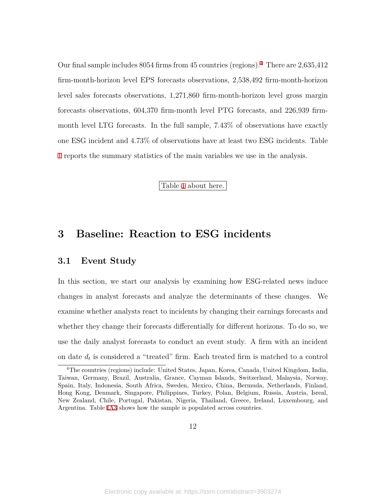Our final sample includes 8054 firms from 45 countries (regions).[4](#page-11-1) There are 2,635,412 firm-month-horizon level EPS forecasts observations, 2,538,492 firm-month-horizon level sales forecasts observations, 1,271,860 firm-month-horizon level gross margin forecasts observations, 604,370 firm-month level PTG forecasts, and 226,939 firmmonth level LTG forecasts. In the full sample, 7.43% of observations have exactly one ESG incident and 4.73% of observations have at least two ESG incidents. Table [1](#page-47-0) reports the summary statistics of the main variables we use in the analysis.

Table [1](#page-47-0) about here.

# <span id="page-11-0"></span>**3 Baseline: Reaction to ESG incidents**

## **3.1 Event Study**

In this section, we start our analysis by examining how ESG-related news induce changes in analyst forecasts and analyze the determinants of these changes. We examine whether analysts react to incidents by changing their earnings forecasts and whether they change their forecasts differentially for different horizons. To do so, we use the daily analyst forecasts to conduct an event study. A firm with an incident on date *d<sup>t</sup>* is considered a "treated" firm. Each treated firm is matched to a control

<span id="page-11-1"></span><sup>4</sup>The countries (regions) include: United States, Japan, Korea, Canada, United Kingdom, India, Taiwan, Germany, Brazil, Australia, Grance, Cayman Islands, Switzerland, Malaysia, Norway, Spain, Italy, Indonesia, South Africa, Sweden, Mexico, China, Bermuda, Netherlands, Finland, Hong Kong, Denmark, Singapore, Philippines, Turkey, Polan, Belgium, Russia, Austria, Isreal, New Zealand, Chile, Portugal, Pakistan, Nigeria, Thailand, Greece, Ireland, Luxembourg, and Argentina. Table [IA3](#page-57-0) shows how the sample is populated across countries.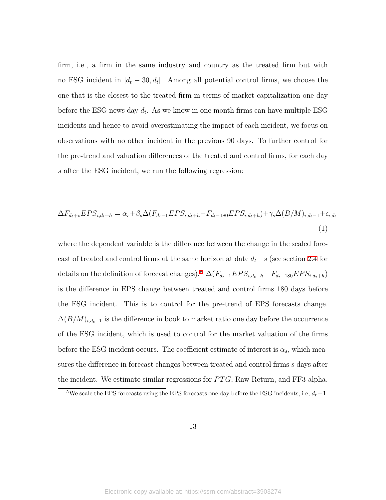firm, i.e., a firm in the same industry and country as the treated firm but with no ESG incident in  $[d_t - 30, d_t]$ . Among all potential control firms, we choose the one that is the closest to the treated firm in terms of market capitalization one day before the ESG news day *d<sup>t</sup>* . As we know in one month firms can have multiple ESG incidents and hence to avoid overestimating the impact of each incident, we focus on observations with no other incident in the previous 90 days. To further control for the pre-trend and valuation differences of the treated and control firms, for each day *s* after the ESG incident, we run the following regression:

$$
\Delta F_{d_t+s} EPS_{i,d_t+h} = \alpha_s + \beta_s \Delta (F_{d_t-1} EPS_{i,d_t+h} - F_{d_t-180} EPS_{i,d_t+h}) + \gamma_s \Delta (B/M)_{i,d_t-1} + \epsilon_{i,d_t}
$$
\n(1)

where the dependent variable is the difference between the change in the scaled forecast of treated and control firms at the same horizon at date  $d_t + s$  (see section [2.4](#page-10-1) for details on the definition of forecast changes).<sup>[5](#page-12-0)</sup>  $\Delta(F_{d_t-1}EPS_{i,d_t+h}-F_{d_t-180}EPS_{i,d_t+h})$ is the difference in EPS change between treated and control firms 180 days before the ESG incident. This is to control for the pre-trend of EPS forecasts change.  $\Delta(B/M)_{i,d_t-1}$  is the difference in book to market ratio one day before the occurrence of the ESG incident, which is used to control for the market valuation of the firms before the ESG incident occurs. The coefficient estimate of interest is  $\alpha_s$ , which measures the difference in forecast changes between treated and control firms *s* days after the incident. We estimate similar regressions for *P T G*, Raw Return, and FF3-alpha.

<span id="page-12-0"></span><sup>5</sup>We scale the EPS forecasts using the EPS forecasts one day before the ESG incidents, i.e, *dt−*1.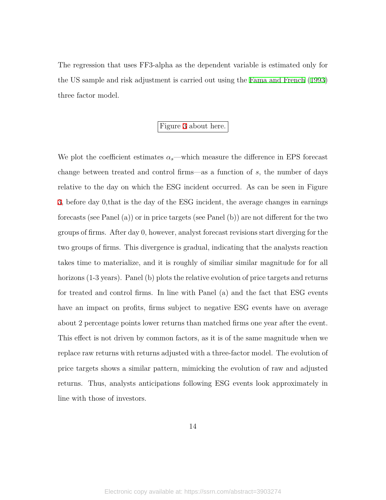The regression that uses FF3-alpha as the dependent variable is estimated only for the US sample and risk adjustment is carried out using the [Fama and French](#page-36-11) [\(1993\)](#page-36-11) three factor model.

# Figure [3](#page-41-0) about here.

We plot the coefficient estimates  $\alpha_s$ —which measure the difference in EPS forecast change between treated and control firms—as a function of *s*, the number of days relative to the day on which the ESG incident occurred. As can be seen in Figure [3,](#page-41-0) before day 0,that is the day of the ESG incident, the average changes in earnings forecasts (see Panel (a)) or in price targets (see Panel (b)) are not different for the two groups of firms. After day 0, however, analyst forecast revisions start diverging for the two groups of firms. This divergence is gradual, indicating that the analysts reaction takes time to materialize, and it is roughly of similiar similar magnitude for for all horizons (1-3 years). Panel (b) plots the relative evolution of price targets and returns for treated and control firms. In line with Panel (a) and the fact that ESG events have an impact on profits, firms subject to negative ESG events have on average about 2 percentage points lower returns than matched firms one year after the event. This effect is not driven by common factors, as it is of the same magnitude when we replace raw returns with returns adjusted with a three-factor model. The evolution of price targets shows a similar pattern, mimicking the evolution of raw and adjusted returns. Thus, analysts anticipations following ESG events look approximately in line with those of investors.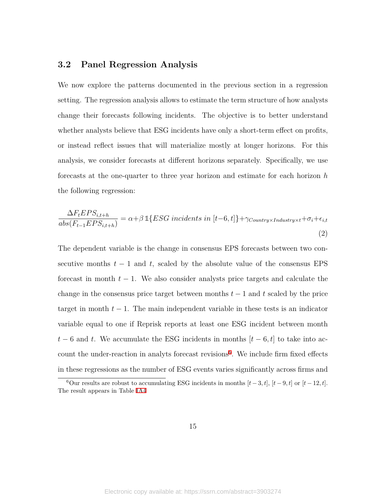# **3.2 Panel Regression Analysis**

We now explore the patterns documented in the previous section in a regression setting. The regression analysis allows to estimate the term structure of how analysts change their forecasts following incidents. The objective is to better understand whether analysts believe that ESG incidents have only a short-term effect on profits, or instead reflect issues that will materialize mostly at longer horizons. For this analysis, we consider forecasts at different horizons separately. Specifically, we use forecasts at the one-quarter to three year horizon and estimate for each horizon *h* the following regression:

<span id="page-14-1"></span>
$$
\frac{\Delta F_t EPS_{i,t+h}}{abs(F_{t-1} EPS_{i,t+h})} = \alpha + \beta \, \mathbb{1} \{ ESG \text{ incidents in } [t-6, t] \} + \gamma_{Country \times Industry \times t} + \sigma_i + \epsilon_{i,t}
$$
\n(2)

The dependent variable is the change in consensus EPS forecasts between two consecutive months  $t-1$  and  $t$ , scaled by the absolute value of the consensus EPS forecast in month *t −* 1. We also consider analysts price targets and calculate the change in the consensus price target between months  $t-1$  and  $t$  scaled by the price target in month  $t - 1$ . The main independent variable in these tests is an indicator variable equal to one if Reprisk reports at least one ESG incident between month  $t - 6$  and  $t$ . We accumulate the ESG incidents in months  $[t - 6, t]$  to take into ac-count the under-reaction in analyts forecast revisions<sup>[6](#page-14-0)</sup>. We include firm fixed effects in these regressions as the number of ESG events varies significantly across firms and

<span id="page-14-0"></span><sup>6</sup>Our results are robust to accumulating ESG incidents in months  $[t-3, t]$ ,  $[t-9, t]$  or  $[t-12, t]$ . The result appears in Table [IA4](#page-58-0)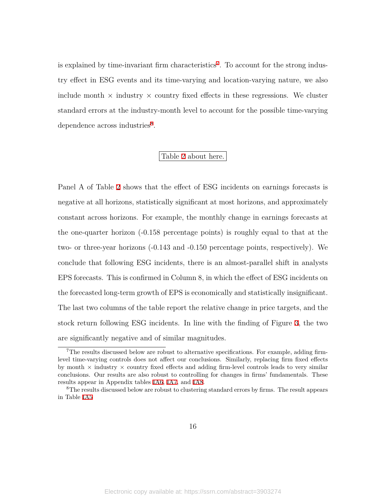is explained by time-invariant firm characteristics<sup>[7](#page-15-0)</sup>. To account for the strong industry effect in ESG events and its time-varying and location-varying nature, we also include month  $\times$  industry  $\times$  country fixed effects in these regressions. We cluster standard errors at the industry-month level to account for the possible time-varying dependence across industries<sup>[8](#page-15-1)</sup>.

### Table [2](#page-48-0) about here.

Panel A of Table [2](#page-48-0) shows that the effect of ESG incidents on earnings forecasts is negative at all horizons, statistically significant at most horizons, and approximately constant across horizons. For example, the monthly change in earnings forecasts at the one-quarter horizon (-0.158 percentage points) is roughly equal to that at the two- or three-year horizons (-0.143 and -0.150 percentage points, respectively). We conclude that following ESG incidents, there is an almost-parallel shift in analysts EPS forecasts. This is confirmed in Column 8, in which the effect of ESG incidents on the forecasted long-term growth of EPS is economically and statistically insignificant. The last two columns of the table report the relative change in price targets, and the stock return following ESG incidents. In line with the finding of Figure [3,](#page-41-0) the two are significantly negative and of similar magnitudes.

<span id="page-15-0"></span><sup>7</sup>The results discussed below are robust to alternative specifications. For example, adding firmlevel time-varying controls does not affect our conclusions. Similarly, replacing firm fixed effects by month *×* industry *×* country fixed effects and adding firm-level controls leads to very similar conclusions. Our results are also robust to controlling for changes in firms' fundamentals. These results appear in Appendix tables [IA6,](#page-60-0) [IA7,](#page-61-0) and [IA8](#page-62-0).

<span id="page-15-1"></span> ${}^{8}$ The results discussed below are robust to clustering standard errors by firms. The result appears in Table [IA5](#page-59-0)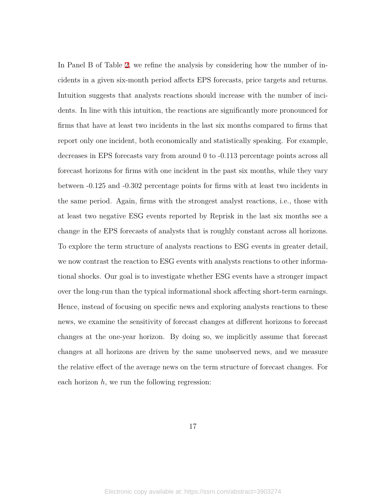In Panel B of Table [2](#page-48-0), we refine the analysis by considering how the number of incidents in a given six-month period affects EPS forecasts, price targets and returns. Intuition suggests that analysts reactions should increase with the number of incidents. In line with this intuition, the reactions are significantly more pronounced for firms that have at least two incidents in the last six months compared to firms that report only one incident, both economically and statistically speaking. For example, decreases in EPS forecasts vary from around 0 to -0.113 percentage points across all forecast horizons for firms with one incident in the past six months, while they vary between -0.125 and -0.302 percentage points for firms with at least two incidents in the same period. Again, firms with the strongest analyst reactions, i.e., those with at least two negative ESG events reported by Reprisk in the last six months see a change in the EPS forecasts of analysts that is roughly constant across all horizons. To explore the term structure of analysts reactions to ESG events in greater detail, we now contrast the reaction to ESG events with analysts reactions to other informational shocks. Our goal is to investigate whether ESG events have a stronger impact over the long-run than the typical informational shock affecting short-term earnings. Hence, instead of focusing on specific news and exploring analysts reactions to these news, we examine the sensitivity of forecast changes at different horizons to forecast changes at the one-year horizon. By doing so, we implicitly assume that forecast changes at all horizons are driven by the same unobserved news, and we measure the relative effect of the average news on the term structure of forecast changes. For each horizon *h*, we run the following regression: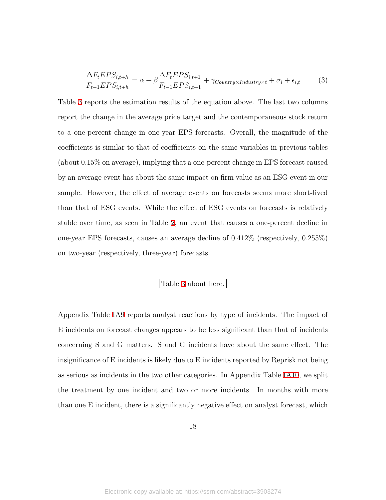$$
\frac{\Delta F_t EPS_{i,t+h}}{F_{t-1} EPS_{i,t+h}} = \alpha + \beta \frac{\Delta F_t EPS_{i,t+1}}{F_{t-1} EPS_{i,t+1}} + \gamma_{Country \times Industry \times t} + \sigma_i + \epsilon_{i,t} \tag{3}
$$

Table [3](#page-48-1) reports the estimation results of the equation above. The last two columns report the change in the average price target and the contemporaneous stock return to a one-percent change in one-year EPS forecasts. Overall, the magnitude of the coefficients is similar to that of coefficients on the same variables in previous tables (about 0.15% on average), implying that a one-percent change in EPS forecast caused by an average event has about the same impact on firm value as an ESG event in our sample. However, the effect of average events on forecasts seems more short-lived than that of ESG events. While the effect of ESG events on forecasts is relatively stable over time, as seen in Table [2](#page-48-0), an event that causes a one-percent decline in one-year EPS forecasts, causes an average decline of 0.412% (respectively, 0.255%) on two-year (respectively, three-year) forecasts.

### Table [3](#page-48-1) about here.

Appendix Table [IA9](#page-63-0) reports analyst reactions by type of incidents. The impact of E incidents on forecast changes appears to be less significant than that of incidents concerning S and G matters. S and G incidents have about the same effect. The insignificance of E incidents is likely due to E incidents reported by Reprisk not being as serious as incidents in the two other categories. In Appendix Table [IA10](#page-64-0), we split the treatment by one incident and two or more incidents. In months with more than one E incident, there is a significantly negative effect on analyst forecast, which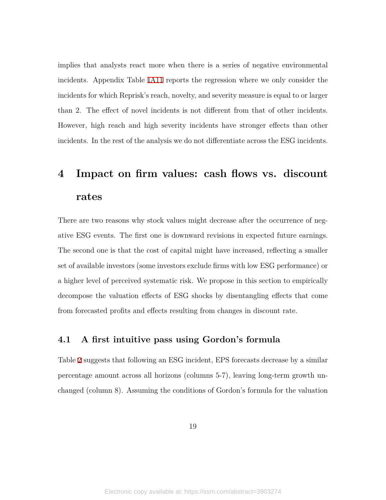implies that analysts react more when there is a series of negative environmental incidents. Appendix Table [IA11](#page-65-0) reports the regression where we only consider the incidents for which Reprisk's reach, novelty, and severity measure is equal to or larger than 2. The effect of novel incidents is not different from that of other incidents. However, high reach and high severity incidents have stronger effects than other incidents. In the rest of the analysis we do not differentiate across the ESG incidents.

# <span id="page-18-0"></span>**4 Impact on firm values: cash flows vs. discount rates**

There are two reasons why stock values might decrease after the occurrence of negative ESG events. The first one is downward revisions in expected future earnings. The second one is that the cost of capital might have increased, reflecting a smaller set of available investors (some investors exclude firms with low ESG performance) or a higher level of perceived systematic risk. We propose in this section to empirically decompose the valuation effects of ESG shocks by disentangling effects that come from forecasted profits and effects resulting from changes in discount rate.

# **4.1 A first intuitive pass using Gordon's formula**

Table [2](#page-48-0) suggests that following an ESG incident, EPS forecasts decrease by a similar percentage amount across all horizons (columns 5-7), leaving long-term growth unchanged (column 8). Assuming the conditions of Gordon's formula for the valuation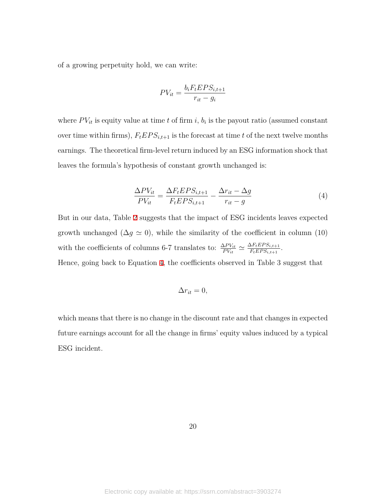of a growing perpetuity hold, we can write:

$$
PV_{it} = \frac{b_i F_t EPS_{i,t+1}}{r_{it} - g_i}
$$

where  $PV_{it}$  is equity value at time *t* of firm *i*,  $b_i$  is the payout ratio (assumed constant over time within firms),  $F_t EPS_{i,t+1}$  is the forecast at time *t* of the next twelve months earnings. The theoretical firm-level return induced by an ESG information shock that leaves the formula's hypothesis of constant growth unchanged is:

<span id="page-19-0"></span>
$$
\frac{\Delta PV_{it}}{PV_{it}} = \frac{\Delta F_t E PS_{i,t+1}}{F_t E PS_{i,t+1}} - \frac{\Delta r_{it} - \Delta g}{r_{it} - g} \tag{4}
$$

But in our data, Table [2](#page-48-0) suggests that the impact of ESG incidents leaves expected growth unchanged ( $\Delta g \simeq 0$ ), while the similarity of the coefficient in column (10) with the coefficients of columns 6-7 translates to:  $\frac{\Delta PV_{it}}{PV_{it}} \simeq \frac{\Delta F_t EPS_{i,t+1}}{F_t EPS_{i,t+1}}$  $\frac{\Delta r_t EPS_{i,t+1}}{F_t EPS_{i,t+1}}$ .

Hence, going back to Equation [4](#page-19-0), the coefficients observed in Table 3 suggest that

$$
\Delta r_{it} = 0,
$$

which means that there is no change in the discount rate and that changes in expected future earnings account for all the change in firms' equity values induced by a typical ESG incident.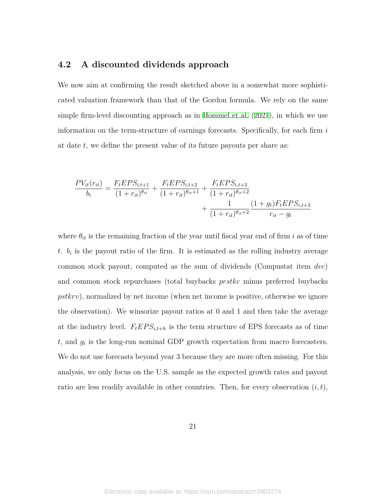# <span id="page-20-0"></span>**4.2 A discounted dividends approach**

We now aim at confirming the result sketched above in a somewhat more sophisticated valuation framework than that of the Gordon formula. We rely on the same simple firm-level discounting approach as in [Hommel et al.](#page-37-14) [\(2021\)](#page-37-14), in which we use information on the term-structure of earnings forecasts. Specifically, for each firm *i* at date *t*, we define the present value of its future payouts per share as:

$$
\frac{PV_{it}(r_{it})}{b_i} = \frac{F_t E PS_{i,t+1}}{(1+r_{it})^{\theta_{it}}} + \frac{F_t E PS_{i,t+2}}{(1+r_{it})^{\theta_{it}+1}} + \frac{F_t E PS_{i,t+3}}{(1+r_{it})^{\theta_{it}+2}} + \frac{1}{(1+r_{it})^{\theta_{it}+2}} \frac{(1+g_t)F_t E PS_{i,t+3}}{r_{it}-g_t}
$$

where  $\theta_{it}$  is the remaining fraction of the year until fiscal year end of firm *i* as of time *t*.  $b_i$  is the payout ratio of the firm. It is estimated as the rolling industry average common stock payout, computed as the sum of dividends (Compustat item *dvc*) and common stock repurchases (total buybacks *prstkc* minus preferred buybacks *pstkrv*), normalized by net income (when net income is positive, otherwise we ignore the observation). We winsorize payout ratios at 0 and 1 and then take the average at the industry level.  $F_t EPS_{i,t+h}$  is the term structure of EPS forecasts as of time *t*, and *g<sup>t</sup>* is the long-run nominal GDP growth expectation from macro forecasters. We do not use forecasts beyond year 3 because they are more often missing. For this analysis, we only focus on the U.S. sample as the expected growth rates and payout ratio are less readily available in other countries. Then, for every observation  $(i, t)$ ,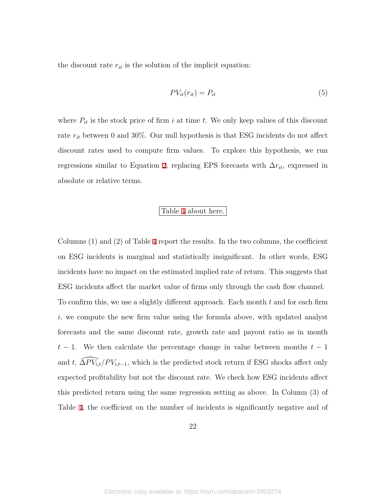the discount rate  $r_{it}$  is the solution of the implicit equation:

$$
PV_{it}(r_{it}) = P_{it} \tag{5}
$$

where  $P_{it}$  is the stock price of firm  $i$  at time  $t$ . We only keep values of this discount rate  $r_{it}$  between 0 and 30%. Our null hypothesis is that ESG incidents do not affect discount rates used to compute firm values. To explore this hypothesis, we run regressions similar to Equation [2,](#page-14-1) replacing EPS forecasts with  $\Delta r_{it}$ , expressed in absolute or relative terms.

### Table [4](#page-49-0) about here.

Columns (1) and (2) of Table [4](#page-49-0) report the results. In the two columns, the coefficient on ESG incidents is marginal and statistically insignificant. In other words, ESG incidents have no impact on the estimated implied rate of return. This suggests that ESG incidents affect the market value of firms only through the cash flow channel. To confirm this, we use a slightly different approach. Each month *t* and for each firm *i*, we compute the new firm value using the formula above, with updated analyst forecasts and the same discount rate, growth rate and payout ratio as in month *t −* 1. We then calculate the percentage change in value between months *t −* 1 and *t*,  $\widehat{\Delta PV_{i,t}}/PV_{i,t-1}$ , which is the predicted stock return if ESG shocks affect only expected profitability but not the discount rate. We check how ESG incidents affect this predicted return using the same regression setting as above. In Column (3) of Table [4,](#page-49-0) the coefficient on the number of incidents is significantly negative and of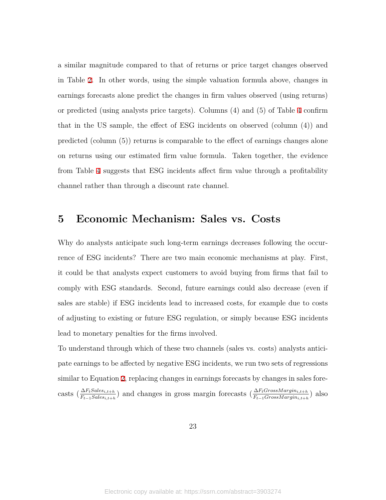a similar magnitude compared to that of returns or price target changes observed in Table [2.](#page-48-0) In other words, using the simple valuation formula above, changes in earnings forecasts alone predict the changes in firm values observed (using returns) or predicted (using analysts price targets). Columns (4) and (5) of Table [4](#page-49-0) confirm that in the US sample, the effect of ESG incidents on observed (column (4)) and predicted (column (5)) returns is comparable to the effect of earnings changes alone on returns using our estimated firm value formula. Taken together, the evidence from Table [4](#page-49-0) suggests that ESG incidents affect firm value through a profitability channel rather than through a discount rate channel.

# <span id="page-22-0"></span>**5 Economic Mechanism: Sales vs. Costs**

Why do analysts anticipate such long-term earnings decreases following the occurrence of ESG incidents? There are two main economic mechanisms at play. First, it could be that analysts expect customers to avoid buying from firms that fail to comply with ESG standards. Second, future earnings could also decrease (even if sales are stable) if ESG incidents lead to increased costs, for example due to costs of adjusting to existing or future ESG regulation, or simply because ESG incidents lead to monetary penalties for the firms involved.

To understand through which of these two channels (sales vs. costs) analysts anticipate earnings to be affected by negative ESG incidents, we run two sets of regressions similar to Equation [2,](#page-14-1) replacing changes in earnings forecasts by changes in sales forecasts  $(\frac{\Delta F_t Sales_{i,t+h}}{F_{t-1}Sales_{i,t+h}})$  and changes in gross margin forecasts  $(\frac{\Delta F_t GrossMargin_{i,t+h}}{F_{t-1}GrossMargin_{i,t+h}})$  also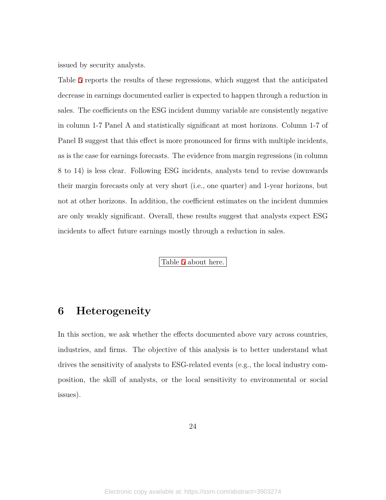issued by security analysts.

Table [5](#page-50-0) reports the results of these regressions, which suggest that the anticipated decrease in earnings documented earlier is expected to happen through a reduction in sales. The coefficients on the ESG incident dummy variable are consistently negative in column 1-7 Panel A and statistically significant at most horizons. Column 1-7 of Panel B suggest that this effect is more pronounced for firms with multiple incidents, as is the case for earnings forecasts. The evidence from margin regressions (in column 8 to 14) is less clear. Following ESG incidents, analysts tend to revise downwards their margin forecasts only at very short (i.e., one quarter) and 1-year horizons, but not at other horizons. In addition, the coefficient estimates on the incident dummies are only weakly significant. Overall, these results suggest that analysts expect ESG incidents to affect future earnings mostly through a reduction in sales.

Table [5](#page-50-0) about here.

# <span id="page-23-0"></span>**6 Heterogeneity**

In this section, we ask whether the effects documented above vary across countries, industries, and firms. The objective of this analysis is to better understand what drives the sensitivity of analysts to ESG-related events (e.g., the local industry composition, the skill of analysts, or the local sensitivity to environmental or social issues).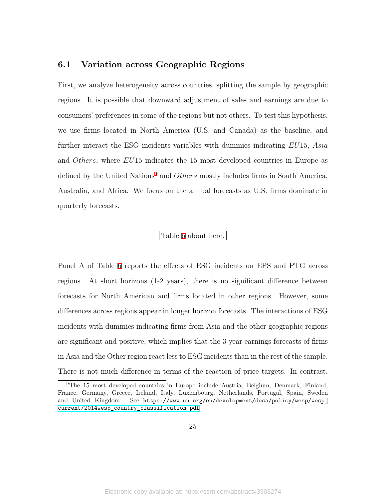# <span id="page-24-1"></span>**6.1 Variation across Geographic Regions**

First, we analyze heterogeneity across countries, splitting the sample by geographic regions. It is possible that downward adjustment of sales and earnings are due to consumers' preferences in some of the regions but not others. To test this hypothesis, we use firms located in North America (U.S. and Canada) as the baseline, and further interact the ESG incidents variables with dummies indicating *EU*15, *Asia* and *Others*, where *EU*15 indicates the 15 most developed countries in Europe as defined by the United Nations<sup>[9](#page-24-0)</sup> and *Others* mostly includes firms in South America, Australia, and Africa. We focus on the annual forecasts as U.S. firms dominate in quarterly forecasts.

### Table [6](#page-51-0) about here.

Panel A of Table [6](#page-51-0) reports the effects of ESG incidents on EPS and PTG across regions. At short horizons (1-2 years), there is no significant difference between forecasts for North American and firms located in other regions. However, some differences across regions appear in longer horizon forecasts. The interactions of ESG incidents with dummies indicating firms from Asia and the other geographic regions are significant and positive, which implies that the 3-year earnings forecasts of firms in Asia and the Other region react less to ESG incidents than in the rest of the sample. There is not much difference in terms of the reaction of price targets. In contrast,

<span id="page-24-0"></span><sup>&</sup>lt;sup>9</sup>The 15 most developed countries in Europe include Austria, Belgium, Denmark, Finland, France, Germany, Greece, Ireland, Italy, Luxembourg, Netherlands, Portugal, Spain, Sweden and United Kingdom. See [https://www.un.org/en/development/desa/policy/wesp/wesp\\_](https://www.un.org/en/development/desa/policy/wesp/wesp_current/2014wesp_country_classification.pdf) [current/2014wesp\\_country\\_classification.pdf](https://www.un.org/en/development/desa/policy/wesp/wesp_current/2014wesp_country_classification.pdf)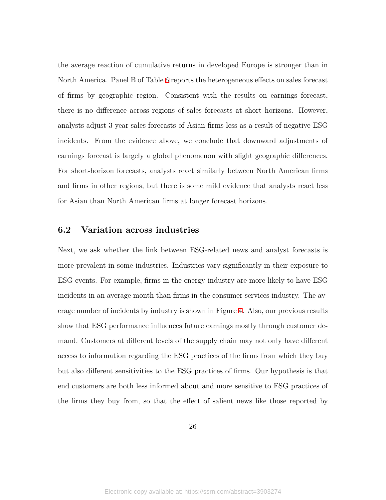the average reaction of cumulative returns in developed Europe is stronger than in North America. Panel B of Table [6](#page-51-0) reports the heterogeneous effects on sales forecast of firms by geographic region. Consistent with the results on earnings forecast, there is no difference across regions of sales forecasts at short horizons. However, analysts adjust 3-year sales forecasts of Asian firms less as a result of negative ESG incidents. From the evidence above, we conclude that downward adjustments of earnings forecast is largely a global phenomenon with slight geographic differences. For short-horizon forecasts, analysts react similarly between North American firms and firms in other regions, but there is some mild evidence that analysts react less for Asian than North American firms at longer forecast horizons.

# **6.2 Variation across industries**

Next, we ask whether the link between ESG-related news and analyst forecasts is more prevalent in some industries. Industries vary significantly in their exposure to ESG events. For example, firms in the energy industry are more likely to have ESG incidents in an average month than firms in the consumer services industry. The average number of incidents by industry is shown in Figure [4](#page-42-0). Also, our previous results show that ESG performance influences future earnings mostly through customer demand. Customers at different levels of the supply chain may not only have different access to information regarding the ESG practices of the firms from which they buy but also different sensitivities to the ESG practices of firms. Our hypothesis is that end customers are both less informed about and more sensitive to ESG practices of the firms they buy from, so that the effect of salient news like those reported by

26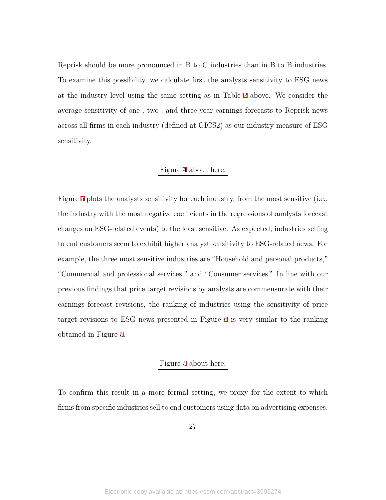Reprisk should be more pronounced in B to C industries than in B to B industries. To examine this possibility, we calculate first the analysts sensitivity to ESG news at the industry level using the same setting as in Table [2](#page-48-0) above. We consider the average sensitivity of one-, two-, and three-year earnings forecasts to Reprisk news across all firms in each industry (defined at GICS2) as our industry-measure of ESG sensitivity.

# Figure [4](#page-42-0) about here.

Figure [5](#page-43-0) plots the analysts sensitivity for each industry, from the most sensitive (i.e., the industry with the most negative coefficients in the regressions of analysts forecast changes on ESG-related events) to the least sensitive. As expected, industries selling to end customers seem to exhibit higher analyst sensitivity to ESG-related news. For example, the three most sensitive industries are "Household and personal products," "Commercial and professional services," and "Consumer services." In line with our previous findings that price target revisions by analysts are commensurate with their earnings forecast revisions, the ranking of industries using the sensitivity of price target revisions to ESG news presented in Figure [6](#page-44-0) is very similar to the ranking obtained in Figure [5](#page-43-0).

# Figure [5](#page-43-0) about here.

To confirm this result in a more formal setting, we proxy for the extent to which firms from specific industries sell to end customers using data on advertising expenses,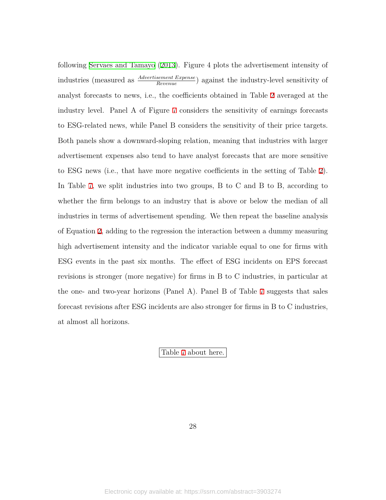following [Servaes and Tamayo](#page-38-2) ([2013](#page-38-2)). Figure 4 plots the advertisement intensity of industries (measured as *Advertisement Expense Revenue* ) against the industry-level sensitivity of analyst forecasts to news, i.e., the coefficients obtained in Table [2](#page-48-0) averaged at the industry level. Panel A of Figure [7](#page-45-0) considers the sensitivity of earnings forecasts to ESG-related news, while Panel B considers the sensitivity of their price targets. Both panels show a downward-sloping relation, meaning that industries with larger advertisement expenses also tend to have analyst forecasts that are more sensitive to ESG news (i.e., that have more negative coefficients in the setting of Table [2](#page-48-0)). In Table [7,](#page-52-0) we split industries into two groups, B to C and B to B, according to whether the firm belongs to an industry that is above or below the median of all industries in terms of advertisement spending. We then repeat the baseline analysis of Equation [2,](#page-14-1) adding to the regression the interaction between a dummy measuring high advertisement intensity and the indicator variable equal to one for firms with ESG events in the past six months. The effect of ESG incidents on EPS forecast revisions is stronger (more negative) for firms in B to C industries, in particular at the one- and two-year horizons (Panel A). Panel B of Table [7](#page-52-0) suggests that sales forecast revisions after ESG incidents are also stronger for firms in B to C industries, at almost all horizons.

Table [7](#page-52-0) about here.

28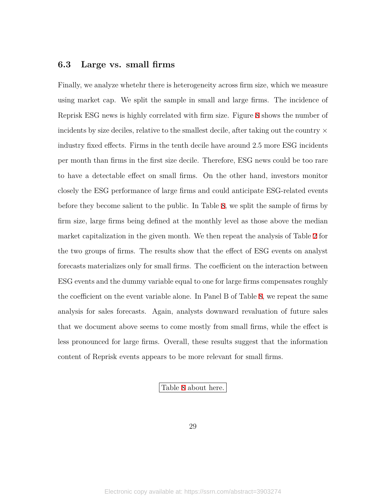# **6.3 Large vs. small firms**

Finally, we analyze whetehr there is heterogeneity across firm size, which we measure using market cap. We split the sample in small and large firms. The incidence of Reprisk ESG news is highly correlated with firm size. Figure [8](#page-46-0) shows the number of incidents by size deciles, relative to the smallest decile, after taking out the country *×* industry fixed effects. Firms in the tenth decile have around 2.5 more ESG incidents per month than firms in the first size decile. Therefore, ESG news could be too rare to have a detectable effect on small firms. On the other hand, investors monitor closely the ESG performance of large firms and could anticipate ESG-related events before they become salient to the public. In Table [8,](#page-53-0) we split the sample of firms by firm size, large firms being defined at the monthly level as those above the median market capitalization in the given month. We then repeat the analysis of Table [2](#page-48-0) for the two groups of firms. The results show that the effect of ESG events on analyst forecasts materializes only for small firms. The coefficient on the interaction between ESG events and the dummy variable equal to one for large firms compensates roughly the coefficient on the event variable alone. In Panel B of Table [8](#page-53-0), we repeat the same analysis for sales forecasts. Again, analysts downward revaluation of future sales that we document above seems to come mostly from small firms, while the effect is less pronounced for large firms. Overall, these results suggest that the information content of Reprisk events appears to be more relevant for small firms.

Table [8](#page-53-0) about here.

29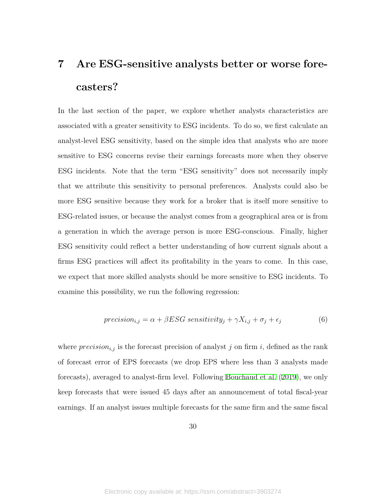# <span id="page-29-0"></span>**7 Are ESG-sensitive analysts better or worse forecasters?**

In the last section of the paper, we explore whether analysts characteristics are associated with a greater sensitivity to ESG incidents. To do so, we first calculate an analyst-level ESG sensitivity, based on the simple idea that analysts who are more sensitive to ESG concerns revise their earnings forecasts more when they observe ESG incidents. Note that the term "ESG sensitivity" does not necessarily imply that we attribute this sensitivity to personal preferences. Analysts could also be more ESG sensitive because they work for a broker that is itself more sensitive to ESG-related issues, or because the analyst comes from a geographical area or is from a generation in which the average person is more ESG-conscious. Finally, higher ESG sensitivity could reflect a better understanding of how current signals about a firms ESG practices will affect its profitability in the years to come. In this case, we expect that more skilled analysts should be more sensitive to ESG incidents. To examine this possibility, we run the following regression:

$$
precision_{i,j} = \alpha + \beta ESG \ sensitivity_j + \gamma X_{i,j} + \sigma_j + \epsilon_j \tag{6}
$$

where  $precision_{i,j}$  is the forecast precision of analyst *j* on firm *i*, defined as the rank of forecast error of EPS forecasts (we drop EPS where less than 3 analysts made forecasts), averaged to analyst-firm level. Following [Bouchaud et al.](#page-36-12) ([2019\)](#page-36-12), we only keep forecasts that were issued 45 days after an announcement of total fiscal-year earnings. If an analyst issues multiple forecasts for the same firm and the same fiscal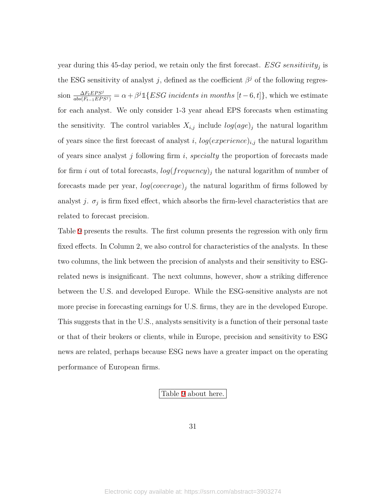year during this 45-day period, we retain only the first forecast. *ESG sensitivity<sup>j</sup>* is the ESG sensitivity of analyst *j*, defined as the coefficient  $\beta^j$  of the following regression  $\frac{\Delta F_t EPS^j}{abs(F_{t-1} EPS^j)} = \alpha + \beta^j \mathbb{1}\{ESG\;incidents\;in\;months\;[t-6,t]\},$  which we estimate for each analyst. We only consider 1-3 year ahead EPS forecasts when estimating the sensitivity. The control variables  $X_{i,j}$  include  $log(age)_j$  the natural logarithm of years since the first forecast of analyst *i*,  $log(exp$ *erience*)<sub>*i*,*j*</sub> the natural logarithm of years since analyst *j* following firm *i*, *specialty* the proportion of forecasts made for firm *i* out of total forecasts, *log*(*frequency*)*<sup>j</sup>* the natural logarithm of number of forecasts made per year, *log*(*coverage*)*<sup>j</sup>* the natural logarithm of firms followed by analyst *j*.  $\sigma_j$  is firm fixed effect, which absorbs the firm-level characteristics that are related to forecast precision.

Table [9](#page-54-0) presents the results. The first column presents the regression with only firm fixed effects. In Column 2, we also control for characteristics of the analysts. In these two columns, the link between the precision of analysts and their sensitivity to ESGrelated news is insignificant. The next columns, however, show a striking difference between the U.S. and developed Europe. While the ESG-sensitive analysts are not more precise in forecasting earnings for U.S. firms, they are in the developed Europe. This suggests that in the U.S., analysts sensitivity is a function of their personal taste or that of their brokers or clients, while in Europe, precision and sensitivity to ESG news are related, perhaps because ESG news have a greater impact on the operating performance of European firms.

#### Table [9](#page-54-0) about here.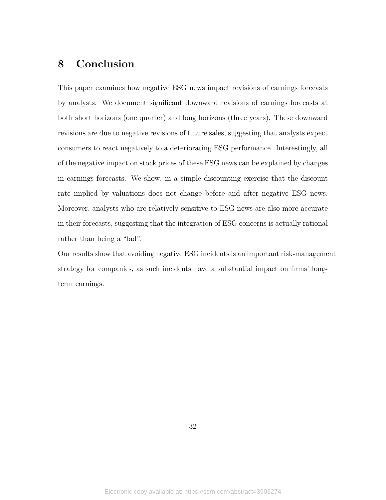# <span id="page-31-0"></span>**8 Conclusion**

This paper examines how negative ESG news impact revisions of earnings forecasts by analysts. We document significant downward revisions of earnings forecasts at both short horizons (one quarter) and long horizons (three years). These downward revisions are due to negative revisions of future sales, suggesting that analysts expect consumers to react negatively to a deteriorating ESG performance. Interestingly, all of the negative impact on stock prices of these ESG news can be explained by changes in earnings forecasts. We show, in a simple discounting exercise that the discount rate implied by valuations does not change before and after negative ESG news. Moreover, analysts who are relatively sensitive to ESG news are also more accurate in their forecasts, suggesting that the integration of ESG concerns is actually rational rather than being a "fad".

Our results show that avoiding negative ESG incidents is an important risk-management strategy for companies, as such incidents have a substantial impact on firms' longterm earnings.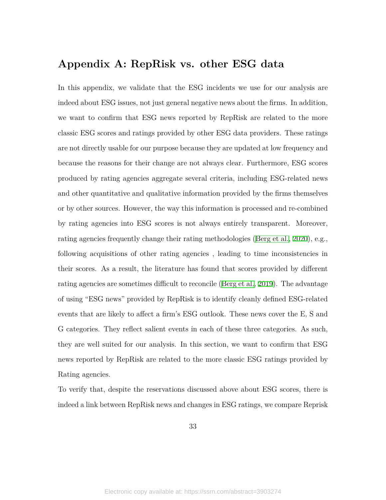# **Appendix A: RepRisk vs. other ESG data**

In this appendix, we validate that the ESG incidents we use for our analysis are indeed about ESG issues, not just general negative news about the firms. In addition, we want to confirm that ESG news reported by RepRisk are related to the more classic ESG scores and ratings provided by other ESG data providers. These ratings are not directly usable for our purpose because they are updated at low frequency and because the reasons for their change are not always clear. Furthermore, ESG scores produced by rating agencies aggregate several criteria, including ESG-related news and other quantitative and qualitative information provided by the firms themselves or by other sources. However, the way this information is processed and re-combined by rating agencies into ESG scores is not always entirely transparent. Moreover, rating agencies frequently change their rating methodologies [\(Berg et al.](#page-36-4), [2020](#page-36-4)), e.g., following acquisitions of other rating agencies , leading to time inconsistencies in their scores. As a result, the literature has found that scores provided by different rating agencies are sometimes difficult to reconcile [\(Berg et al.](#page-36-3), [2019](#page-36-3)). The advantage of using "ESG news" provided by RepRisk is to identify cleanly defined ESG-related events that are likely to affect a firm's ESG outlook. These news cover the E, S and G categories. They reflect salient events in each of these three categories. As such, they are well suited for our analysis. In this section, we want to confirm that ESG news reported by RepRisk are related to the more classic ESG ratings provided by Rating agencies.

To verify that, despite the reservations discussed above about ESG scores, there is indeed a link between RepRisk news and changes in ESG ratings, we compare Reprisk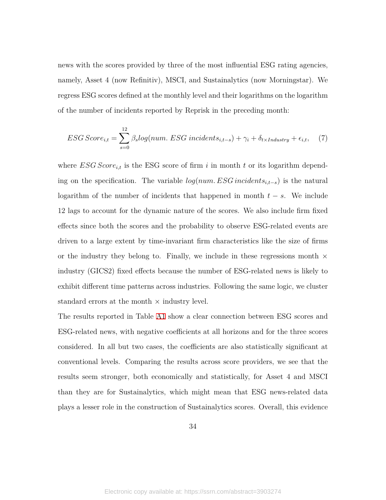news with the scores provided by three of the most influential ESG rating agencies, namely, Asset 4 (now Refinitiv), MSCI, and Sustainalytics (now Morningstar). We regress ESG scores defined at the monthly level and their logarithms on the logarithm of the number of incidents reported by Reprisk in the preceding month:

$$
ESG Score_{i,t} = \sum_{s=0}^{12} \beta_s log(num. ESG\ incidents_{i,t-s}) + \gamma_i + \delta_{t \times Industry} + \epsilon_{i,t}, \quad (7)
$$

where  $ESG Score_{i,t}$  is the ESG score of firm *i* in month *t* or its logarithm depending on the specification. The variable *log*(*num. ESG incidentsi,t−<sup>s</sup>*) is the natural logarithm of the number of incidents that happened in month  $t - s$ . We include 12 lags to account for the dynamic nature of the scores. We also include firm fixed effects since both the scores and the probability to observe ESG-related events are driven to a large extent by time-invariant firm characteristics like the size of firms or the industry they belong to. Finally, we include in these regressions month *×* industry (GICS2) fixed effects because the number of ESG-related news is likely to exhibit different time patterns across industries. Following the same logic, we cluster standard errors at the month *×* industry level.

The results reported in Table [A1](#page-35-0) show a clear connection between ESG scores and ESG-related news, with negative coefficients at all horizons and for the three scores considered. In all but two cases, the coefficients are also statistically significant at conventional levels. Comparing the results across score providers, we see that the results seem stronger, both economically and statistically, for Asset 4 and MSCI than they are for Sustainalytics, which might mean that ESG news-related data plays a lesser role in the construction of Sustainalytics scores. Overall, this evidence

34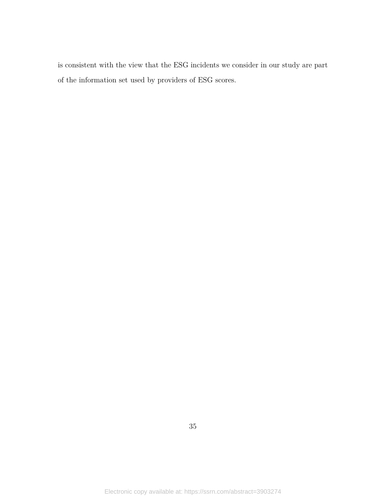is consistent with the view that the ESG incidents we consider in our study are part of the information set used by providers of ESG scores.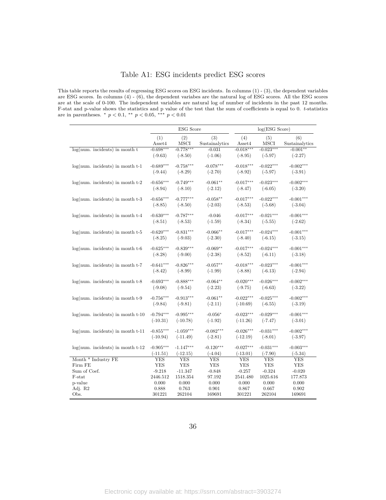# Table A1: ESG incidents predict ESG scores

<span id="page-35-0"></span>This table reports the results of regressing ESG scores on ESG incidents. In columns (1) - (3), the dependent variables are ESG scores. In columns (4) - (6), the dependent variabes are the natural log of ESG scores. All the ESG scores are at the scale of 0-100. The independent variables are natural log of number of incidents in the past 12 months. F-stat and p-value shows the statistics and p value of the test that the sum of coefficients is equal to 0. *t*-statistics are in parentheses. *∗ p <* 0*.*1, *∗∗ p <* 0*.*05, *∗∗∗ p <* 0*.*01

|                                       |               | <b>ESG</b> Score |                       |               | log(ESG Score)     |                       |
|---------------------------------------|---------------|------------------|-----------------------|---------------|--------------------|-----------------------|
|                                       | (1)<br>Asset4 | (2)<br>MSCI      | (3)<br>Sustainalytics | (4)<br>Asset4 | (5)<br><b>MSCI</b> | (6)<br>Sustainalytics |
| $log(num.$ incidents) in month $t$    | $-0.698***$   | $-0.778***$      | $-0.031$              | $-0.018***$   | $-0.023***$        | $-0.001**$            |
|                                       | $(-9.63)$     | $(-8.50)$        | $(-1.06)$             | $(-8.95)$     | $(-5.97)$          | $(-2.27)$             |
| $log(num.$ incidents) in month $t-1$  | $-0.689***$   | $-0.758***$      | $-0.078***$           | $-0.018***$   | $-0.022***$        | $-0.002***$           |
|                                       | $(-9.44)$     | $(-8.29)$        | $(-2.70)$             | $(-8.92)$     | $(-5.97)$          | $(-3.91)$             |
|                                       |               |                  |                       |               |                    |                       |
| $log(num.~incidents)$ in month $t-2$  | $-0.656***$   | $-0.749***$      | $-0.061**$            | $-0.017***$   | $-0.023***$        | $-0.002***$           |
|                                       | $(-8.94)$     | $(-8.10)$        | $(-2.12)$             | $(-8.47)$     | $(-6.05)$          | $(-3.20)$             |
| $log(num.$ incidents) in month $t-3$  | $-0.656***$   | $-0.777***$      | $-0.058**$            | $-0.017***$   | $-0.022***$        | $-0.001***$           |
|                                       | $(-8.85)$     | $(-8.50)$        | $(-2.03)$             | $(-8.53)$     | $(-5.68)$          | $(-3.04)$             |
|                                       |               |                  |                       |               |                    |                       |
| $log(num.$ incidents) in month $t-4$  | $-0.630***$   | $-0.787***$      | $-0.046$              | $-0.017***$   | $-0.021***$        | $-0.001***$           |
|                                       | $(-8.51)$     | $(-8.53)$        | $(-1.59)$             | $(-8.34)$     | $(-5.55)$          | $(-2.62)$             |
| $log(num.$ incidents) in month $t-5$  | $-0.620***$   | $-0.831***$      | $-0.066**$            | $-0.017***$   | $-0.024***$        | $-0.001***$           |
|                                       | $(-8.25)$     | $(-9.03)$        | $(-2.30)$             | $(-8.40)$     | $(-6.15)$          | $(-3.15)$             |
|                                       |               |                  |                       |               |                    |                       |
| $log(num.$ incidents) in month $t-6$  | $-0.625***$   | $-0.839***$      | $-0.069**$            | $-0.017***$   | $-0.024***$        | $-0.001***$           |
|                                       | $(-8.28)$     | $(-9.00)$        | $(-2.38)$             | $(-8.52)$     | $(-6.11)$          | $(-3.18)$             |
| $log(num.~incidents)$ in month $t-7$  | $-0.641***$   | $-0.826***$      | $-0.057**$            | $-0.018***$   | $-0.023***$        | $-0.001***$           |
|                                       | $(-8.42)$     | $(-8.99)$        | $(-1.99)$             | $(-8.88)$     | $(-6.13)$          | $(-2.94)$             |
|                                       | $-0.693***$   | $-0.888***$      | $-0.064**$            | $-0.020***$   | $-0.026***$        | $-0.002***$           |
| $log(num.~incidents)$ in month $t-8$  | $(-9.08)$     | $(-9.54)$        | $(-2.23)$             | $(-9.75)$     | $(-6.63)$          | $(-3.22)$             |
|                                       |               |                  |                       |               |                    |                       |
| $log(num.$ incidents) in month $t-9$  | $-0.756***$   | $-0.913***$      | $-0.061**$            | $-0.022***$   | $-0.025***$        | $-0.002***$           |
|                                       | $(-9.84)$     | $(-9.81)$        | $(-2.11)$             | $(-10.69)$    | $(-6.55)$          | $(-3.19)$             |
| $log(num.~incidents)$ in month $t-10$ | $-0.794***$   | $-0.995***$      | $-0.056*$             | $-0.023***$   | $-0.029***$        | $-0.001***$           |
|                                       | $(-10.31)$    | $(-10.78)$       | $(-1.92)$             | $(-11.26)$    | $(-7.47)$          | $(-3.01)$             |
|                                       |               |                  |                       |               |                    |                       |
| $log(num.$ incidents) in month $t-11$ | $-0.855***$   | $-1.059***$      | $-0.082***$           | $-0.026***$   | $-0.031***$        | $-0.002***$           |
|                                       | $(-10.94)$    | $(-11.49)$       | $(-2.81)$             | $(-12.19)$    | $(-8.01)$          | $(-3.97)$             |
| $log(num.$ incidents) in month $t-12$ | $-0.905***$   | $-1.147***$      | $-0.120***$           | $-0.027***$   | $-0.031***$        | $-0.003***$           |
|                                       | $(-11.51)$    | $(-12.15)$       | $(-4.04)$             | $(-13.01)$    | $(-7.90)$          | $(-5.34)$             |
| Month * Industry FE                   | YES           | YES              | YES                   | YES           | YES                | YES                   |
| Firm FE                               | <b>YES</b>    | <b>YES</b>       | <b>YES</b>            | <b>YES</b>    | <b>YES</b>         | <b>YES</b>            |
| Sum of Coef.                          | $-9.218$      | $-11.347$        | $-0.848$              | $-0.257$      | $-0.324$           | $-0.020$              |
| F-stat                                | 2446.512      | 1518.354         | 97.192                | 2541.480      | 1025.616           | 177.873               |
| p-value                               | 0.000         | 0.000            | 0.000                 | 0.000         | 0.000              | 0.000                 |
| Adj. R2                               | 0.888         | 0.763            | 0.901                 | 0.867         | 0.667              | 0.902                 |
| Obs.                                  | 301221        | 262104           | 169691                | 301221        | 262104             | 169691                |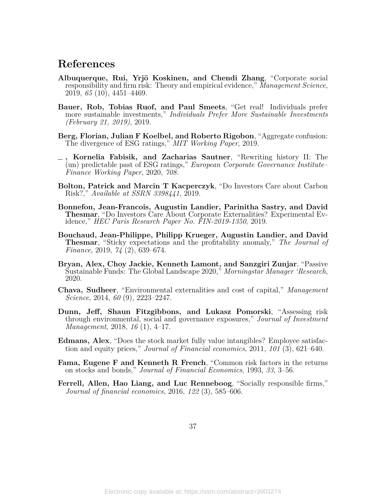# **References**

- <span id="page-36-7"></span>**Albuquerque, Rui, Yrjö Koskinen, and Chendi Zhang**, "Corporate social responsibility and firm risk: Theory and empirical evidence," *Management Science*, 2019, *65* (10), 4451–4469.
- <span id="page-36-9"></span>**Bauer, Rob, Tobias Ruof, and Paul Smeets**, "Get real! Individuals prefer more sustainable investments," *Individuals Prefer More Sustainable Investments (February 21, 2019)*, 2019.
- <span id="page-36-3"></span>**Berg, Florian, Julian F Koelbel, and Roberto Rigobon**, "Aggregate confusion: The divergence of ESG ratings," *MIT Working Paper*, 2019.
- <span id="page-36-4"></span>**, Kornelia Fabisik, and Zacharias Sautner**, "Rewriting history II: The (un) predictable past of ESG ratings," *European Corporate Governance Institute– Finance Working Paper*, 2020, *708.*
- <span id="page-36-1"></span>**Bolton, Patrick and Marcin T Kacperczyk**, "Do Investors Care about Carbon Risk?," *Available at SSRN 3398441*, 2019.
- <span id="page-36-10"></span>**Bonnefon, Jean-Francois, Augustin Landier, Parinitha Sastry, and David Thesmar**, "Do Investors Care About Corporate Externalities? Experimental Evidence," *HEC Paris Research Paper No. FIN-2019-1350*, 2019.
- <span id="page-36-12"></span>**Bouchaud, Jean-Philippe, Philipp Krueger, Augustin Landier, and David Thesmar**, "Sticky expectations and the profitability anomaly," *The Journal of Finance*, 2019, *74* (2), 639–674.
- <span id="page-36-0"></span>**Bryan, Alex, Choy Jackie, Kenneth Lamont, and Sanzgiri Zunjar**, "Passive Sustainable Funds: The Global Landscape 2020," *Morningstar Manager 'Research*, 2020.
- <span id="page-36-5"></span>**Chava, Sudheer**, "Environmental externalities and cost of capital," *Management Science*, 2014, *60* (9), 2223–2247.
- <span id="page-36-6"></span>**Dunn, Jeff, Shaun Fitzgibbons, and Lukasz Pomorski**, "Assessing risk through environmental, social and governance exposures," *Journal of Investment Management*, 2018, *16* (1), 4–17.
- <span id="page-36-2"></span>**Edmans, Alex**, "Does the stock market fully value intangibles? Employee satisfaction and equity prices," *Journal of Financial economics*, 2011, *101* (3), 621–640.
- <span id="page-36-11"></span>**Fama, Eugene F and Kenneth R French**, "Common risk factors in the returns on stocks and bonds," *Journal of Financial Economics*, 1993, *33*, 3–56.
- <span id="page-36-8"></span>**Ferrell, Allen, Hao Liang, and Luc Renneboog**, "Socially responsible firms," *Journal of financial economics*, 2016, *122* (3), 585–606.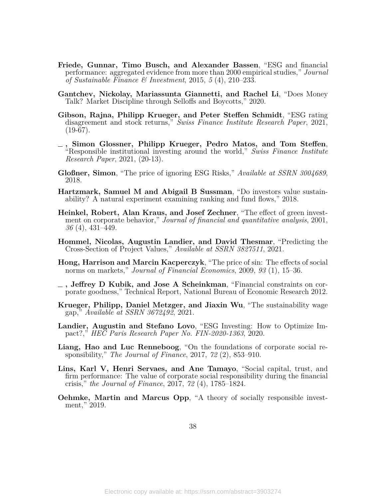- <span id="page-37-4"></span>**Friede, Gunnar, Timo Busch, and Alexander Bassen**, "ESG and financial performance: aggregated evidence from more than 2000 empirical studies," *Journal of Sustainable Finance & Investment*, 2015, *5* (4), 210–233.
- <span id="page-37-13"></span>**Gantchev, Nickolay, Mariassunta Giannetti, and Rachel Li**, "Does Money Talk? Market Discipline through Selloffs and Boycotts," 2020.
- <span id="page-37-3"></span>**Gibson, Rajna, Philipp Krueger, and Peter Steffen Schmidt**, "ESG rating disagreement and stock returns," *Swiss Finance Institute Research Paper*, 2021,  $(19-67)$ .
- <span id="page-37-0"></span>**, Simon Glossner, Philipp Krueger, Pedro Matos, and Tom Steffen**, "Responsible institutional investing around the world," *Swiss Finance Institute Research Paper*, 2021, (20-13).
- <span id="page-37-12"></span>**Gloßner, Simon**, "The price of ignoring ESG Risks," *Available at SSRN 3004689*, 2018.
- <span id="page-37-8"></span>**Hartzmark, Samuel M and Abigail B Sussman**, "Do investors value sustainability? A natural experiment examining ranking and fund flows," 2018.
- <span id="page-37-1"></span>**Heinkel, Robert, Alan Kraus, and Josef Zechner**, "The effect of green investment on corporate behavior," *Journal of financial and quantitative analysis*, 2001, *36* (4), 431–449.
- <span id="page-37-14"></span>**Hommel, Nicolas, Augustin Landier, and David Thesmar**, "Predicting the Cross-Section of Project Values," *Available at SSRN 3827511*, 2021.
- <span id="page-37-2"></span>**Hong, Harrison and Marcin Kacperczyk**, "The price of sin: The effects of social norms on markets," *Journal of Financial Economics*, 2009, *93* (1), 15–36.
- <span id="page-37-5"></span>**, Jeffrey D Kubik, and Jose A Scheinkman**, "Financial constraints on corporate goodness," Technical Report, National Bureau of Economic Research 2012.
- <span id="page-37-6"></span>**Krueger, Philipp, Daniel Metzger, and Jiaxin Wu**, "The sustainability wage gap," *Available at SSRN 3672492*, 2021.
- <span id="page-37-11"></span>**Landier, Augustin and Stefano Lovo**, "ESG Investing: How to Optimize Impact?," *HEC Paris Research Paper No. FIN-2020-1363*, 2020.
- <span id="page-37-9"></span>**Liang, Hao and Luc Renneboog**, "On the foundations of corporate social responsibility," *The Journal of Finance*, 2017, *72* (2), 853–910.
- <span id="page-37-7"></span>**Lins, Karl V, Henri Servaes, and Ane Tamayo**, "Social capital, trust, and firm performance: The value of corporate social responsibility during the financial crisis," *the Journal of Finance*, 2017, *72* (4), 1785–1824.
- <span id="page-37-10"></span>**Oehmke, Martin and Marcus Opp**, "A theory of socially responsible investment," 2019.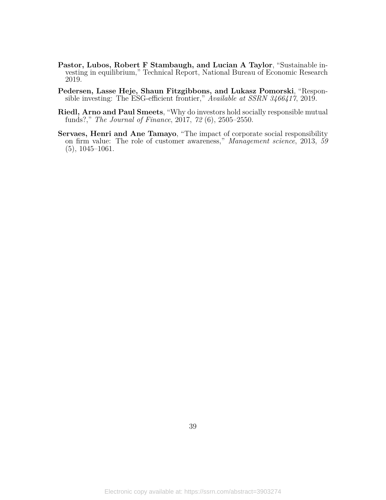- <span id="page-38-0"></span>**Pastor, Lubos, Robert F Stambaugh, and Lucian A Taylor**, "Sustainable investing in equilibrium," Technical Report, National Bureau of Economic Research 2019.
- <span id="page-38-1"></span>**Pedersen, Lasse Heje, Shaun Fitzgibbons, and Lukasz Pomorski**, "Responsible investing: The ESG-efficient frontier," *Available at SSRN 3466417*, 2019.
- <span id="page-38-3"></span>**Riedl, Arno and Paul Smeets**, "Why do investors hold socially responsible mutual funds?," *The Journal of Finance*, 2017, *72* (6), 2505–2550.
- <span id="page-38-2"></span>**Servaes, Henri and Ane Tamayo**, "The impact of corporate social responsibility on firm value: The role of customer awareness," *Management science*, 2013, *59* (5), 1045–1061.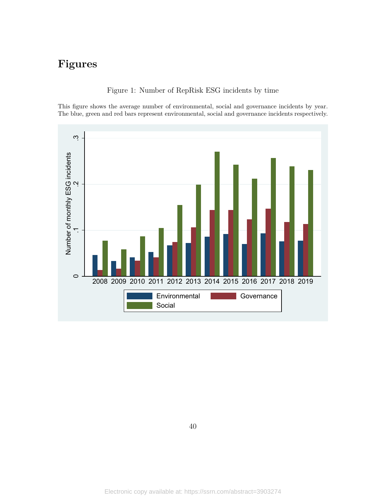# <span id="page-39-0"></span>**Figures**

Figure 1: Number of RepRisk ESG incidents by time

This figure shows the average number of environmental, social and governance incidents by year. The blue, green and red bars represent environmental, social and governance incidents respectively.

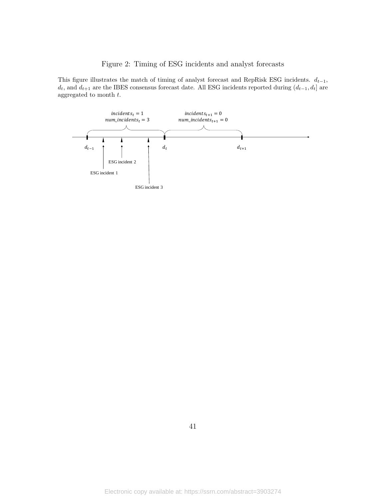# Figure 2: Timing of ESG incidents and analyst forecasts

<span id="page-40-0"></span>This figure illustrates the match of timing of analyst forecast and RepRisk ESG incidents.  $d_{t-1}$ , *dt*, and *dt*+1 are the IBES consensus forecast date. All ESG incidents reported during (*dt−*1*, dt*] are aggregated to month *t*.

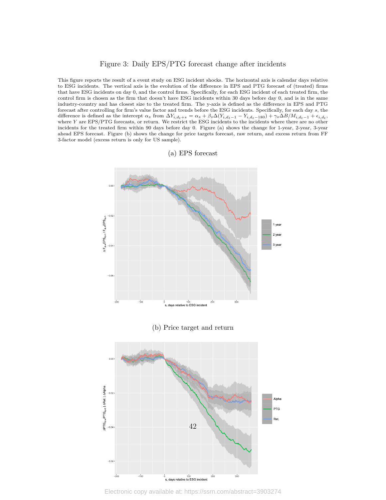#### Figure 3: Daily EPS/PTG forecast change after incidents

<span id="page-41-0"></span>This figure reports the result of a event study on ESG incident shocks. The horizontal axis is calendar days relative to ESG incidents. The vertical axis is the evolution of the difference in EPS and PTG forecast of (treated) firms that have ESG incidents on day 0, and the control firms. Specifically, for each ESG incident of each treated firm, the control firm is chosen as the firm that doesn't have ESG incidents within 30 days before day 0, and is in the same industry-country and has closest size to the treated firm. The y-axis is defined as the difference in EPS and PTG forecast after controlling for firm's value factor and trends before the ESG incidents. Specifically, for each day *s*, the difference is defined as the intercept  $\alpha_s$  from  $\Delta Y_{i,d_t+s} = \alpha_s + \beta_s \Delta(Y_{i,d_t-1} - Y_{i,d_t-180}) + \gamma_s \Delta B/M_{i,d_t-1} + \epsilon_{i,d_t}$ where *Y* are EPS/PTG forecasts, or return. We restrict the ESG incidents to the incidents where there are no other incidents for the treated firm within 90 days before day 0. Figure (a) shows the change for 1-year, 2-year, 3-year ahead EPS forecast. Figure (b) shows the change for price targets forecast, raw return, and excess return from FF 3-factor model (excess return is only for US sample).

#### (a) EPS forecast



Electronic copy available at: https://ssrn.com/abstract=3903274

 $\stackrel{\leftarrow}{\text{s}}$ , days relative to ESG incident

.<br>200

 $\frac{1}{4}$ 

 $\frac{1}{300}$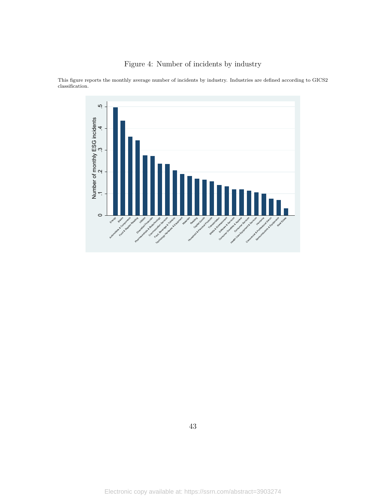

<span id="page-42-0"></span>This figure reports the monthly average number of incidents by industry. Industries are defined according to GICS2 classification.

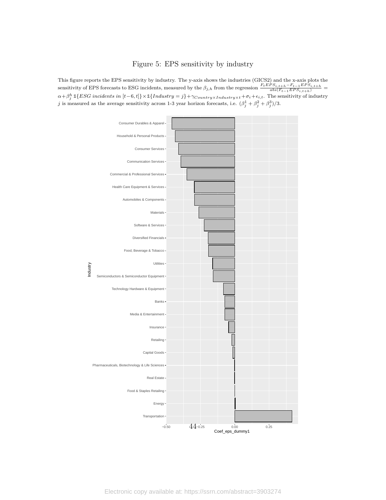### Figure 5: EPS sensitivity by industry

<span id="page-43-0"></span>This figure reports the EPS sensitivity by industry. The y-axis shows the industries (GICS2) and the x-axis plots the sensitivity of EPS forecasts to ESG incidents, measured by the  $\beta_{j,h}$  from the regression  $\frac{F_t EPS_{i,t+h} - F_{t-1} EPS_{i,t+h}}{abs(F_{t-1} EPS_{i,t+h})}$  $\alpha+\beta_j^h$  1 $\{ESG\ incidents\ in\ [t-6,t]\}\times$  1 $\{Industry=j\}+\gamma_{Country\times Industry\times t}+\sigma_i+\epsilon_{i,t}.$  The sensitivity of industry *j* is measured as the average sensitivity across 1-3 year horizon forecasts, i.e.  $(\beta_j^1 + \beta_j^2 + \beta_j^3)/3$ .



Electronic copy available at: https://ssrn.com/abstract=3903274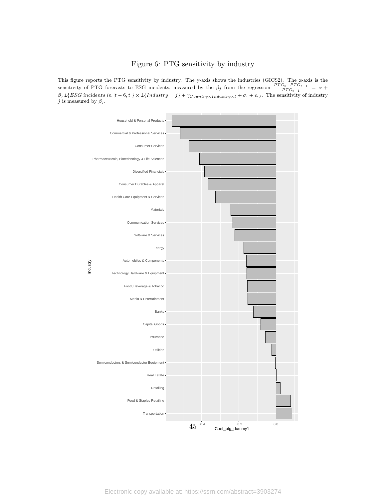#### Figure 6: PTG sensitivity by industry

<span id="page-44-0"></span>This figure reports the PTG sensitivity by industry. The y-axis shows the industries (GICS2). The x-axis is the sensitivity of PTG forecasts to ESG incidents, measured by the  $\beta_j$  from the regression  $\frac{PTG_t - PTG_{t-1}}{PTG_{t-1}} = \alpha + \frac{P}{T}$  $\beta_j \mathbb{1}{ESG}$  incidents in  $[t-6, t] \times \mathbb{1}{Industry = j} + \gamma_{Country \times Industry \times t} + \sigma_i + \epsilon_{i,t}$ . The sensitivity of industry *j* is measured by  $\beta_j$ .



Electronic copy available at: https://ssrn.com/abstract=3903274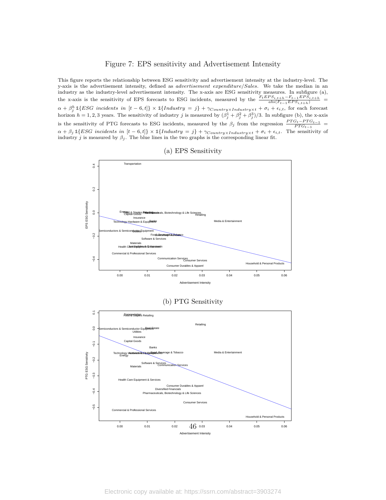#### Figure 7: EPS sensitivity and Advertisement Intensity

<span id="page-45-0"></span>This figure reports the relationship between ESG sensitivity and advertisement intensity at the industry-level. The y-axis is the advertisement intensity, defined as *advertisement expenditure/Sales*. We take the median in an industry as the industry-level advertisement intensity. The x-axis are ESG sensitivity measures. In subfigure (a), the x-axis is the sensitivity of EPS forecasts to ESG incidents, measured by the  $\frac{F_t EPS_{i,t+h}-F_{t-1} EPS_{i,t+h}}{abs(F_{t-1} EPS_{i,t+h})}$  $\alpha + \beta_j^h$  1{ESG incidents in  $[t-6, t]$ }  $\times$  1{Industry = j} +  $\gamma_{Country \times Industry \times t} + \sigma_i + \epsilon_{i,t}$ , for each forecast horizon  $h = 1, 2, 3$  years. The sensitivity of industry *j* is measured by  $(\beta_j^1 + \beta_j^2 + \beta_j^3)/3$ . In subfigure (b), the x-axis is the sensitivity of PTG forecasts to ESG incidents, measured by the  $\beta_j$  from the regression  $\frac{PTG_t - PTG_{t-1}}{PTG_{t-1}}$  $\alpha + \beta_j \mathbb{1}{ESG}$  incidents in  $[t-6, t] \times \mathbb{1}{Industry = j} + \gamma_{Country \times Industry \times t} + \sigma_i + \epsilon_{i,t}$ . The sensitivity of industry *j* is measured by  $\beta_j$ . The blue lines in the two graphs is the corresponding linear fit.



(a) EPS Sensitivity

#### (b) PTG Sensitivity

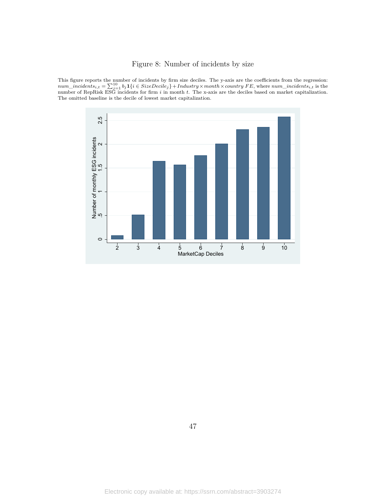# Figure 8: Number of incidents by size

<span id="page-46-0"></span>This figure reports the number of incidents by firm size deciles. The y-axis are the coefficients from the regression:  $num\_incidents_{i,t} = \sum_{j=1}^{10} b_j \mathbf{1}\{i \in SizeDecile_j\} + Industry \times month \times country \text{ } FE,$  where  $num\_incidents_{i,t}$  is the number of RepRisk ESG incidents for firm i in month t. The x-axis are the deciles based on market capitalization. The omitted baseline is the decile of lowest market capitalization.

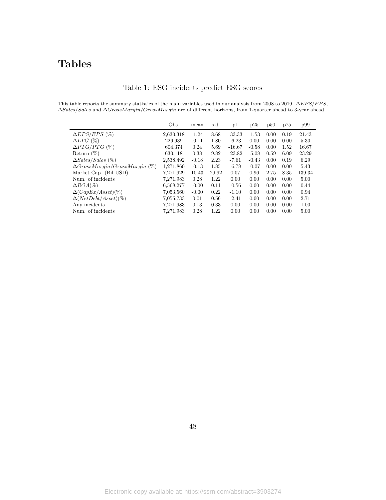# **Tables**

|  |  | Table 1: ESG incidents predict ESG scores |  |  |  |
|--|--|-------------------------------------------|--|--|--|
|--|--|-------------------------------------------|--|--|--|

<span id="page-47-0"></span>This table reports the summary statistics of the main variables used in our analysis from 2008 to 2019. ∆*EP S/EP S*, ∆*Sales/Sales* and ∆*GrossMargin/GrossMargin* are of different horizons, from 1-quarter ahead to 3-year ahead.

|                                      | Obs.      | mean    | s.d.  | p1       | p25     | p50  | p75  | p99    |
|--------------------------------------|-----------|---------|-------|----------|---------|------|------|--------|
| $\Delta EPS/EPS$ (%)                 | 2,630,318 | $-1.24$ | 8.68  | $-33.33$ | $-1.53$ | 0.00 | 0.19 | 21.43  |
| $\Delta LTG~(\%)$                    | 226,939   | $-0.11$ | 1.80  | $-6.23$  | 0.00    | 0.00 | 0.00 | 5.30   |
| $\Delta PTG/PTG$ (%)                 | 604,374   | 0.24    | 5.69  | $-16.67$ | $-0.58$ | 0.00 | 1.52 | 16.67  |
| Return $(\%)$                        | 630,118   | 0.38    | 9.82  | $-23.82$ | $-5.08$ | 0.59 | 6.09 | 23.29  |
| $\Delta Sales/Sales$ (%)             | 2,538,492 | $-0.18$ | 2.23  | $-7.61$  | $-0.43$ | 0.00 | 0.19 | 6.29   |
| $\Delta GrossMargin/GrossMargin$ (%) | 1,271,860 | $-0.13$ | 1.85  | $-6.78$  | $-0.07$ | 0.00 | 0.00 | 5.43   |
| Market Cap. (Bil USD)                | 7,271,929 | 10.43   | 29.92 | 0.07     | 0.96    | 2.75 | 8.35 | 139.34 |
| Num. of incidents                    | 7,271,983 | 0.28    | 1.22  | 0.00     | 0.00    | 0.00 | 0.00 | 5.00   |
| $\triangle ROA(\%)$                  | 6,568,277 | $-0.00$ | 0.11  | $-0.56$  | 0.00    | 0.00 | 0.00 | 0.44   |
| $\Delta(CapEx/Asset)(\%)$            | 7,053,560 | $-0.00$ | 0.22  | $-1.10$  | 0.00    | 0.00 | 0.00 | 0.94   |
| $\Delta(NetDebt/Asset)(\%)$          | 7,055,733 | 0.01    | 0.56  | $-2.41$  | 0.00    | 0.00 | 0.00 | 2.71   |
| Any incidents                        | 7,271,983 | 0.13    | 0.33  | 0.00     | 0.00    | 0.00 | 0.00 | 1.00   |
| Num. of incidents                    | 7,271,983 | 0.28    | 1.22  | 0.00     | 0.00    | 0.00 | 0.00 | 5.00   |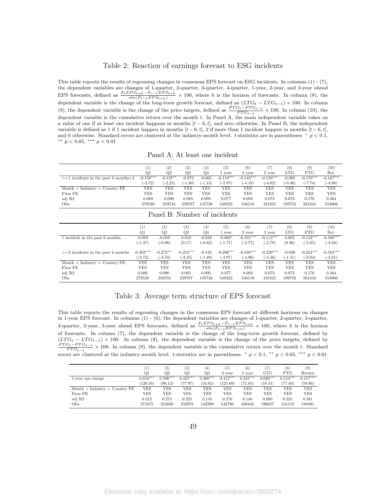#### Table 2: Reaction of earnings forecast to ESG incidents

<span id="page-48-0"></span>This table reports the results of regressing changes in consensus EPS forecast on ESG incidents. In columns (1) - (7), the dependent variables are changes of 1-quarter, 2-quarter, 3-quarter, 4-quarter, 1-year, 2-year, and 3-year ahead EPS forecasts, defined as  $\frac{F_t EPS_{t+h} - F_{t-1} EPS_{t+h}}{abs(F_{t-1} EPS_{t+h})} \times 100$ , where h is the horizon of forecasts. In column (8), the dependent variable is the change of the long-term growth forecast, defined as  $(LTG_t - LTG_{t-1}) \times 100$ . In column (9), the dependent variable is the change of the price targets, defined as  $\frac{PTG_t - PTG_{t-1}}{PTG_{t-1}} \times 100$ . In column (10), the dependent variable is the cumulative return over the month *t*. In Panel A, the main independent variable takes on a value of one if at least one incident happens in months [*t −* 6*, t*], and zero otherwise. In Panel B, the independent variable is defined as 1 if 1 incident happen in months  $[t-6, t]$ , 2 if more than 1 incident happen in months  $[t-6, t]$ , and 0 otherwise. Standard errors are clustered at the industry-month level. *t*-statistics are in parentheses. *∗ p <* 0*.*1, *∗∗ p <* 0*.*05, *∗∗∗ p <* 0*.*01

Panel A: At least one incident

|                                             |             | (2)        | (3)        | (4)            | $\left( 5\right)$ | (6)         | 7)          | (8)          | (9)         | (10)        |
|---------------------------------------------|-------------|------------|------------|----------------|-------------------|-------------|-------------|--------------|-------------|-------------|
|                                             | Q1          | Q2         | Q3         | Q <sub>4</sub> | vear              | 2 year      | 3 year      | $_{\rm LTG}$ | <b>PTG</b>  | Ret.        |
| $>=1$ incidents in the past 6 months=1      | $-0.158***$ | $-0.125**$ | $-0.072$   | $-0.065$       | $-0.110***$       | $-0.143***$ | $-0.150***$ | $-0.005$     | $-0.170***$ | $-0.167***$ |
|                                             | $(-2.72)$   | $-2.25$    | $(-1.30)$  | $(-1.13)$      | $-2.97$           | $(-4.19)$   | $(-4.02)$   | $(-0.40)$    | $(-7.74)$   | $(-4.98)$   |
| Month $\times$ Industry $\times$ Country FE | YES         | YES        | YES        | YES            | YES               | YES         | YES         | YES          | YES         | YES         |
| Firm FE                                     | YES         | YES        | <b>YES</b> | YES            | YES               | YES         | YES         | YES          | <b>YES</b>  | YES         |
| adj R2                                      | 0.089       | 0.090      | 0.085      | 0.095          | 0.077             | 0.093       | 0.073       | 0.073        | 0.176       | 0.364       |
| Obs.                                        | 279530      | 259734     | 239787     | 145738         | 548322            | 546116      | 421821      | 199753       | 561343      | 554966      |

|                                             | $\left(1\right)$ | (2)         | $\left( 3\right)$ | $^{(4)}$  | (5)         | (6)         | (7)         | (8)        | (9)         | (10)        |
|---------------------------------------------|------------------|-------------|-------------------|-----------|-------------|-------------|-------------|------------|-------------|-------------|
|                                             | Q1               | $_{\rm Q2}$ | Q3                | $Q_4$     | 1 vear      | 2 year      | 3 year      | LTG        | <b>PTG</b>  | Ret.        |
| 1 incident in the past 6 months             | $-0.093$         | $-0.059$    | 0.010             | $-0.039$  | $-0.069*$   | $-0.101***$ | $-0.113***$ | 0.005      | $-0.133***$ | $-0.160***$ |
|                                             | $(-1.47)$        | $(-0.98)$   | (0.17)            | $(-0.62)$ | $(-1.71)$   | $(-2.77)$   | $(-2.78)$   | (0.36)     | $(-5.65)$   | $(-4.50)$   |
|                                             |                  |             |                   |           |             |             |             |            |             |             |
| $>=$ 2 incidents in the past 6 months       | $-0.302***$      | $-0.273***$ | $-0.253***$       | $-0.125$  | $-0.206***$ | $-0.240***$ | $-0.229***$ | $-0.026$   | $-0.254***$ | $-0.184***$ |
|                                             | $-3.72)$         | $(-3.54)$   | $(-3.35)$         | $(-1.49)$ | $(-3.97)$   | $(-4.96)$   | $(-4.46)$   | $(-1.51)$  | $(-8.04)$   | $(-3.81)$   |
| Month $\times$ Industry $\times$ Country FE | YES              | YES         | YES               | YES       | YES         | YES         | YES         | YES        | YES         | YES         |
| Firm FE                                     | YES              | <b>YES</b>  | YES               | YES       | <b>YES</b>  | YES         | YES         | <b>YES</b> | <b>YES</b>  | YES         |
| adj R2                                      | 0.089            | 0.090       | 0.085             | 0.095     | 0.077       | 0.093       | 0.073       | 0.073      | 0.176       | 0.364       |
| Obs.                                        | 279530           | 259734      | 239787            | 145738    | 548322      | 546116      | 421821      | 199753     | 561343      | 554966      |

Panel B: Number of incidents

#### Table 3: Average term structure of EPS forecast

<span id="page-48-1"></span>This table reports the results of regressing changes in the consensus EPS forecast at different horizons on changes in 1-year EPS forecast. In columns (1) - (6), the dependent variables are changes of 1-quarter, 2-quarter, 3-quarter, 4-quarter, 2-year, 3-year ahead EPS forecasts, defined as  $\frac{F_t EPS_{t+h} - F_{t-1} EPS_{t+h}}{abs(F_{t-1} EPS_{t+h})} \times 100$ , where h is the horizon of forecasts. In column (7), the dependent variable is the change of the long-term growth forecast, defined by  $(LTG_t - LTG_{t-1}) \times 100$ . In column (8), the dependent variable is the change of the price targets, defined by  $\frac{PTG_t - PTG_{t-1}}{PTG_{t-1}} \times 100$ . In column (9), the dependent variable is the cumulative return over the month *t*. Standard errors are clustered at the industry-month level. *t*-statistics are in parentheses.  $*$   $p < 0.1$ ,  $**$   $p < 0.05$ ,  $**$   $p < 0.01$ 

|                                             | 1.         | (2)        | (3)        | (4)        | (5)        | (6)        |            | (8)        | $\left( 9\right)$ |
|---------------------------------------------|------------|------------|------------|------------|------------|------------|------------|------------|-------------------|
|                                             | Q1         | Q2         | Q3         | Q4         | 2 year     | 3 year     | LTG        | PTG        | Return            |
| 1-year eps change                           | $0.616***$ | $0.506***$ | $0.425***$ | $0.306***$ | $0.412***$ | $0.255***$ | $0.020***$ | $0.154***$ | $0.157***$        |
|                                             | (120.16)   | (96.12)    | (77.97)    | (34.82)    | (125.69)   | (71.05)    | (18.41)    | (77.40)    | (59.86)           |
| Month $\times$ Industry $\times$ Country FE | YES        | YES        | YES        | YES        | YES        | YES        | YES        | YES        | YES               |
| Firm FE                                     | YES        | YES        | YES        | YES        | YES        | YES        | YES        | YES        | YES               |
| adj R2                                      | 0.312      | 0.273      | 0.225      | 0.155      | 0.270      | 0.140      | 0.080      | 0.231      | 0.381             |
| Obs.                                        | 271875     | 253030     | 233978     | 142399     | 542786     | 420445     | 196627     | 531519     | 548491            |

49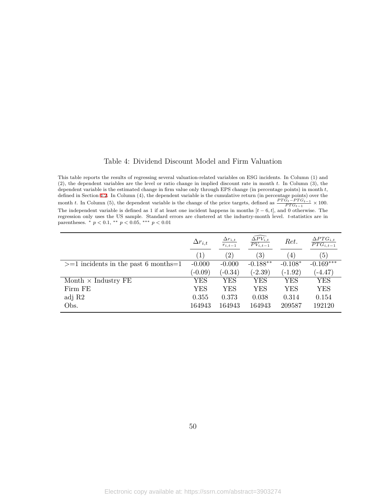#### Table 4: Dividend Discount Model and Firm Valuation

<span id="page-49-0"></span>This table reports the results of regressing several valuation-related variables on ESG incidents. In Column (1) and (2), the dependent variables are the level or ratio change in implied discount rate in month *t*. In Column (3), the dependent variable is the estimated change in firm value only through EPS change (in percentage points) in month *t*, defined in Section [4.2.](#page-20-0) In Column (4), the dependent variable is the cumulative return (in percentage points) over the month *t*. In Column (5), the dependent variable is the change of the price targets, defined as  $\frac{PTG_t - PTG_{t-1}}{PTG_{t-1}} \times 100$ . The independent variable is defined as 1 if at least one incident happens in months  $[t-6, t]$ , and 0 otherwise. The regression only uses the US sample. Standard errors are clustered at the industry-month level. *t*-statistics are in parentheses. *∗ p <* 0*.*1, *∗∗ p <* 0*.*05, *∗∗∗ p <* 0*.*01

|                                        | $\Delta r_{i,t}$  | $\Delta r_{i,t}$<br>$r_{i,t-1}$ | $\widehat{\Delta PV_{i,t}}$<br>$\overline{PV_{i,t-1}}$ | Ret.             | $\Delta PTG_{i,t}$<br>$\overline{PTG_{i,t-1}}$ |
|----------------------------------------|-------------------|---------------------------------|--------------------------------------------------------|------------------|------------------------------------------------|
|                                        | $\left( 1\right)$ | $\left( 2\right)$               | $\left( 3\right)$                                      | $\left(4\right)$ | (5)                                            |
| $>=1$ incidents in the past 6 months=1 | $-0.000$          | $-0.000$                        | $-0.188**$                                             | $-0.108*$        | $-0.169***$                                    |
|                                        | $(-0.09)$         | $(-0.34)$                       | $(-2.39)$                                              | $(-1.92)$        | $(-4.47)$                                      |
| Month $\times$ Industry FE             | YES               | <b>YES</b>                      | YES                                                    | YES              | <b>YES</b>                                     |
| Firm FE                                | <b>YES</b>        | YES                             | YES                                                    | YES              | YES                                            |
| adj R2                                 | 0.355             | 0.373                           | 0.038                                                  | 0.314            | 0.154                                          |
| Obs.                                   | 164943            | 164943                          | 164943                                                 | 209587           | 192120                                         |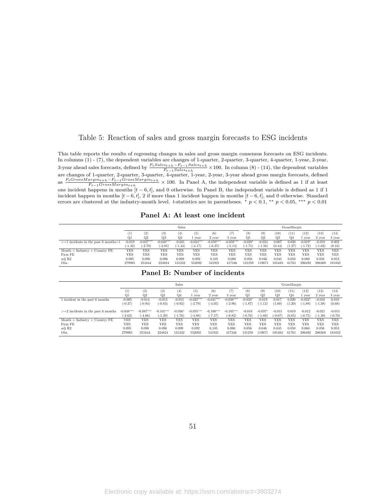#### <span id="page-50-0"></span>Table 5: Reaction of sales and gross margin forecasts to ESG incidents

This table reports the results of regressing changes in sales and gross margin consensus forecasts on ESG incidents. In columns (1) - (7), the dependent variables are changes of 1-quarter, 2-quarter, 3-quarter, 4-quarter, 1-year, 2-year, 3-year ahead sales forecasts, defined by  $\frac{F_t Sales_{t+h} - F_{t-1} Sales_{t+h}}{F_{t-1} Sales_{t+h}} \times 100$ . In column (8) - (14), the dependent variables are changes of 1-quarter, 2-quarter, 3-quarter, 4-quarter, 1-year, 2-year, 3-year ahead gross margin forecasts, defined as  $\frac{F_tGrossMargin_{t+h} - F_{t-1}GrossMargin_{t+h}}{F_{t-1}GrossMargin_{t+h}} \times 100$ . In Panel A, the independent variable is defined as 1 if at least *<sup>F</sup>t−*1*GrossMargint*+*<sup>h</sup>* one incident happens in months [*t −* 6*, t*], and 0 otherwise. In Panel B, the independent variable is defined as 1 if 1 incident happen in months [*t −* 6*, t*], 2 if more than 1 incident happen in months [*t −* 6*, t*], and 0 otherwise. Standard errors are clustered at the industry-month level. *t*-statistics are in parentheses.  $*$   $p < 0.1$ ,  $**$   $p < 0.05$ ,  $**$   $p < 0.01$ 

**Panel A: At least one incident**

|                                             |                | <b>Sales</b>      |                   |                  |             |             | GrossMargin |                |                |        |        |           |            |        |
|---------------------------------------------|----------------|-------------------|-------------------|------------------|-------------|-------------|-------------|----------------|----------------|--------|--------|-----------|------------|--------|
|                                             | (1             | $\left( 2\right)$ | $\left( 3\right)$ | $\left(4\right)$ | (5)         | (6)         | (7)         | (8)            | (9)            | (10)   | `11)   | (12)      | (13)       | (14)   |
|                                             | Q <sub>1</sub> | O <sub>2</sub>    | Q3                | Q4               | vear        | 2 year      | 3 year      | Q <sub>1</sub> | O <sub>2</sub> | Q3     | O4     | vear      | 2 year     | 3 year |
| $>=1$ incidents in the past 6 months $=1$   | $-0.019$       | $-0.037***$       | $-0.040***$       | $-0.021$         | $-0.034***$ | $-0.059***$ | $-0.059***$ | $-0.029*$      | $-0.024$       | 0.007  | 0.020  | $-0.019*$ | $-0.018$   | 0.002  |
|                                             | $-1.42$        | $(-2.70)$         | $(-2.85)$         | $(-1.44)$        | $(-4.17)$   | $-6.25$     | $(-5.14)$   | $(-1.71)$      | $(-1.56)$      | (0.44) | (1.27) | $(-1.72)$ | $(-1.62)$  | (0.16) |
| Month $\times$ Industry $\times$ Country FE | YES            | YES               | YES               | YES              | YES         | YES         | YES         | <b>YES</b>     | YES            | YES    | YES    | YES       | YES        | YES    |
| Firm FE                                     | YES            | <b>YES</b>        | <b>YES</b>        | YES              | YES         | <b>YES</b>  | <b>YES</b>  | <b>YES</b>     | YES            | YES    | YES    | YES       | <b>YES</b> | YES    |
| adj R2                                      | 0.095          | 0.098             | 0.096             | 0.099            | 0.092       | 0.105       | 0.086       | 0.056          | 0.046          | 0.045  | 0.050  | 0.060     | 0.056      | 0.053  |
| Obs.                                        | 279985         | 251644            | 224824            | 131232           | 552092      | 541921      | 417346      | 131259         | 119671         | 105483 | 61761  | 296492    | 286369     | 181832 |

| Panel B: Number of incidents |  |
|------------------------------|--|
|------------------------------|--|

|                                             |             |             |             | <b>Sales</b> |             |             |             | GrossMargin |            |            |            |           |            |            |
|---------------------------------------------|-------------|-------------|-------------|--------------|-------------|-------------|-------------|-------------|------------|------------|------------|-----------|------------|------------|
|                                             | $_{(1)}$    | (2)         | (3)         | (4)          | (5)         | (6)         | (7)         | (8)         | (9)        | (10)       | (11)       | (12)      | (13)       | (14)       |
|                                             | Q1          | $_{\rm Q2}$ | Q3          | $Q_4$        | 1 year      | 2 year      | 3 year      | Q1          | Q2         | Q3         | Q4         | vear      | 2 year     | 3 year     |
| 1 incident in the past 6 months             | $-0.005$    | $-0.014$    | $-0.013$    | $-0.015$     | $-0.025***$ | $-0.041***$ | $-0.038***$ | $-0.033*$   | $-0.019$   | 0.017      | 0.020      | $-0.022*$ | $-0.016$   | 0.010      |
|                                             | $(-0.37)$   | $(-0.94)$   | $(-0.83)$   | $(-0.92)$    | $(-2.79)$   | $(-4.05)$   | $(-2.96)$   | $(-1.87)$   | $(-1.12)$  | (1.00)     | (1.20)     | $(-1.88)$ | (-1.38)    | (0.68)     |
|                                             |             |             |             |              |             |             |             |             |            |            |            |           |            |            |
| $>=$ 2 incidents in the past 6 months       | $-0.048***$ | $-0.087***$ | $-0.101***$ | $-0.036$     | $-0.055***$ | $-0.100***$ | $-0.105***$ | $-0.018$    | $-0.037$   | $-0.015$   | 0.019      | $-0.012$  | $-0.021$   | $-0.015$   |
|                                             | $(-2.62)$   | $-4.66$ )   | $(-5.29)$   | $(-1.76)$    | $(-4.88)$   | $(-7.57)$   | $(-6.82)$   | $(-0.76)$   | $(-1.69)$  | $-0.67$    | (0.85)     | $(-0.75)$ | $(-1.30)$  | $(-0.78)$  |
| Month $\times$ Industry $\times$ Country FE | <b>YES</b>  | <b>YES</b>  | YES         | YES          | <b>YES</b>  | YES         | YES         | YES         | <b>YES</b> | YES        | YES        | YES       | <b>YES</b> | <b>YES</b> |
| Firm FE                                     | <b>YES</b>  | <b>YES</b>  | <b>YES</b>  | <b>YES</b>   | <b>YES</b>  | <b>YES</b>  | <b>YES</b>  | <b>YES</b>  | <b>YES</b> | <b>YES</b> | <b>YES</b> | YES       | <b>YES</b> | <b>YES</b> |
| adj R2                                      | 0.095       | 0.098       | 0.096       | 0.099        | 0.092       | 0.105       | 0.086       | 0.056       | 0.046      | 0.045      | 0.050      | 0.060     | 0.056      | 0.053      |
| Obs.                                        | 279985      | 251644      | 224824      | 131232       | 552092      | 541921      | 417346      | 131259      | 1967       | 105483     | 61761      | 296492    | 286369     | 181832     |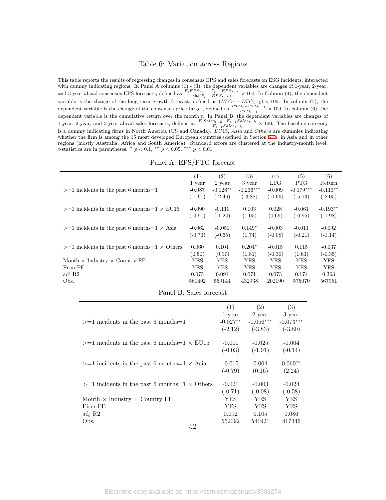#### Table 6: Variation across Regions

<span id="page-51-0"></span>This table reports the results of regressing changes in consensus EPS and sales forecasts on ESG incidents, interacted with dummy indicating regions. In Panel A columns (1) - (3), the dependent variables are changes of 1-year, 2-year, and 3-year ahead consensus EPS forecasts, defined as  $\frac{F_t EPS_{t+h} - F_{t-1} EPS_{t+h}}{abs(F_{t-1} EPS_{t+h})} \times 100$ . In Column (4), the dependent variable is the change of the long-term growth forecast, defined as  $(LTG_t - LTG_{t-1}) \times 100$ . In column (5), the dependent variable is the change of the consensus price target, defined as  $\frac{PTG_t - PTG_{t-1}}{PTG_{t-1}} \times 100$ . In column (6), the dependent variable is the cumulative return over the month *t*. In Panel B, the dependent variables are changes of 1-year, 2-year, and 3-year ahead sales forecasts, defined as  $\frac{F_t Sales_{t+h} - F_{t-1} Sales_{t+h}}{F_{t-1} Sales_{t+h}} \times 100$ . The baseline category is a dummy indicating firms in North America (US and Canada). *EU*15, *Asia* and *Others* are dummies indicating whether the firm is among the 15 most developed European countries (defined in Section [6.1\)](#page-24-1), in Asia and in other regions (mostly Australia, Africa and South America). Standard errors are clustered at the industry-month level. *t*-statistics are in parentheses. *∗ p <* 0*.*1, *∗∗ p <* 0*.*05, *∗∗∗ p <* 0*.*01

| Panel A: EPS/PTG forecast |  |  |  |
|---------------------------|--|--|--|
|---------------------------|--|--|--|

|                                                         | $\left( 1\right)$ | (2)        | (3)         | (4)        | (5)         | (6)        |
|---------------------------------------------------------|-------------------|------------|-------------|------------|-------------|------------|
|                                                         | 1 year            | 2 year     | 3 year      | <b>LTG</b> | <b>PTG</b>  | Return     |
| $>=1$ incidents in the past 6 months=1                  | $-0.087$          | $-0.126**$ | $-0.236***$ | $-0.009$   | $-0.179***$ | $-0.113**$ |
|                                                         | $(-1.61)$         | $(-2.46)$  | $(-3.88)$   | $(-0.66)$  | $(-5.13)$   | $(-2.05)$  |
| $>=1$ incidents in the past 6 months=1 $\times$ EU15    | $-0.090$          | $-0.110$   | 0.103       | 0.028      | $-0.061$    | $-0.193**$ |
|                                                         | $(-0.91)$         | $(-1.24)$  | (1.05)      | (0.69)     | $(-0.95)$   | $(-1.98)$  |
| $>=1$ incidents in the past 6 months $=1 \times$ Asia   | $-0.062$          | $-0.051$   | $0.149*$    | $-0.003$   | $-0.011$    | $-0.092$   |
|                                                         | $(-0.73)$         | $(-0.65)$  | (1.74)      | $(-0.08)$  | $(-0.21)$   | $(-1.14)$  |
| $>=1$ incidents in the past 6 months $=1 \times$ Others | 0.060             | 0.104      | $0.204*$    | $-0.015$   | 0.115       | $-0.037$   |
|                                                         | (0.50)            | (0.97)     | (1.81)      | $(-0.30)$  | (1.63)      | $(-0.35)$  |
| Month $\times$ Industry $\times$ Country FE             | YES               | YES        | YES         | YES        | YES         | YES        |
| Firm FE                                                 | YES               | YES        | YES         | YES        | <b>YES</b>  | YES        |
| adj R2                                                  | 0.075             | 0.091      | 0.071       | 0.073      | 0.174       | 0.363      |
| Obs.                                                    | 561492            | 559144     | 432938      | 202190     | 575070      | 567951     |

|                                                         | (1)        | (2)         | (3)         |
|---------------------------------------------------------|------------|-------------|-------------|
|                                                         | 1 year     | 2 year      | 3 year      |
| $>=1$ incidents in the past 6 months $=1$               | $-0.027**$ | $-0.056***$ | $-0.073***$ |
|                                                         | $(-2.12)$  | $(-3.83)$   | $(-3.80)$   |
| $>=1$ incidents in the past 6 months $=1 \times$ EU15   | $-0.001$   | $-0.025$    | $-0.004$    |
|                                                         | $(-0.03)$  | $(-1.01)$   | $(-0.14)$   |
| $>=1$ incidents in the past 6 months $=1 \times$ Asia   | $-0.015$   | 0.004       | $0.060**$   |
|                                                         | $(-0.79)$  | (0.16)      | (2.24)      |
|                                                         |            |             |             |
| $>=1$ incidents in the past 6 months $=1 \times$ Others | $-0.021$   | $-0.003$    | $-0.024$    |
|                                                         | $(-0.71)$  | $(-0.08)$   | $(-0.58)$   |
| Month $\times$ Industry $\times$ Country FE             | YES        | <b>YES</b>  | YES         |
| Firm FE                                                 | YES        | <b>YES</b>  | YES         |
| adj R2                                                  | 0.092      | 0.105       | 0.086       |
| Obs.<br>52                                              | 552092     | 541921      | 417346      |
|                                                         |            |             |             |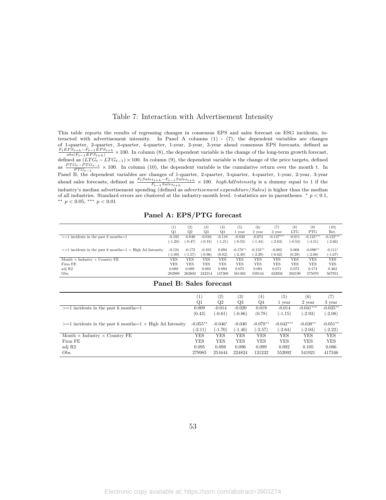#### Table 7: Interaction with Advertisement Intensity

<span id="page-52-0"></span>This table reports the results of regressing changes in consensus EPS and sales forecast on ESG incidents, interacted with advertisement intensity. In Panel A columns (1) - (7), the dependent variables are changes of 1-quarter, 2-quarter, 3-quarter, 4-quarter, 1-year, 2-year, 3-year ahead consensus EPS forecasts, defined as  $\frac{F_t EPS_{t+h} - F_{t-1} EPS_{t+h}}{abs(F_{t-1} EPS_{t+h})} \times 100.$  In column (8), the dependent variable is the change of the long-term growth forecast, defined as  $(LTG_t - LTG_{t-1}) \times 100$ . In column (9), the dependent variable is the change of the price targets, defined as  $\frac{PTG_t - PTG_{t-1}}{PTG_{t-1}} \times 100$ . In column (10), the dependent variable is the cumulative return over the month *t*. In Panel B, the dependent variables are changes of 1-quarter, 2-quarter, 3-quarter, 4-quarter, 1-year, 2-year, 3-year ahead sales forecasts, defined as  $\frac{F_t S a le s_{t+h} - F_{t-1} S a le s_{t+h}}{F_{t-1} S a le s_{t+h}} \times 100$ . highAdIntensity is a dummy equal to 1 if the industry's median advertisement spending (defined as *advertisement expenditure/Sales*) is higher than the median of all industries. Standard errors are clustered at the industry-month level. *t*-statistics are in parentheses. *∗ p <* 0*.*1, *∗∗ p <* 0*.*05, *∗∗∗ p <* 0*.*01

#### **Panel A: EPS/PTG forecast**

|                                                                    | $_{(1)}$              | (2)                   | (3)                   | $^{(4)}$        | (5)                     | (6)<br>2 year           | (7)<br>3 year         | $^{(8)}$<br>LTG | (9<br><b>PTG</b>        | (10)                   |
|--------------------------------------------------------------------|-----------------------|-----------------------|-----------------------|-----------------|-------------------------|-------------------------|-----------------------|-----------------|-------------------------|------------------------|
| $>=1$ incidents in the past 6 months=1                             | Q1<br>$-0.103$        | Q2<br>$-0.040$        | Q3<br>$-0.016$        | Q4<br>$-0.110$  | vear<br>$-0.030$        | $-0.074$                | $-0.147***$           | $-0.011$        | $-0.135***$             | Ret.<br>$-0.122***$    |
|                                                                    | $(-1.20)$             | $(-0.47)$             | $(-0.18)$             | $(-1.21)$       | $(-0.53)$               | $(-1.44)$               | $(-2.63)$             | $(-0.54)$       | $(-4.51)$               | $(-2.66)$              |
| $>=1$ incidents in the past 6 months $=1 \times$ High Ad Intensity | $-0.124$<br>$(-1.09)$ | $-0.172$<br>$(-1.57)$ | $-0.105$<br>$(-0.96)$ | 0.094<br>(0.82) | $-0.178**$<br>$(-2.49)$ | $-0.152**$<br>$(-2.29)$ | $-0.002$<br>$(-0.02)$ | 0.008<br>(0.29) | $-0.090**$<br>$(-2.06)$ | $-0.111*$<br>$(-1.67)$ |
| Month $\times$ Industry $\times$ Country FE                        | YES                   | YES                   | <b>YES</b>            | YES             | YES                     | YES                     | YES                   | <b>YES</b>      | <b>YES</b>              | <b>YES</b>             |
| Firm FE                                                            | YES                   | YES                   | <b>YES</b>            | <b>YES</b>      | <b>YES</b>              | <b>YES</b>              | YES                   | <b>YES</b>      | YES                     | <b>YES</b>             |
| adj R2                                                             | 0.088                 | 0.089                 | 0.083                 | 0.093           | 0.075                   | 0.091                   | 0.071                 | 0.073           | 0.174                   | 0.363                  |
| Obs.                                                               | 282989                | 262602                | 242214                | 147308          | 561492                  | 559144                  | 432938                | 202190          | 575070                  | 567951                 |

#### **Panel B: Sales forecast**

|                                                                   | $\left  \right $ | $\left( 2\right)$ | $\left( 3\right)$ | (4)        | (5)         | (6)         | (7)        |
|-------------------------------------------------------------------|------------------|-------------------|-------------------|------------|-------------|-------------|------------|
|                                                                   | Q1               | Q2                | Q3                | Q4         | 1 year      | 2 year      | 3 year     |
| $>=1$ incidents in the past 6 months=1                            | 0.009            | $-0.014$          | $-0.020$          | 0.019      | $-0.014$    | $-0.041***$ | $-0.035**$ |
|                                                                   | (0.43)           | $(-0.61)$         | $(-0.86)$         | (0.78)     | $(-1.15)$   | $(-2.93)$   | $(-2.08)$  |
| $>=1$ incidents in the past 6 months=1 $\times$ High Ad Intensity | $-0.055**$       | $-0.046*$         | $-0.040$          | $-0.078**$ | $-0.042***$ | $-0.038**$  | $-0.051**$ |
|                                                                   | $(-2.11)$        | $(-1.70)$         | $(-1.40)$         | $(-2.57)$  | $(-2.64)$   | $(-2.04)$   | $(-2.22)$  |
| Month $\times$ Industry $\times$ Country FE                       | YES              | YES               | YES               | YES        | <b>YES</b>  | YES         | YES        |
| Firm FE                                                           | YES              | YES               | YES               | YES        | <b>YES</b>  | YES         | YES        |
| adj R2                                                            | 0.095            | 0.098             | 0.096             | 0.099      | 0.092       | 0.105       | 0.086      |
| Obs.                                                              | 279985           | 251644            | 224824            | 131232     | 552092      | 541921      | 417346     |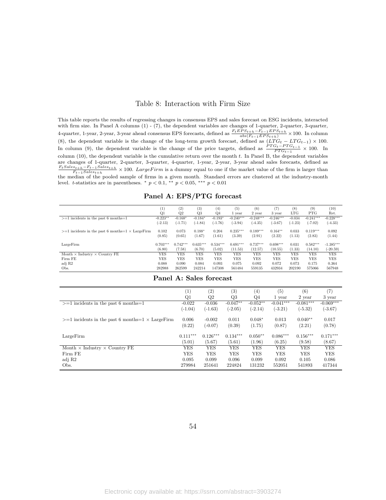#### Table 8: Interaction with Firm Size

<span id="page-53-0"></span>This table reports the results of regressing changes in consensus EPS and sales forecast on ESG incidents, interacted with firm size. In Panel A columns (1) - (7), the dependent variables are changes of 1-quarter, 2-quarter, 3-quarter, 4-quarter, 1-year, 2-year, 3-year ahead consensus EPS forecasts, defined as  $\frac{F_t EPS_{t+h} - F_{t-1} EPS_{t+h}}{abs(F_{t-1} EPS_{t+h})} \times 100$ . In column (8), the dependent variable is the change of the long-term growth forecast, defined as  $(LTG_t - LTG_{t-1}) \times 100$ . In column (9), the dependent variable is the change of the price targets, defined as  $\frac{PTG_t - PTG_{t-1}}{PTG_{t-1}} \times 100$ . In column (10), the dependent variable is the cumulative return over the month *t*. In Panel B, the dependent variables are changes of 1-quarter, 2-quarter, 3-quarter, 4-quarter, 1-year, 2-year, 3-year ahead sales forecasts, defined as  $\frac{F_t Sales_{t+h} - F_{t-1} Sales_{t+h}}{F_{t-1} Sales_{t+h}} \times 100.$  Large Firm is a dummy equal to one if the market value of the firm is larger than the median of the pooled sample of firms in a given month. Standard errors are clustered at the industry-month level. *t*-statistics are in parentheses.  $*$   $p < 0.1$ ,  $*$   $p < 0.05$ ,  $**$   $p < 0.01$ 

| Panel A: EPS/PTG forecast |
|---------------------------|
|---------------------------|

|                                                            | (1)<br>Q <sub>1</sub> | $\left( 2\right)$<br>Q2 | (3)<br>Q3          | (4)<br>$Q_4$    | (5)<br>1 vear        | (6)<br>2 year        | (7)<br>3 year       | (8)<br><b>LTG</b> | (9)<br><b>PTG</b>    | (10)<br>Ret.    |
|------------------------------------------------------------|-----------------------|-------------------------|--------------------|-----------------|----------------------|----------------------|---------------------|-------------------|----------------------|-----------------|
| $>=1$ incidents in the past 6 months=1                     | $-0.223**$            | $-0.168*$               | $-0.184*$          | $-0.193*$       | $-0.240***$          | $-0.248***$          | $-0.246***$         | $-0.034$          | $-0.241***$          | $-0.228***$     |
|                                                            | $(-2.13)$             | $(-1.71)$               | $(-1.84)$          | $(-1.76)$       | $(-3.94)$            | $(-4.35)$            | $(-3.67)$           | $(-1.23)$         | $(-7.02)$            | $(-4.33)$       |
| $>=1$ incidents in the past 6 months=1 $\times$ Large Firm | 0.102<br>(0.85)       | 0.073<br>(0.65)         | $0.188*$<br>(1.67) | 0.204<br>(1.61) | $0.235***$<br>(3.39) | $0.189***$<br>(2.91) | $0.164**$<br>(2.22) | 0.033<br>(1.13)   | $0.119***$<br>(2.83) | 0.092<br>(1.44) |
| LargeFirm                                                  | $0.703***$            | $0.742***$              | $0.635***$         | $0.534***$      | $0.691***$           | $0.737***$           | $0.698***$          | 0.031             | $0.582***$           | $-1.385***$     |
|                                                            | (6.80)                | (7.58)                  | (6.70)             | (5.02)          | (11.53)              | (12.57)              | (10.55)             | (1.33)            | (14.10)              | $(-20.59)$      |
| Month $\times$ Industry $\times$ Country FE                | YES                   | <b>YES</b>              | YES                | YES             | YES                  | YES                  | YES                 | YES               | YES                  | <b>YES</b>      |
| Firm FE                                                    | YES                   | <b>YES</b>              | YES                | <b>YES</b>      | <b>YES</b>           | <b>YES</b>           | YES                 | <b>YES</b>        | <b>YES</b>           | <b>YES</b>      |
| adj R2                                                     | 0.088                 | 0.090                   | 0.084              | 0.093           | 0.075                | 0.092                | 0.072               | 0.073             | 0.175                | 0.364           |
| Obs.                                                       | 282988                | 262599                  | 242214             | 147308          | 561484               | 559135               | 432934              | 202190            | 575066               | 567948          |

#### **Panel A: Sales forecast**

|                                                            | $\left( 1\right)$ | (2)        | (3)        | $\left( 4\right)$ | (5)         | (6)         | $\scriptstyle{(7)}$ |
|------------------------------------------------------------|-------------------|------------|------------|-------------------|-------------|-------------|---------------------|
|                                                            | Q1                | Q2         | Q3         | Q4                | 1 year      | 2 year      | 3 year              |
| $>=1$ incidents in the past 6 months=1                     | $-0.022$          | $-0.036$   | $-0.047**$ | $-0.052**$        | $-0.041***$ | $-0.081***$ | $-0.069***$         |
|                                                            | $(-1.04)$         | $(-1.63)$  | $(-2.05)$  | $(-2.14)$         | $(-3.21)$   | $(-5.32)$   | $(-3.67)$           |
|                                                            |                   |            |            |                   |             |             |                     |
| $>=1$ incidents in the past 6 months=1 $\times$ Large Firm | 0.006             | $-0.002$   | 0.011      | $0.048*$          | 0.013       | $0.040**$   | 0.017               |
|                                                            | (0.22)            | $(-0.07)$  | (0.39)     | (1.75)            | (0.87)      | (2.21)      | (0.78)              |
|                                                            | $0.111***$        | $0.126***$ | $0.134***$ |                   | $0.086***$  | $0.156***$  | $0.171***$          |
| LargeFirm                                                  |                   |            |            | $0.050**$         |             |             |                     |
|                                                            | (5.01)            | (5.67)     | (5.61)     | (1.96)            | (6.25)      | (9.58)      | (8.67)              |
| Month $\times$ Industry $\times$ Country FE                | YES               | YES        | YES        | <b>YES</b>        | <b>YES</b>  | YES         | <b>YES</b>          |
| Firm FE                                                    | <b>YES</b>        | <b>YES</b> | <b>YES</b> | <b>YES</b>        | <b>YES</b>  | YES         | <b>YES</b>          |
| adj R2                                                     | 0.095             | 0.099      | 0.096      | 0.099             | 0.092       | 0.105       | 0.086               |
| Obs.                                                       | 279984            | 251641     | 224824     | 131232            | 552051      | 541893      | 417344              |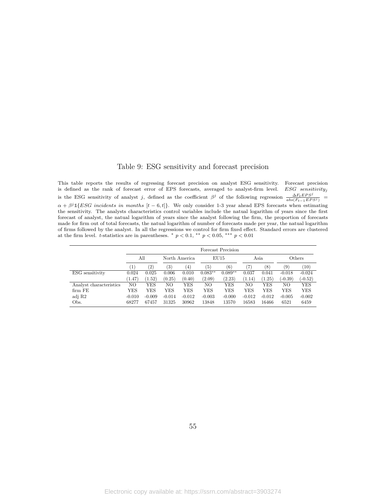#### Table 9: ESG sensitivity and forecast precision

<span id="page-54-0"></span>This table reports the results of regressing forecast precision on analyst ESG sensitivity. Forecast precision is defined as the rank of forecast error of EPS forecasts, averaged to analyst-firm level. *ESG sensitivity<sup>j</sup>* is the ESG sensitivity of analyst *j*, defined as the coefficient  $\beta^j$  of the following regression  $\frac{\Delta F_t EPS^j}{abs(F_{t-1} EPS^j)}$  $\alpha + \beta^{j} \mathbb{1}\{ESG\text{ incidents in months }[t-6,t]\}.$  We only consider 1-3 year ahead EPS forecasts when estimating the sensitivity. The analysts characteristics control variables include the natual logarithm of years since the first forecast of analyst, the natual logarithm of years since the analyst following the firm, the proportion of forecasts made for firm out of total forecasts, the natual logarithm of number of forecasts made per year, the natual logarithm of firms followed by the analyst. In all the regressions we control for firm fixed effect. Standard errors are clustered at the firm level. *t*-statistics are in parentheses. *∗ p <* 0*.*1, *∗∗ p <* 0*.*05, *∗∗∗ p <* 0*.*01

|                         |          | Forecast Precision |          |                   |           |           |          |          |                   |           |        |  |  |
|-------------------------|----------|--------------------|----------|-------------------|-----------|-----------|----------|----------|-------------------|-----------|--------|--|--|
|                         |          | All                |          | North America     |           |           | EU15     |          | Asia              |           | Others |  |  |
|                         | $^{1}$   | $\left( 2\right)$  | (3)      | $\left( 4\right)$ | (5)       | (6)       |          | (8)      | $\left( 9\right)$ | (10)      |        |  |  |
| ESG sensitivity         | 0.024    | 0.025              | 0.006    | 0.010             | $0.083**$ | $0.089**$ | 0.037    | 0.041    | $-0.018$          | $-0.024$  |        |  |  |
|                         | (1.47)   | (1.52)             | (0.25)   | (0.40)            | (2.09)    | (2.23)    | (1.14)   | (1.25)   | $(-0.39)$         | $(-0.52)$ |        |  |  |
| Analyst characteristics | NO.      | YES                | NΟ       | YES               | NΟ        | YES       | NO.      | YES      | NΟ                | YES       |        |  |  |
| firm FE                 | YES      | YES                | YES      | YES               | YES       | YES       | YES      | YES      | YES               | YES       |        |  |  |
| adj R2                  | $-0.010$ | $-0.009$           | $-0.014$ | $-0.012$          | $-0.003$  | $-0.000$  | $-0.012$ | $-0.012$ | $-0.005$          | $-0.002$  |        |  |  |
| Obs.                    | 68277    | 67457              | 31325    | 30962             | 13848     | 13570     | 16583    | 16466    | 6521              | 6459      |        |  |  |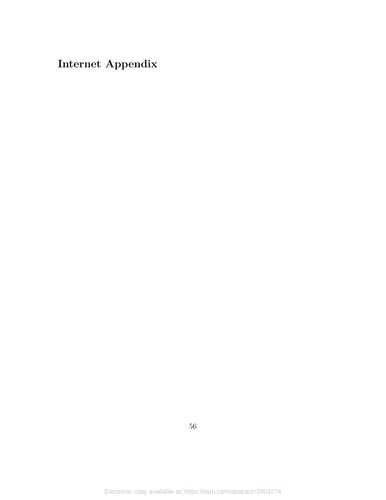# **Internet Appendix**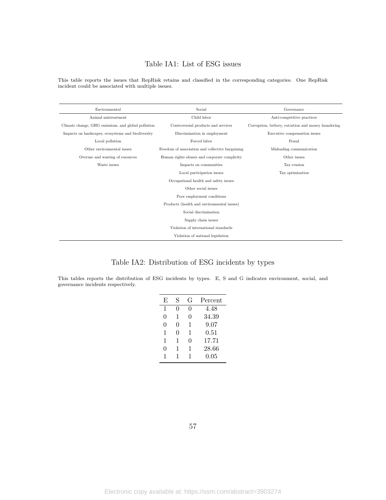# Table IA1: List of ESG issues

<span id="page-56-1"></span>This table reports the issues that RepRisk retains and classified in the corresponding categories. One RepRisk incident could be associated with multiple issues.

| Environmental                                       | Social                                           | Governance                                          |  |  |
|-----------------------------------------------------|--------------------------------------------------|-----------------------------------------------------|--|--|
| Animal mistreatment                                 | Child labor                                      | Anti-competitive practices                          |  |  |
| Climate change, GHG emissions, and global pollution | Controversial products and services              | Corruption, bribery, extortion and money laundering |  |  |
| Impacts on landscapes, ecosystems and biodiversity  | Discrimination in employment                     | Executive compensation issues                       |  |  |
| Local pollution                                     | Forced labor                                     |                                                     |  |  |
| Other environmental issues                          | Freedom of association and collective bargaining |                                                     |  |  |
| Overuse and wasting of resources                    | Human rights abuses and corporate complicity     |                                                     |  |  |
| Waste issues                                        | Impacts on communities                           | Tax evasion                                         |  |  |
|                                                     | Tax optimization                                 |                                                     |  |  |
|                                                     | Occupational health and safety issues            |                                                     |  |  |
|                                                     | Other social issues                              |                                                     |  |  |
|                                                     | Poor employment conditions                       |                                                     |  |  |
|                                                     | Products (health and environmental issues)       |                                                     |  |  |
|                                                     | Social discrimination                            |                                                     |  |  |
|                                                     | Supply chain issues                              |                                                     |  |  |
|                                                     | Violation of international standards             |                                                     |  |  |
|                                                     | Violation of national legislation                |                                                     |  |  |

# Table IA2: Distribution of ESG incidents by types

<span id="page-56-0"></span>This tables reports the distribution of ESG incidents by types. E, S and G indicates environment, social, and governance incidents respectively.

| E | S | G | Percent |
|---|---|---|---------|
| 1 | 0 | 0 | 4.48    |
| 0 | 1 | 0 | 34.39   |
| 0 | 0 | 1 | 9.07    |
| 1 | 0 | 1 | 0.51    |
| 1 | 1 | 0 | 17.71   |
| 0 | 1 | 1 | 28.66   |
| 1 | 1 | 1 | 0.05    |
|   |   |   |         |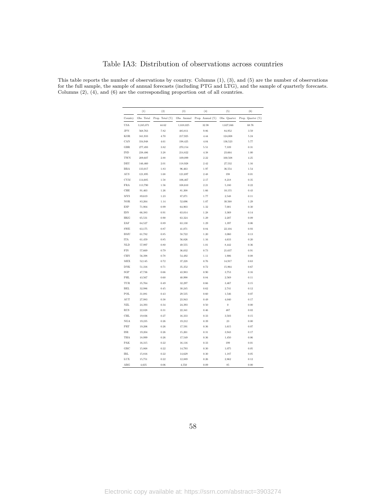### Table IA3: Distribution of observations across countries

<span id="page-57-0"></span>This table reports the number of observations by country. Columns (1), (3), and (5) are the number of observations for the full sample, the sample of annual forecasts (including PTG and LTG), and the sample of quarterly forecasts. Columns (2), (4), and (6) are the corresponding proportion out of all countries.

|              | (1)        | (2)             | (3)         | (4)                 | (5)              | (6)               |
|--------------|------------|-----------------|-------------|---------------------|------------------|-------------------|
| Country      | Obs. Total | Prop. Total (%) | Obs. Annual | Prop. Annual $(\%)$ | Obs. Quarter     | Prop. Quarter (%) |
| <b>USA</b>   | 3,245,071  | 44.62           | 1,618,025   | 32.98               | 1,627,046        | 68.76             |
| $_{\rm JPN}$ | 568,763    | 7.82            | 483,811     | 9.86                | 84,952           | 3.59              |
| KOR          | 341,933    | 4.70            | 217,925     | 4.44                | 124,008          | 5.24              |
| CAN          | 334,948    | 4.61            | 198,425     | 4.04                | 136,523          | 5.77              |
| GBR          | 277,493    | 3.82            | 270,154     | 5.51                | 7,339            | 0.31              |
| <b>IND</b>   | 238,486    | 3.28            | 214,822     | 4.38                | 23,664           | 1.00              |
| TWN          | 209,607    | 2.88            | 109,099     | 2.22                | 100,508          | 4.25              |
| DEU          | 146,460    | 2.01            | 118,928     | 2.42                | 27,532           | 1.16              |
| BRA          | 133,017    | 1.83            | 96,463      | 1.97                | 36,554           | 1.54              |
| $_{\rm AUS}$ | 121,895    | 1.68            | 121,697     | 2.48                | 198              | 0.01              |
| <b>CYM</b>   | 114,685    | 1.58            | 106,467     | 2.17                | 8,218            | 0.35              |
| <b>FRA</b>   | 113,790    | 1.56            | 108,610     | 2.21                | 5,180            | 0.22              |
| CHE          | 91,463     | 1.26            | 81,308      | 1.66                | 10,155           | 0.43              |
| <b>MYS</b>   | 89,619     | 1.23            | 87,071      | 1.77                | 2,548            | 0.11              |
| <b>NOR</b>   | 83,264     | 1.14            | 52,696      | 1.07                | 30,568           | 1.29              |
| ESP          | 71,904     | 0.99            | 64,903      | 1.32                | 7,001            | 0.30              |
| $\text{IDN}$ | 66,383     | $\rm 0.91$      | 63,014      | 1.28                | 3,369            | 0.14              |
| HKG          | 65,531     | 0.90            | 63,324      | 1.29                | 2,207            | 0.09              |
| ZAF          | 64,527     | 0.89            | 63,130      | 1.29                | 1,397            | 0.06              |
| SWE          | 63,175     | 0.87            | 41,071      | 0.84                | 22,104           | 0.93              |
| BMU          | 61,782     | 0.85            | 58,722      | $1.20\,$            | 3,060            | 0.13              |
| ITA          | 61,459     | 0.85            | 56,826      | 1.16                | 4,633            | 0.20              |
| <b>NLD</b>   | 57,997     | 0.80            | 49,555      | 1.01                | 8,442            | 0.36              |
| FIN          | 57,669     | 0.79            | 36,032      | 0.73                | 21,637           | 0.91              |
| CHN          | 56,398     | 0.78            | 54,492      | 1.11                | 1,906            | 0.08              |
| MEX          | 52,145     | 0.72            | 37,228      | 0.76                | 14,917           | 0.63              |
| <b>DNK</b>   | 51,316     | 0.71            | 35,352      | 0.72                | 15,964           | 0.67              |
| $_{\rm SGP}$ | 47,736     | 0.66            | 43,983      | 0.90                | 3,753            | 0.16              |
| PHL          | 43,567     | 0.60            | 40,998      | 0.84                | 2,569            | 0.11              |
| TUR          | 35,764     | 0.49            | 32,297      | 0.66                | 3,467            | 0.15              |
| <b>BEL</b>   | 32,986     | 0.45            | 30,245      | 0.62                | 2,741            | 0.12              |
| POL          | 31,081     | 0.43            | 29,535      | 0.60                | 1,546            | 0.07              |
| $_{\rm AUT}$ | 27,983     | 0.38            | 23,943      | 0.49                | 4,040            | 0.17              |
| $_{\rm NL}$  | 24,393     | 0.34            | 24,393      | 0.50                | $\boldsymbol{0}$ | 0.00              |
| $\rm RUS$    | 22,828     | 0.31            | 22,341      | 0.46                | 487              | 0.02              |
| <b>CHL</b>   | 19,836     | 0.27            | 16,333      | 0.33                | 3,503            | 0.15              |
| NGA          | 19,235     | 0.26            | 19,212      | 0.39                | 23               | 0.00              |
| PRT          | 19,206     | $\rm 0.26$      | 17,591      | $\rm 0.36$          | 1,615            | 0.07              |
| ISR          | 19,204     | 0.26            | 15,261      | 0.31                | 3,943            | 0.17              |
| THA          | 18,999     | 0.26            | 17,549      | 0.36                | 1,450            | 0.06              |
| PAK          | 16,315     | 0.22            | 16,116      | 0.33                | 199              | 0.01              |
| $_{\rm GRC}$ | 15,868     | 0.22            | 14,793      | 0.30                | 1,075            | 0.05              |
| $\rm IRL$    | 15,816     | 0.22            | 14,629      | 0.30                | 1,187            | 0.05              |
| LUX          | 15,751     | 0.22            | 12,889      | 0.26                | 2,862            | 0.12              |
| ARG          | 4,635      | 0.06            | 4,550       | 0.09                | 85               | 0.00              |

58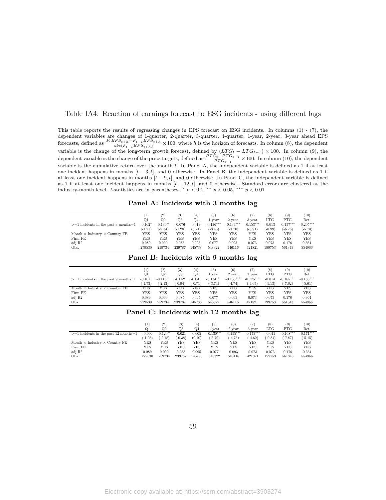#### <span id="page-58-0"></span>Table IA4: Reaction of earnings forecast to ESG incidents - using different lags

This table reports the results of regressing changes in EPS forecast on ESG incidents. In columns (1) - (7), the dependent variables are changes of 1-quarter, 2-quarter, 3-quarter, 4-quarter, 1-year, 2-year, 3-year ahead EPS forecasts, defined as  $\frac{F_t EPS_{t+h} - F_{t-1} EPS_{t+h}}{abs(F_{t-1} EPS_{t+h})} \times 100$ , where h is the horizon of forecasts. In column (8), the dependent variable is the change of the long-term growth forecast, defined by  $(LTG_t - LTG_{t-1}) \times 100$ . In column (9), the dependent variable is the change of the price targets, defined as  $\frac{PTG_t - PTG_{t-1}}{PTG_{t-1}} \times 100$ . In column (10), the dependent variable is the cumulative return over the month *t*. In Panel A, the independent variable is defined as 1 if at least one incident happens in months  $[t - 3, t]$ , and 0 otherwise. In Panel B, the independent variable is defined as 1 if at least one incident happens in months  $[t-9, t]$ , and 0 otherwise. In Panel C, the independent variable is defined as 1 if at least one incident happens in months [*t −* 12*, t*], and 0 otherwise. Standard errors are clustered at the industry-month level. *t*-statistics are in parentheses. *\**  $p < 0.1$ , *\*\**  $p < 0.05$ , *\*\*\**  $p < 0.01$ 

|                                                                                                        |    |     |     |                | Panel A: Incidents with 3 months lag |                       |     |     |      |
|--------------------------------------------------------------------------------------------------------|----|-----|-----|----------------|--------------------------------------|-----------------------|-----|-----|------|
|                                                                                                        |    | (2) | (3) | (4)            | (5)                                  | (6)                   | (8) | (9) | (10) |
|                                                                                                        | O1 | O2. | O3  | O <sub>4</sub> | 1 year                               | 2 year 3 year LTG PTG |     |     | Ret. |
| *1005 **** 10117 *** 1012 *** 10176 *** 1012 1013 10276 1014 *** 10176 1017 1017 1017 1017 1027 1027 أ |    |     |     |                |                                      |                       |     |     |      |

|                                             | 11        | (2)        | (3)       | (4)    | (5          | (6)         |             | (8)       | (9)         | 10)         |
|---------------------------------------------|-----------|------------|-----------|--------|-------------|-------------|-------------|-----------|-------------|-------------|
|                                             | O1        | Q2         | Q3        | Q4     | vear        | 2 year      | 3 year      | LTG       | <b>PTG</b>  | Ret.        |
| $>=1$ incidents in the past 3 months=1      | $-0.102*$ | $-0.136**$ | $-0.076$  | 0.013  | $-0.136***$ | $-0.134***$ | $-0.153***$ | $-0.013$  | $-0.157***$ | $-0.205***$ |
|                                             | (-1.71)   | $(-2.34)$  | $(-1.28)$ | (0.21) | $(-3.46)$   | $(-3.70)$   | $-3.91$     | $(-0.99)$ | $(-6.76)$   | $(-5.70)$   |
| Month $\times$ Industry $\times$ Country FE | YES       | YES        | YES       | YES    | YES         | YES         | YES         | YES       | YES         | YES         |
| Firm FE                                     | YES       | YES        | YES       | YES    | YES         | YES         | YES         | YES       | YES         | YES         |
| adj R2                                      | 0.089     | 0.090      | 0.085     | 0.095  | 0.077       | 0.093       | 0.073       | 0.073     | 0.176       | 0.364       |
| Obs.                                        | 279530    | 259734     | 239787    | 145738 | 548322      | 546116      | 421821      | 199753    | 561343      | 554966      |

**Panel B: Incidents with 9 months lag**

|                                             | [1]       | (2)              | (3)       | (4)       | (5)         | (6)         | (7)         | $^{(8)}$   | (9)         | (10)        |
|---------------------------------------------|-----------|------------------|-----------|-----------|-------------|-------------|-------------|------------|-------------|-------------|
|                                             | Q1        | $_{\mathrm{Q2}}$ | Q3        | Q4        | vear        | 2 year      | 3 year      | <b>LTG</b> | PTG         | Ret.        |
| $>=1$ incidents in the past 9 months=1      | $-0.101*$ | $-0.116**$       | $-0.052$  | $-0.041$  | $-0.134***$ | $-0.155***$ | $-0.175***$ | $-0.014$   | $-0.165***$ | $-0.185***$ |
|                                             | $(-1.73)$ | $(-2.13)$        | $(-0.94)$ | $(-0.71)$ | $-3.74)$    | $(-4.74)$   | $(-4.65)$   | $(-1.13)$  | $(-7.62)$   | $(-5.61)$   |
| Month $\times$ Industry $\times$ Country FE | YES       | YES              | YES       | YES       | YES         | YES         | YES         | YES        | YES         | <b>YES</b>  |
| Firm FE                                     | YES       | YES              | YES       | YES       | YES         | YES         | YES         | YES        | YES         | YES         |
| adj R2                                      | 0.089     | 0.090            | 0.085     | 0.095     | 0.077       | 0.093       | 0.073       | 0.073      | 0.176       | 0.364       |
| Obs.                                        | 279530    | 259734           | 239787    | 145738    | 548322      | 546116      | 421821      | 199753     | 561343      | 554966      |

#### **Panel C: Incidents with 12 months lag**

|                                             | $_{\rm Q1}$ | (2)<br>Q2  | (3)<br>Q3 | (4)<br>Q4 | (5)<br>vear | (6)<br>2 year | 3 year      | (8)<br>$_{\rm LTG}$ | (9)<br><b>PTG</b> | (10)<br>Ret. |
|---------------------------------------------|-------------|------------|-----------|-----------|-------------|---------------|-------------|---------------------|-------------------|--------------|
| $>=1$ incidents in the past 12 months=1     | $-0.060$    | $-0.120**$ | $-0.021$  | 0.005     | $-0.130***$ | $-0.155***$   | $-0.173***$ | $-0.011$            | $-0.168***$       | $-0.171***$  |
|                                             | $(-1.03)$   | $(-2.18)$  | $(-0.38)$ | (0.10)    | $(-3.70)$   | $-4.75)$      | $(-4.62)$   | $(-0.84)$           | $(-7.87)$         | $(-5.15)$    |
| Month $\times$ Industry $\times$ Country FE | YES         | YES        | YES       | YES       | YES         | YES           | YES         | YES                 | YES               | YES          |
| Firm FE                                     | YES         | YES        | YES       | YES       | YES         | YES           | YES         | YES                 | YES               | YES          |
| adj R2                                      | 0.089       | 0.090      | 0.085     | 0.095     | 0.077       | 0.093         | 0.073       | 0.073               | 0.176             | 0.364        |
| Obs.                                        | 279530      | 259734     | 239787    | 145738    | 548322      | 546116        | 421821      | 199753              | 561343            | 554966       |

59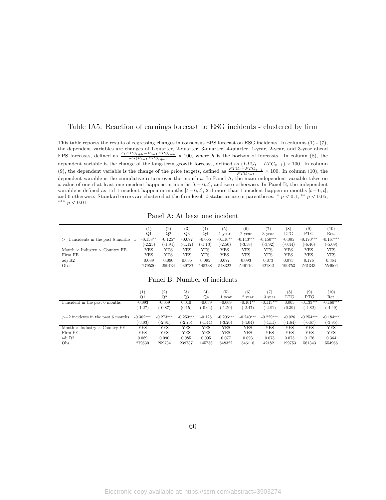#### <span id="page-59-0"></span>Table IA5: Reaction of earnings forecast to ESG incidents - clustered by firm

This table reports the results of regressing changes in consensus EPS forecast on ESG incidents. In columns (1) - (7), the dependent variables are changes of 1-quarter, 2-quarter, 3-quarter, 4-quarter, 1-year, 2-year, and 3-year ahead EPS forecasts, defined as  $\frac{F_t EPS_{t+h} - F_{t-1} EPS_{t+h}}{abs(F_{t-1} EPS_{t+h})} \times 100$ , where h is the horizon of forecasts. In column (8), the dependent variable is the change of the long-term growth forecast, defined as (*LT G<sup>t</sup> − LT Gt−*1) *×* 100. In column (9), the dependent variable is the change of the price targets, defined as  $\frac{PTG_t - PTG_{t-1}}{PTG_{t-1}} \times 100$ . In column (10), the dependent variable is the cumulative return over the month *t*. In Panel A, the main independent variable takes on a value of one if at least one incident happens in months [*t −* 6*, t*], and zero otherwise. In Panel B, the independent variable is defined as 1 if 1 incident happen in months  $[t-6, t]$ , 2 if more than 1 incident happen in months  $[t-6, t]$ , and 0 otherwise. Standard errors are clustered at the firm level. *t*-statistics are in parentheses. *∗ p <* 0*.*1, *∗∗ p <* 0*.*05, *∗∗∗ p <* 0*.*01

Panel A: At least one incident

|                                             |            | (2          | 3)        | (4)      | $\left( 5\right)$ | (6)         |             | (8)        | (9)         | (10)        |
|---------------------------------------------|------------|-------------|-----------|----------|-------------------|-------------|-------------|------------|-------------|-------------|
|                                             | Q1         | $_{\rm Q2}$ | Q3        | Q4       | 1 year            | 2 year      | 3 vear      | <b>LTG</b> | PTG         | Ret.        |
| $>=1$ incidents in the past 6 months=1      | $-0.158**$ | $-0.125*$   | $-0.072$  | $-0.065$ | $-0.110**$        | $-0.143***$ | $-0.150***$ | $-0.005$   | $-0.170***$ | $-0.167***$ |
|                                             | $-2.25$    | $(-1.94)$   | $(-1.12)$ | (-1.13)  | $(-2.50)$         | $(-3.58)$   | $-3.92$     | $(-0.44)$  | $(-6.46)$   | $(-5.09)$   |
| Month $\times$ Industry $\times$ Country FE | YES        | YES         | YES       | YES      | YES               | YES         | YES         | YES        | YES         | YES         |
| Firm FE                                     | YES        | YES         | YES       | YES      | YES               | YES         | YES         | YES        | YES         | YES         |
| adj R2                                      | 0.089      | 0.090       | 0.085     | 0.095    | 0.077             | 0.093       | 0.073       | 0.073      | 0.176       | 0.364       |
| Obs.                                        | 279530     | 259734      | 239787    | 145738   | 548322            | 546116      | 421821      | 199753     | 561343      | 554966      |

#### Panel B: Number of incidents

|                                             | $\left( 1\right)$<br>Q1 | (2)<br>$_{\rm Q2}$       | (3)<br>Q3                | $^{(4)}$<br>Q4        | (5)<br>1 vear            | (6)<br>2 year            | (7<br>3 year             | (8)<br>LTG            | (9)<br><b>PTG</b>        | (10)<br>Ret.             |
|---------------------------------------------|-------------------------|--------------------------|--------------------------|-----------------------|--------------------------|--------------------------|--------------------------|-----------------------|--------------------------|--------------------------|
| 1 incident in the past 6 months             | $-0.093$<br>$(-1.27)$   | $-0.059$<br>$(-0.87)$    | 0.010<br>(0.15)          | $-0.039$<br>$(-0.62)$ | $-0.069$<br>$(-1.50)$    | $-0.101**$<br>$(-2.47)$  | $-0.113***$<br>$(-2.81)$ | 0.005<br>(0.39)       | $-0.133***$<br>$(-4.82)$ | $-0.160***$<br>$(-4.49)$ |
| $>=$ 2 incidents in the past 6 months       | $-0.302***$<br>$-3.03)$ | $-0.273***$<br>$(-2.91)$ | $-0.253***$<br>$(-2.75)$ | $-0.125$<br>$(-1.44)$ | $-0.206***$<br>$(-3.20)$ | $-0.240***$<br>$(-4.04)$ | $-0.229***$<br>$(-4.11)$ | $-0.026$<br>$(-1.64)$ | $-0.254***$<br>$(-6.67)$ | $-0.184***$<br>$(-3.95)$ |
| Month $\times$ Industry $\times$ Country FE | <b>YES</b>              | <b>YES</b>               | YES                      | YES                   | <b>YES</b>               | <b>YES</b>               | YES                      | YES                   | <b>YES</b>               | <b>YES</b>               |
| Firm FE                                     | YES                     | <b>YES</b>               | YES                      | YES                   | <b>YES</b>               | <b>YES</b>               | YES                      | YES                   | <b>YES</b>               | <b>YES</b>               |
| adj R2                                      | 0.089                   | 0.090                    | 0.085                    | 0.095                 | 0.077                    | 0.093                    | 0.073                    | 0.073                 | 0.176                    | 0.364                    |
| Obs.                                        | 279530                  | 259734                   | 239787                   | 145738                | 548322                   | 546116                   | 421821                   | 199753                | 561343                   | 554966                   |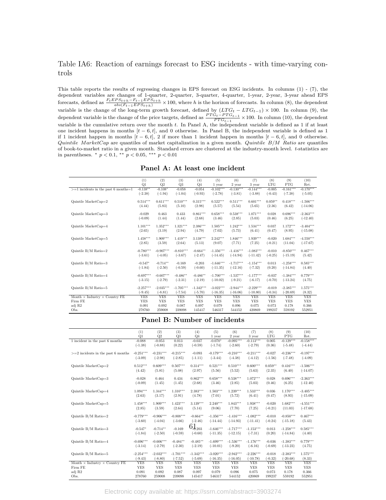### <span id="page-60-0"></span>Table IA6: Reaction of earnings forecast to ESG incidents - with time-varying controls

This table reports the results of regressing changes in EPS forecast on ESG incidents. In columns (1) - (7), the dependent variables are changes of 1-quarter, 2-quarter, 3-quarter, 4-quarter, 1-year, 2-year, 3-year ahead EPS forecasts, defined as  $\frac{F_t EPS_{t+h} - F_{t-1} EPS_{t+h}}{abs(F_{t-1} EPS_{t+h})} \times 100$ , where h is the horizon of forecasts. In column (8), the dependent variable is the change of the long-term growth forecast, defined by  $(LTG_t - LTG_{t-1}) \times 100$ . In column (9), the dependent variable is the change of the price targets, defined as  $\frac{PTG_t - PTG_{t-1}}{PTG_{t-1}} \times 100$ . In column (10), the dependent variable is the cumulative return over the month *t*. In Panel A, the independent variable is defined as 1 if at least one incident happens in months [*t −* 6*, t*], and 0 otherwise. In Panel B, the independent variable is defined as 1 if 1 incident happen in months  $[i - 6, t]$ , 2 if more than 1 incident happen in months  $[t - 6, t]$ , and 0 otherwise. *Quintile MarketCap* are quantiles of market capitalization in a given month. *Quintile B/M Ratio* are quantiles of book-to-market ratio in a given month. Standard errors are clustered at the industry-month level. *t*-statistics are in parentheses. *∗ p <* 0*.*1, *∗∗ p <* 0*.*05, *∗∗∗ p <* 0*.*01

| Panel A: At least one incident |
|--------------------------------|
|                                |

|                                             | (1)              | (2)             | (3)<br>Q3   | (4)                        | (5)                   | (6)                   | (7)                   | (8)<br><b>LTG</b> | (9)<br><b>PTG</b> | (10)<br>Ret. |
|---------------------------------------------|------------------|-----------------|-------------|----------------------------|-----------------------|-----------------------|-----------------------|-------------------|-------------------|--------------|
|                                             | Q1<br>$-0.138**$ | Q2<br>$-0.108*$ | $-0.058$    | Q <sub>4</sub><br>$-0.054$ | 1 year<br>$-0.102***$ | 2 year<br>$-0.130***$ | 3 year<br>$-0.144***$ |                   | $-0.161***$       | $-0.170***$  |
| $>=1$ incidents in the past 6 months=1      |                  |                 |             |                            |                       |                       |                       | $-0.005$          |                   |              |
|                                             | $(-2.38)$        | $(-1.94)$       | $(-1.04)$   | $(-0.93)$                  | $(-2.78)$             | $(-3.81)$             | $(-3.88)$             | $(-0.43)$         | $(-7.38)$         | $(-5.05)$    |
| $Quintile MarketCap=2$                      | $0.514***$       | $0.611***$      | $0.510***$  | $0.315***$                 | $0.522***$            | $0.511***$            | $0.601***$            | $0.059**$         | $0.418***$        | $-1.506***$  |
|                                             | (4.44)           | (5.83)          | (5.10)      | (2.98)                     | (5.57)                | (5.54)                | (5.65)                | (2.36)            | (6.42)            | $(-14.06)$   |
|                                             |                  |                 |             |                            |                       |                       |                       |                   |                   |              |
| Quintile MarketCap=3                        | $-0.029$         | 0.463           | 0.433       | $0.861***$                 | $0.658***$            | $0.538***$            | $1.071***$            | 0.028             | $0.696***$        | $-2.363***$  |
|                                             | $(-0.09)$        | (1.44)          | (1.44)      | (2.68)                     | (3.46)                | (2.85)                | (5.03)                | (0.46)            | (6.25)            | $(-12.40)$   |
|                                             |                  |                 |             |                            |                       |                       |                       |                   |                   |              |
| Quintile MarketCap=4                        | $1.101***$       | $1.352***$      | $1.321***$  | 2.386***                   | $1.505***$            | $1.242***$            | $1.534***$            | 0.037             | $1.172***$        | $-3.404***$  |
|                                             | (2.65)           | (3.19)          | (2.94)      | (4.79)                     | (7.02)                | (5.73)                | (6.41)                | (0.47)            | (8.95)            | $(-15.08)$   |
|                                             |                  |                 |             |                            |                       |                       |                       |                   |                   |              |
| Quintile MarketCap=5                        | $1.458***$       | $1.909***$      | $1.419***$  | $3.138***$                 | $2.242***$            | $1.846***$            | $1.939***$            | $-0.020$          | $1.684***$        | $-4.550***$  |
|                                             | (2.85)           | (3.59)          | (2.64)      | (5.13)                     | (9.07)                | (7.71)                | (7.25)                | $(-0.21)$         | (11.04)           | $(-17.67)$   |
| Quintile $B/M$ Ratio=2                      | $-0.780***$      | $-0.907***$     | $-0.810***$ | $-0.664**$                 | $-1.356***$           | $-1.416***$           | $-1.083***$           | $-0.010$          | $-0.850***$       | $0.467***$   |
|                                             | $(-3.61)$        | $(-4.05)$       | $(-3.67)$   | $(-2.47)$                  | $(-14.45)$            | $(-14.94)$            | $(-11.42)$            | $(-0.25)$         | $(-15.19)$        | (5.42)       |
|                                             |                  |                 |             |                            |                       |                       |                       |                   |                   |              |
| Quintile $B/M$ Ratio=3                      | $-0.547*$        | $-0.714**$      | $-0.169$    | $-0.203$                   | $-1.646***$           | $-1.717***$           | $-1.154***$           | 0.013             | $-1.258***$       | $0.585***$   |
|                                             | $(-1.84)$        | $(-2.50)$       | $(-0.59)$   | $(-0.60)$                  | $(-11.35)$            | $(-12.16)$            | $(-7.32)$             | (0.20)            | $(-14.84)$        | (4.40)       |
|                                             |                  |                 |             |                            |                       |                       |                       |                   |                   |              |
| Quintile $B/M$ Ratio=4                      | $-0.697***$      | $-0.607***$     | $-0.486**$  | $-0.486**$                 | $-1.700***$           | $-1.537***$           | $-1.177***$           | $-0.037$          | $-1.384***$       | $0.779***$   |
|                                             | $(-3.15)$        | $(-2.79)$       | $(-2.31)$   | $(-2.19)$                  | $(-10.02)$            | $(-9.21)$             | $(-6.17)$             | $(-0.70)$         | $(-13.24)$        | (4.75)       |
|                                             |                  |                 |             |                            |                       |                       |                       |                   |                   |              |
| Quintile $B/M$ Ratio=5                      | $-2.257***$      | $-2.035***$     | $-1.705***$ | $-1.342***$                | $-3.022***$           | $-2.944***$           | $-2.229***$           | $-0.019$          | $-2.385***$       | $1.575***$   |
|                                             | $(-9.45)$        | $(-8.81)$       | $(-7.54)$   | $(-5.70)$                  | $(-16.35)$            | $(-16.06)$            | $(-10.80)$            | $(-0.34)$         | $(-20.69)$        | (8.32)       |
| Month $\times$ Industry $\times$ Country FE | <b>YES</b>       | <b>YES</b>      | <b>YES</b>  | <b>YES</b>                 | <b>YES</b>            | <b>YES</b>            | <b>YES</b>            | <b>YES</b>        | <b>YES</b>        | <b>YES</b>   |
| Firm FE                                     | <b>YES</b>       | <b>YES</b>      | <b>YES</b>  | <b>YES</b>                 | <b>YES</b>            | <b>YES</b>            | <b>YES</b>            | <b>YES</b>        | <b>YES</b>        | <b>YES</b>   |
| adj R2                                      | 0.091            | 0.092           | 0.087       | 0.097                      | 0.079                 | 0.096                 | 0.075                 | 0.073             | 0.178             | 0.366        |
| Obs.                                        | 278760           | 259008          | 239098      | 145417                     | 546317                | 544152                | 420869                | 199237            | 559192            | 552951       |

#### **Panel B: Number of incidents**

|                                             | (1)         | (2)         | (3)            | (4)            | (5)         | (6)         | (7)         | (8)        | (9)         | (10)        |
|---------------------------------------------|-------------|-------------|----------------|----------------|-------------|-------------|-------------|------------|-------------|-------------|
|                                             | Q1          | Q2          | Q <sub>3</sub> | Q <sub>4</sub> | 1 year      | 2 year      | 3 year      | <b>LTG</b> | <b>PTG</b>  | Ret.        |
| 1 incident in the past 6 months             | $-0.088$    | $-0.053$    | 0.013          | $-0.037$       | $-0.070*$   | $-0.095***$ | $-0.113***$ | 0.005      | $-0.129***$ | $-0.158***$ |
|                                             | $(-1.38)$   | $(-0.88)$   | (0.22)         | $(-0.59)$      | $(-1.74)$   | $(-2.60)$   | $(-2.79)$   | (0.36)     | $(-5.48)$   | $(-4.44)$   |
| $>=$ 2 incidents in the past 6 months       | $-0.251***$ | $-0.231***$ | $-0.215***$    | $-0.093$       | $-0.179***$ | $-0.210***$ | $-0.211***$ | $-0.027$   | $-0.236***$ | $-0.197***$ |
|                                             | $(-3.09)$   | $(-2.98)$   | $(-2.85)$      | $(-1.11)$      | $(-3.44)$   | $(-4.38)$   | $(-4.12)$   | $(-1.56)$  | $(-7.48)$   | $(-4.09)$   |
| Quintile MarketCap=2                        | $0.512***$  | $0.609***$  | $0.507***$     | $0.314***$     | $0.521***$  | $0.510***$  | $0.600***$  | $0.059**$  | $0.416***$  | $-1.506***$ |
|                                             | (4.42)      | (5.81)      | (5.08)         | (2.97)         | (5.56)      | (5.52)      | (5.63)      | (2.35)     | (6.40)      | $(-14.07)$  |
| Quintile MarketCap=3                        | $-0.028$    | 0.464       | 0.434          | $0.862***$     | $0.658***$  | $0.538***$  | $1.072***$  | 0.028      | $0.696***$  | $-2.363***$ |
|                                             | $(-0.09)$   | (1.45)      | (1.45)         | (2.68)         | (3.46)      | (2.85)      | (5.03)      | (0.46)     | (6.25)      | $(-12.40)$  |
| Quintile MarketCap=4                        | $1.094***$  | $1.344***$  | $1.310***$     | $2.383***$     | $1.503***$  | $1.239***$  | $1.533***$  | 0.036      | $1.170***$  | $-3.405***$ |
|                                             | (2.63)      | (3.17)      | (2.91)         | (4.78)         | (7.01)      | (5.72)      | (6.41)      | (0.47)     | (8.93)      | $(-15.09)$  |
| Quintile MarketCap=5                        | $1.458***$  | $1.909***$  | $1.423***$     | $3.139***$     | $2.240***$  | $1.843***$  | $1.938***$  | $-0.020$   | $1.682***$  | $-4.551***$ |
|                                             | (2.85)      | (3.59)      | (2.64)         | (5.14)         | (9.06)      | (7.70)      | (7.25)      | $(-0.21)$  | (11.03)     | $(-17.68)$  |
| Quintile $B/M$ Ratio=2                      | $-0.779***$ | $-0.906***$ | $-0.808***$    | $-0.664**$     | $-1.356***$ | $-1.416***$ | $-1.082***$ | $-0.010$   | $-0.850***$ | $0.467***$  |
|                                             | $(-3.60)$   | $(-4.04)$   | $(-3.66)$      | $(-2.46)$      | $(-14.44)$  | $(-14.93)$  | $(-11.41)$  | $(-0.24)$  | $(-15.18)$  | (5.43)      |
| Quintile $B/M$ Ratio=3                      | $-0.547*$   | $-0.714**$  | $-0.169$       | $61_{203}$     | $-1.646***$ | $-1.717***$ | $-1.153***$ | 0.013      | $-1.258***$ | $0.585***$  |
|                                             | $(-1.84)$   | $(-2.50)$   | $(-0.59)$      | $(-0.60)$      | $(-11.35)$  | $(-12.15)$  | $(-7.31)$   | (0.20)     | $(-14.84)$  | (4.40)      |
| Quintile $B/M$ Ratio=4                      | $-0.696***$ | $-0.606***$ | $-0.484**$     | $-0.485**$     | $-1.699***$ | $-1.536***$ | $-1.176***$ | $-0.036$   | $-1.383***$ | $0.779***$  |
|                                             | $(-3.14)$   | $(-2.79)$   | $(-2.30)$      | $(-2.19)$      | $(-10.01)$  | $(-9.20)$   | $(-6.16)$   | $(-0.69)$  | $(-13.23)$  | (4.75)      |
| Quintile $B/M$ Ratio=5                      | $-2.254***$ | $-2.032***$ | $-1.701***$    | $-1.342***$    | $-3.020***$ | $-2.942***$ | $-2.226***$ | $-0.018$   | $-2.383***$ | $1.575***$  |
|                                             | $(-9.43)$   | $(-8.80)$   | $(-7.52)$      | $(-5.69)$      | $(-16.35)$  | $(-16.05)$  | $(-10.78)$  | $(-0.32)$  | $(-20.68)$  | (8.33)      |
| Month $\times$ Industry $\times$ Country FE | <b>YES</b>  | <b>YES</b>  | <b>YES</b>     | <b>YES</b>     | <b>YES</b>  | <b>YES</b>  | <b>YES</b>  | <b>YES</b> | <b>YES</b>  | <b>YES</b>  |
| Firm FE                                     | <b>YES</b>  | <b>YES</b>  | <b>YES</b>     | <b>YES</b>     | <b>YES</b>  | <b>YES</b>  | <b>YES</b>  | <b>YES</b> | <b>YES</b>  | <b>YES</b>  |
| adj R2                                      | 0.091       | 0.092       | 0.087          | 0.097          | 0.079       | 0.096       | 0.075       | 0.073      | 0.178       | 0.366       |
| Obs.                                        | 278760      | 259008      | 239098         | 145417         | 546317      | 544152      | 420869      | 199237     | 559192      | 552951      |

Electronic copy available at: https://ssrn.com/abstract=3903274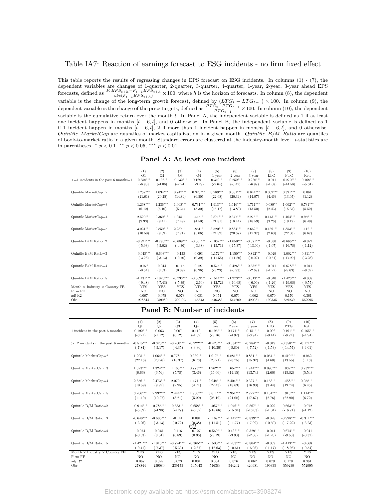#### <span id="page-61-0"></span>Table IA7: Reaction of earnings forecast to ESG incidents - no firm fixed effect

This table reports the results of regressing changes in EPS forecast on ESG incidents. In columns (1) - (7), the dependent variables are changes of 1-quarter, 2-quarter, 3-quarter, 4-quarter, 1-year, 2-year, 3-year ahead EPS forecasts, defined as  $\frac{F_t EPS_{t+h} - F_{t-1} EPS_{t+h}}{abs(F_{t-1} EPS_{t+h})} \times 100$ , where h is the horizon of forecasts. In column (8), the dependent variable is the change of the long-term growth forecast, defined by  $(LTG_t - LTG_{t-1}) \times 100$ . In column (9), the dependent variable is the change of the price targets, defined as  $\frac{PTG_t - PTG_{t-1}}{PTG_{t-1}} \times 100$ . In column (10), the dependent variable is the cumulative return over the month *t*. In Panel A, the independent variable is defined as 1 if at least one incident happens in months [*t −* 6*, t*], and 0 otherwise. In Panel B, the independent variable is defined as 1 if 1 incident happen in months [*t −* 6*, t*], 2 if more than 1 incident happen in months [*t −* 6*, t*], and 0 otherwise. *Quintile MarketCap* are quantiles of market capitalization in a given month. *Quintile B/M Ratio* are quantiles of book-to-market ratio in a given month. Standard errors are clustered at the industry-month level. *t*-statistics are in parentheses. *∗ p <* 0*.*1, *∗∗ p <* 0*.*05, *∗∗∗ p <* 0*.*01

**Panel A: At least one incident**

|                                             |                 |             | (3)         |                       | (5)                   | (6)            | (7)         | (8)            |                   |              |
|---------------------------------------------|-----------------|-------------|-------------|-----------------------|-----------------------|----------------|-------------|----------------|-------------------|--------------|
|                                             | (1)<br>Q1       | (2)<br>Q2   | Q3          | (4)<br>Q <sub>4</sub> |                       | 2 year         | 3 year      | <b>LTG</b>     | (9)<br><b>PTG</b> | (10)<br>Ret. |
| $>=1$ incidents in the past 6 months=1      | $-0.358***$     | $-0.196***$ | $-0.132***$ | $-0.169***$           | 1 year<br>$-0.310***$ | $-0.252***$    | $-0.220***$ | $-0.011$       | $-0.270***$       | $-0.168***$  |
|                                             |                 |             |             |                       |                       |                |             |                |                   |              |
|                                             | $(-6.98)$       | $(-4.06)$   | $(-2.74)$   | $(-3.29)$             | $(-9.64)$             | $(-8.47)$      | $(-6.97)$   | $(-1.08)$      | $(-14.58)$        | $(-5.34)$    |
| Quintile MarketCap=2                        | $1.257***$      | $1.034***$  | $0.747***$  | $0.326***$            | $0.989***$            | $0.861***$     | $0.844***$  | $0.052***$     | $0.391***$        | 0.061        |
|                                             | (21.61)         | (20.25)     | (14.84)     | (6.50)                | (22.68)               | (20.34)        | (14.97)     | (4.46)         | (13.05)           | (1.12)       |
|                                             |                 |             |             |                       |                       |                |             |                |                   |              |
| Quintile MarketCap=3                        | $1.268***$      | $1.236***$  | $1.068***$  | $0.731***$            | $1.913***$            | $1.616***$     | $1.711***$  | $0.089**$      | $1.002***$        | $0.731***$   |
|                                             | (6.12)          | (6.10)      | (5.34)      | (3.30)                | (16.17)               | (13.80)        | (13.50)     | (2.43)         | (15.35)           | (5.52)       |
|                                             |                 |             |             |                       |                       |                |             |                |                   |              |
| Quintile MarketCap=4                        | $2.520***$      | $2.360***$  | $1.945***$  | $1.415***$            | $2.871***$            | $2.347***$     | $2.276***$  | $0.143***$     | $1.404***$        | $0.956***$   |
|                                             | (9.93)          | (9.41)      | (7.49)      | (4.50)                | (21.81)               | (18.14)        | (16.59)     | (3.26)         | (19.17)           | (6.40)       |
|                                             |                 |             |             |                       |                       |                |             |                |                   |              |
| Quintile MarketCap=5                        | $3.031***$      | $2.850***$  | $2.287***$  | $1.861***$            | $3.520***$            | $2.884***$     | $2.662***$  | $0.139***$     | $1.853***$        | $1.112***$   |
|                                             | (10.50)         | (9.69)      | (7.71)      | (5.06)                | (24.52)               | (20.57)        | (17.37)     | (2.60)         | (22.30)           | (6.67)       |
|                                             |                 |             |             |                       |                       |                |             |                |                   |              |
| Quintile $B/M$ Ratio=2                      | $-0.921***$     | $-0.790***$ | $-0.689***$ | $-0.661***$           | $-1.062***$           | $-1.050***$    | $-0.871***$ | $-0.030$       | $-0.666***$       | $-0.072$     |
|                                             | $(-5.93)$       | $(-5.02)$   | $(-4.30)$   | $(-3.38)$             | $(-15.71)$            | $(-15.37)$     | $(-13.09)$  | $(-1.07)$      | $(-16.78)$        | $(-1.12)$    |
| Quintile $B/M$ Ratio=3                      | $-0.648***$     | $-0.603***$ | $-0.138$    | 0.093                 | $-1.172***$           | $-1.150***$    | $-0.842***$ | $-0.029$       | $-1.002***$       | $-0.311***$  |
|                                             | $(-3.26)$       | $(-3.13)$   | $(-0.70)$   | (0.39)                | $(-11.55)$            | $(-11.80)$     | $(-8.02)$   | $(-0.61)$      | $(-17.27)$        | $(-3.23)$    |
|                                             |                 |             |             |                       |                       |                |             |                |                   |              |
| Quintile $B/M$ Ratio=4                      | $-0.076$        | 0.044       | 0.115       | 0.127                 | $-0.575***$           | $-0.426***$    | $-0.332***$ | $-0.041$       | $-0.678***$       | $-0.041$     |
|                                             | $(-0.54)$       | (0.33)      | (0.89)      | (0.96)                | $(-5.23)$             | $(-3.93)$      | $(-2.69)$   | $(-1.27)$      | $(-9.63)$         | $(-0.37)$    |
|                                             |                 |             |             |                       |                       |                |             |                |                   |              |
| Quintile $B/M$ Ratio=5                      | $-1.431***$     | $-1.026***$ | $-0.733***$ | $-0.369***$           | $-1.514***$           | $-1.273***$    | $-0.813***$ | $-0.040$       | $-1.423***$       | $-0.068$     |
|                                             | $(-9.48)$       | $(-7.43)$   | $(-5.39)$   | $(-2.69)$             | $(-12.72)$            | $(-10.68)$     | $(-6.09)$   | $(-1.20)$      | $(-19.08)$        | $(-0.55)$    |
| Month $\times$ Industry $\times$ Country FE | <b>YES</b>      | <b>YES</b>  | <b>YES</b>  | <b>YES</b>            | <b>YES</b>            | <b>YES</b>     | <b>YES</b>  | <b>YES</b>     | <b>YES</b>        | <b>YES</b>   |
| Firm FE                                     | NO <sub>1</sub> | NO.         | NO.         | NO                    | NO.                   | N <sub>O</sub> | NO.         | N <sub>O</sub> | N <sub>O</sub>    | NO.          |
| adj R2                                      | 0.067           | 0.075       | 0.073       | 0.081                 | 0.054                 | 0.076          | 0.062       | 0.079          | 0.170             | 0.361        |
| Obs.                                        | 278844          | 259080      | 239173      | 145643                | 546383                | 544202         | 420981      | 199335         | 559239            | 552995       |

#### **Panel B: Number of incidents**

|                                             | (1)         | (2)         | (3)            | (4)           | (5)         | (6)         | (7)         | (8)            | (9)         | (10)        |
|---------------------------------------------|-------------|-------------|----------------|---------------|-------------|-------------|-------------|----------------|-------------|-------------|
|                                             | Q1          | Q2          | Q <sub>3</sub> | $Q_4$         | 1 year      | 2 year      | 3 year      | <b>LTG</b>     | <b>PTG</b>  | Ret.        |
| 1 incident in the past 6 months             | $-0.192***$ | $-0.063$    | 0.007          | $-0.112*$     | $-0.196***$ | $-0.171***$ | $-0.151***$ | $-0.002$       | $-0.191***$ | $-0.165***$ |
|                                             | $(-3.21)$   | $(-1.12)$   | (0.12)         | $(-1.89)$     | $(-5.16)$   | $(-4.92)$   | $(-3.94)$   | $(-0.14)$      | $(-8.74)$   | $(-4.94)$   |
| $>=$ 2 incidents in the past 6 months       | $-0.515***$ | $-0.320***$ | $-0.260***$    | $-0.222***$   | $-0.423***$ | $-0.334***$ | $-0.284***$ | $-0.019$       | $-0.350***$ | $-0.171***$ |
|                                             | $(-7.84)$   | $(-5.17)$   | $(-4.35)$      | $(-3.36)$     | $(-10.30)$  | $(-8.80)$   | $(-7.52)$   | $(-1.53)$      | $(-14.57)$  | $(-4.01)$   |
| Quintile MarketCap=2                        | $1.295***$  | $1.064***$  | $0.778***$     | $0.339***$    | $1.017***$  | $0.881***$  | $0.861***$  | $0.054***$     | $0.410***$  | 0.062       |
|                                             | (22.16)     | (20.76)     | (15.37)        | (6.73)        | (23.21)     | (20.75)     | (15.32)     | (4.60)         | (13.55)     | (1.13)      |
| Quintile MarketCap=3                        | $1.373***$  | $1.324***$  | $1.165***$     | $0.773***$    | $1.962***$  | $1.652***$  | $1.744***$  | $0.096***$     | $1.037***$  | $0.732***$  |
|                                             | (6.66)      | (6.56)      | (5.78)         | (3.46)        | (16.60)     | (14.15)     | (13.74)     | (2.60)         | (15.82)     | (5.54)      |
| Quintile MarketCap=4                        | $2.656***$  | $2.473***$  | $2.070***$     | $1.471***$    | $2.948***$  | $2.404***$  | $2.327***$  | $0.153***$     | $1.458***$  | $0.958***$  |
|                                             | (10.59)     | (9.97)      | (7.95)         | (4.71)        | (22.43)     | (18.63)     | (16.90)     | (3.44)         | (19.74)     | (6.45)      |
| Quintile MarketCap=5                        | $3.206***$  | $2.992***$  | $2.444***$     | $1.930***$    | $3.611***$  | $2.951***$  | $2.722***$  | $0.151***$     | $1.918***$  | $1.114***$  |
|                                             | (11.19)     | (10.27)     | (8.21)         | (5.29)        | (25.19)     | (21.08)     | (17.67)     | (2.76)         | (22.90)     | (6.72)      |
| Quintile $B/M$ Ratio=2                      | $-0.914***$ | $-0.785***$ | $-0.683***$    | $-0.658***$   | $-1.057***$ | $-1.046***$ | $-0.867***$ | $-0.029$       | $-0.663***$ | $-0.072$    |
|                                             | $(-5.89)$   | $(-4.98)$   | $(-4.27)$      | $(-3.37)$     | $(-15.66)$  | $(-15.34)$  | $(-13.03)$  | $(-1.04)$      | $(-16.71)$  | $(-1.12)$   |
| Quintile $B/M$ Ratio=3                      | $-0.648***$ | $-0.605***$ | $-0.141$       | 0.091         | $-1.167***$ | $-1.147***$ | $-0.839***$ | $-0.028$       | $-0.998***$ | $-0.311***$ |
|                                             | $(-3.26)$   | $(-3.13)$   | $(-0.72)$      | $62^{(0,38)}$ | $(-11.51)$  | $(-11.77)$  | $(-7.99)$   | $(-0.60)$      | $(-17.22)$  | $(-3.23)$   |
| Quintile $B/M$ Ratio=4                      | $-0.074$    | 0.045       | 0.116          | 0.127         | $-0.569***$ | $-0.422***$ | $-0.329***$ | $-0.041$       | $-0.674***$ | $-0.041$    |
|                                             | $(-0.53)$   | (0.34)      | (0.89)         | (0.96)        | $(-5.19)$   | $(-3.90)$   | $(-2.66)$   | $(-1.26)$      | $(-9.58)$   | $(-0.37)$   |
| Quintile $B/M$ Ratio=5                      | $-1.421***$ | $-1.018***$ | $-0.724***$    | $-0.365***$   | $-1.500***$ | $-1.263***$ | $-0.804***$ | $-0.039$       | $-1.413***$ | $-0.068$    |
|                                             | $(-9.41)$   | $(-7.37)$   | $(-5.33)$      | $(-2.67)$     | $(-12.63)$  | $(-10.61)$  | $(-6.03)$   | $(-1.17)$      | $(-18.96)$  | $(-0.54)$   |
| Month $\times$ Industry $\times$ Country FE | <b>YES</b>  | <b>YES</b>  | <b>YES</b>     | <b>YES</b>    | <b>YES</b>  | <b>YES</b>  | <b>YES</b>  | <b>YES</b>     | <b>YES</b>  | <b>YES</b>  |
| Firm FE                                     | NO          | NO          | NO             | NO            | NO          | NO          | NO          | N <sub>O</sub> | NO          | NO          |
| adj R2                                      | 0.067       | 0.075       | 0.073          | 0.081         | 0.054       | 0.076       | 0.062       | 0.079          | 0.170       | 0.361       |
| Obs.                                        | 278844      | 259080      | 239173         | 145643        | 546383      | 544202      | 420981      | 199335         | 559239      | 552995      |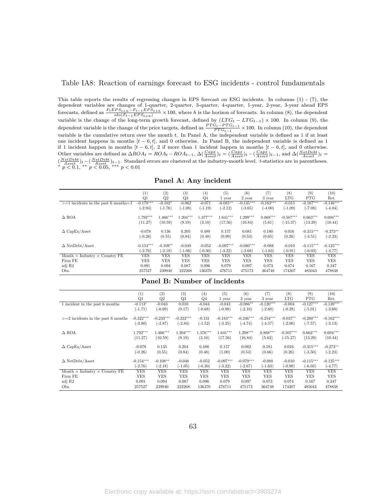#### <span id="page-62-0"></span>Table IA8: Reaction of earnings forecast to ESG incidents - control fundamentals

This table reports the results of regressing changes in EPS forecast on ESG incidents. In columns (1) - (7), the dependent variables are changes of 1-quarter, 2-quarter, 3-quarter, 4-quarter, 1-year, 2-year, 3-year ahead EPS forecasts, defined as  $\frac{F_t EPS_{t+h} - F_{t-1} EPS_{t+h}}{abs(F_{t-1} EPS_{t+h})} \times 100$ , where h is the horizon of forecasts. In column (8), the dependent variable is the change of the long-term growth forecast, defined by  $(LTG_t - LTG_{t-1}) \times 100$ . In column (9), the dependent variable is the change of the price targets, defined as  $\frac{PTG_t - PTG_{t-1}}{PTG_{t-1}} \times 100$ . In column (10), the dependent variable is the cumulative return over the month *t*. In Panel A, the independent variable is defined as 1 if at least one incident happens in months [*t −* 6*, t*], and 0 otherwise. In Panel B, the independent variable is defined as 1 if 1 incident happen in months  $[t-6, t]$ , 2 if more than 1 incident happen in months  $[t-6, t]$ , and 0 otherwise. Other variables are defined as  $\Delta ROA_t = ROA_t - ROA_{t-1}$ ,  $\Delta \left(\frac{Capx}{Asset}\right)t = \left(\frac{Capx}{Asset}\right)t - \left(\frac{Capx}{Asset}\right)t-1$ , and  $\Delta \left(\frac{NetDebt}{Asset}\right)t =$  $\frac{(NetDebt)}{Asset}$ )t-( $\frac{NetDebt}{Asset}$ )t-1. Standard errors are clustered at the industry-month level. t-statistics are in parentheses.<br>\*  $p < 0.1$ , \*\*  $p < 0.05$ , \*\*\*  $p < 0.01$ 

|  |  | Panel A: Any incident |
|--|--|-----------------------|
|--|--|-----------------------|

|                                             | (1)         | (2)        | (3)        | (4)            | (5)         | (6)         | (7)         | (8)         | (9)         | (10)        |
|---------------------------------------------|-------------|------------|------------|----------------|-------------|-------------|-------------|-------------|-------------|-------------|
|                                             | Q1          | Q2         | Q3         | Q <sub>4</sub> | 1 year      | 2 year      | 3 year      | <b>LTG</b>  | <b>PTG</b>  | Ret.        |
| $>=1$ incidents in the past 6 months=1      | $-0.178***$ | $-0.102*$  | $-0.062$   | $-0.071$       | $-0.085**$  | $-0.135***$ | $-0.163***$ | $-0.015$    | $-0.167***$ | $-0.146***$ |
|                                             | $(-2.94)$   | $(-1.76)$  | $(-1.08)$  | $(-1.19)$      | $(-2.12)$   | $(-3.65)$   | $(-4.00)$   | $(-1.09)$   | $(-7.08)$   | $(-4.04)$   |
| $\triangle$ ROA                             | $1.792***$  | $1.466***$ | $1.204***$ | $1.377***$     | $1.641***$  | $1.299***$  | $0.868***$  | $-0.507***$ | $0.663***$  | $0.694***$  |
|                                             | (11.27)     | (10.59)    | (9.19)     | (3.10)         | (17.56)     | (16.84)     | (5.61)      | $(-15.37)$  | (13.29)     | (10.44)     |
| $\Delta$ CapEx/Asset                        | $-0.078$    | 0.136      | 0.205      | 0.489          | 0.157       | 0.081       | 0.180       | 0.016       | $-0.315***$ | $-0.273**$  |
|                                             | $(-0.26)$   | (0.55)     | (0.84)     | (0.48)         | (0.99)      | (0.53)      | (0.65)      | (0.26)      | $(-3.51)$   | $(-2.23)$   |
| $\Delta$ NetDebt/Asset                      | $-0.154***$ | $-0.109**$ | $-0.049$   | $-0.052$       | $-0.097***$ | $-0.080***$ | $-0.088$    | $-0.010$    | $-0.115***$ | $-0.125***$ |
|                                             | $(-2.76)$   | $(-2.19)$  | $(-1.06)$  | $(-0.30)$      | $(-3.22)$   | $(-2.68)$   | $(-1.63)$   | $(-0.91)$   | $(-6.03)$   | $(-4.77)$   |
| Month $\times$ Industry $\times$ Country FE | YES         | YES        | <b>YES</b> | YES            | YES         | YES         | YES         | YES         | <b>YES</b>  | <b>YES</b>  |
| Firm FE                                     | YES         | YES        | YES        | YES            | YES         | YES         | YES         | YES         | YES         | <b>YES</b>  |
| adj R2                                      | 0.091       | 0.094      | 0.087      | 0.096          | 0.079       | 0.097       | 0.073       | 0.074       | 0.167       | 0.347       |
| Obs.                                        | 257527      | 239940     | 222268     | 136370         | 476711      | 475173      | 364748      | 174307      | 485043      | 478838      |

#### **Panel B: Number of incidents**

|                                             | $_{(1)}$    | (2)         | (3)         | (4)        | (5)         | (6)         | (7)         | (8)         | (9)         | (10)        |
|---------------------------------------------|-------------|-------------|-------------|------------|-------------|-------------|-------------|-------------|-------------|-------------|
|                                             | Q1          | Q2          | Q3          | $Q_4$      | 1 year      | 2 year      | 3 year      | LTG         | <b>PTG</b>  | Ret.        |
| 1 incident in the past 6 months             | $-0.113*$   | $-0.043$    | 0.010       | $-0.044$   | $-0.043$    | $-0.086**$  | $-0.120***$ | $-0.004$    | $-0.127***$ | $-0.139***$ |
|                                             | $(-1.71)$   | $(-0.69)$   | (0.17)      | $(-0.68)$  | $(-0.98)$   | $(-2.16)$   | $(-2.68)$   | $(-0.28)$   | $(-5.01)$   | $(-3.60)$   |
| $>=$ 2 incidents in the past 6 months       | $-0.322***$ | $-0.233***$ | $-0.222***$ | $-0.131$   | $-0.183***$ | $-0.246***$ | $-0.254***$ | $-0.037**$  | $-0.260***$ | $-0.162***$ |
|                                             | $(-3.80)$   | $(-2.87)$   | $(-2.84)$   | $(-1.52)$  | $(-3.25)$   | $(-4.74)$   | $(-4.57)$   | $(-2.00)$   | $(-7.57)$   | $(-3.13)$   |
| $\triangle$ ROA                             | $1.792***$  | $1.466***$  | $1.204***$  | $1.376***$ | $1.641***$  | $1.298***$  | $0.868***$  | $-0.507***$ | $0.663***$  | $0.694***$  |
|                                             | (11.27)     | (10.59)     | (9.19)      | (3.10)     | (17.56)     | (16.84)     | (5.62)      | $(-15.37)$  | (13.28)     | (10.44)     |
| $\Delta$ CapEx/Asset                        | $-0.078$    | 0.135       | 0.204       | 0.488      | 0.157       | 0.082       | 0.181       | 0.016       | $-0.315***$ | $-0.273**$  |
|                                             | $(-0.26)$   | (0.55)      | (0.84)      | (0.48)     | (1.00)      | (0.54)      | (0.66)      | (0.26)      | $(-3.50)$   | $(-2.23)$   |
| $\Delta$ NetDebt/Asset                      | $-0.154***$ | $-0.108**$  | $-0.048$    | $-0.052$   | $-0.097***$ | $-0.079***$ | $-0.088$    | $-0.010$    | $-0.115***$ | $-0.125***$ |
|                                             | $-2.76)$    | $(-2.18)$   | $(-1.05)$   | $(-0.30)$  | $(-3.22)$   | $(-2.67)$   | $(-1.63)$   | $(-0.90)$   | $(-6.03)$   | $(-4.77)$   |
| Month $\times$ Industry $\times$ Country FE | <b>YES</b>  | YES         | YES         | YES        | YES         | <b>YES</b>  | YES         | <b>YES</b>  | YES         | <b>YES</b>  |
| Firm FE                                     | YES         | YES         | YES         | YES        | YES         | YES         | YES         | <b>YES</b>  | YES         | YES         |
| adj R2                                      | 0.091       | 0.094       | 0.087       | 0.096      | 0.079       | 0.097       | 0.073       | 0.074       | 0.167       | 0.347       |
| Obs.                                        | 257527      | 239940      | 222268      | 136370     | 476711      | 475173      | 364748      | 174307      | 485043      | 478838      |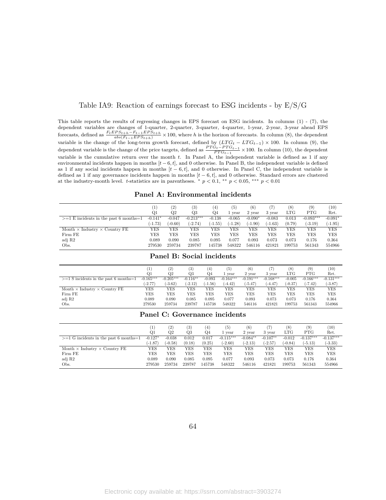### <span id="page-63-0"></span>Table IA9: Reaction of earnings forecast to ESG incidents - by E/S/G

This table reports the results of regressing changes in EPS forecast on ESG incidents. In columns (1) - (7), the dependent variables are changes of 1-quarter, 2-quarter, 3-quarter, 4-quarter, 1-year, 2-year, 3-year ahead EPS forecasts, defined as  $\frac{F_t EPS_{t+h} - F_{t-1} EPS_{t+h}}{abs(F_{t-1} EPS_{t+h})} \times 100$ , where h is the horizon of forecasts. In column (8), the dependent variable is the change of the long-term growth forecast, defined by  $(LTG_t - LTG_{t-1}) \times 100$ . In column (9), the dependent variable is the change of the price targets, defined as  $\frac{PTG_t - PTG_{t-1}}{PTG_{t-1}} \times 100$ . In column (10), the dependent variable is the cumulative return over the month *t*. In Panel A, the independent variable is defined as 1 if any environmental incidents happen in months [*t −* 6*, t*], and 0 otherwise. In Panel B, the independent variable is defined as 1 if any social incidents happen in months [*t −* 6*, t*], and 0 otherwise. In Panel C, the independent variable is defined as 1 if any governance incidents happen in months [*t −* 6*, t*], and 0 otherwise. Standard errors are clustered at the industry-month level. *t*-statistics are in parentheses.  $*$   $p < 0.1$ ,  $**$   $p < 0.05$ ,  $***$   $p < 0.01$ 

#### **Panel A: Environmental incidents**

|                                             |           | $\left( 2\right)$ | $\left( 3\right)$ | 4)        | $\left(5\right)$ | (6)       |           | (8)    | (9)         | (10)       |
|---------------------------------------------|-----------|-------------------|-------------------|-----------|------------------|-----------|-----------|--------|-------------|------------|
|                                             | Q1        | $_{\rm Q2}$       | Q3                | Q4        | vear             | 2 year    | 3 year    | LTG    | <b>PTG</b>  | Ret.       |
| $>=1 E$ incidents in the past 6 months=1    | $-0.141*$ | $-0.047$          | $-0.213***$       | $-0.138$  | $-0.065$         | $-0.090*$ | $-0.083$  | 0.013  | $-0.093***$ | $-0.091*$  |
|                                             | $(-1.73)$ | $(-0.60)$         | $(-2.74)$         | $(-1.55)$ | $(-1.28)$        | $(-1.90)$ | $(-1.63)$ | (0.79) | $(-3.19)$   | $(-1.95)$  |
| Month $\times$ Industry $\times$ Country FE | YES       | YES               | YES               | YES       | YES              | YES       | YES       | YES    | YES         | YES        |
| Firm FE                                     | YES       | YES               | YES               | YES       | YES              | YES       | YES       | YES    | YES         | <b>YES</b> |
| adj R2                                      | 0.089     | 0.090             | 0.085             | 0.095     | 0.077            | 0.093     | 0.073     | 0.073  | 0.176       | 0.364      |
| Obs.                                        | 279530    | 259734            | 239787            | 145738    | 548322           | 546116    | 421821    | 199753 | 561343      | 554966     |

|                                             |             | (2)         | (3)        | (4)       | (5          | $\left( 6\right)$ |             | (8)          | (9)         | (10)        |
|---------------------------------------------|-------------|-------------|------------|-----------|-------------|-------------------|-------------|--------------|-------------|-------------|
|                                             | Q1          | Q2          | Q3         | Q4        | year        | 2 year            | 3 year      | $_{\rm LTG}$ | <b>PTG</b>  | Ret.        |
| $>=1$ S incidents in the past 6 months=1    | $-0.165***$ | $-0.205***$ | $-0.116**$ | $-0.093$  | $-0.164***$ | $-0.191***$       | $-0.168***$ | $-0.005$     | $-0.166***$ | $-0.131***$ |
|                                             | $(-2.77)$   | $(-3.62)$   | $(-2.12)$  | $(-1.56)$ | $(-4.42)$   | $(-5.47)$         | $(-4.47)$   | $-0.37$      | $(-7.42)$   | $(-3.87)$   |
| Month $\times$ Industry $\times$ Country FE | YES         | YES         | YES        | YES       | YES         | YES               | YES         | YES          | YES         | YES         |
| Firm FE                                     | YES         | YES         | YES        | YES       | YES         | YES               | YES         | YES          | <b>YES</b>  | YES         |
| adj R2                                      | 0.089       | 0.090       | 0.085      | 0.095     | 0.077       | 0.093             | 0.073       | 0.073        | 0.176       | 0.364       |
| Obs.                                        | 279530      | 259734      | 239787     | 145738    | 548322      | 546116            | 421821      | 199753       | 561343      | 554966      |

#### **Panel B: Social incidents**

#### **Panel C: Governance incidents**

|                                             | (1)       | (2)       | $\left( 3\right)$ | $\left(4\right)$ | (5)         | (6)        |            | (8)          | (9)         | (10)        |
|---------------------------------------------|-----------|-----------|-------------------|------------------|-------------|------------|------------|--------------|-------------|-------------|
|                                             | Q1        | Q2        | Q3                | Q4               | vear        | 2 year     | 3 vear     | $_{\rm LTG}$ | <b>PTG</b>  | Ret.        |
| $>=1$ G incidents in the past 6 months = 1  | $-0.127*$ | $-0.038$  | 0.012             | 0.017            | $-0.115***$ | $-0.084**$ | $-0.107**$ | $-0.012$     | $-0.137***$ | $-0.137***$ |
|                                             | (-1.87    | $(-0.58)$ | (0.18)            | (0.25)           | $(-2.60)$   | $(-2.13)$  | $(-2.57)$  | $(-0.84)$    | $(-5.13)$   | $(-3.33)$   |
| Month $\times$ Industry $\times$ Country FE | YES       | YES       | YES               | YES              | YES         | YES        | YES        | YES          | YES         | YES         |
| Firm FE                                     | YES       | YES       | YES               | YES              | YES         | YES        | YES        | YES          | YES         | YES         |
| adj R2                                      | 0.089     | 0.090     | 0.085             | 0.095            | 0.077       | 0.093      | 0.073      | 0.073        | 0.176       | 0.364       |
| Obs.                                        | 279530    | 259734    | 239787            | 145738           | 548322      | 546116     | 421821     | 199753       | 561343      | 554966      |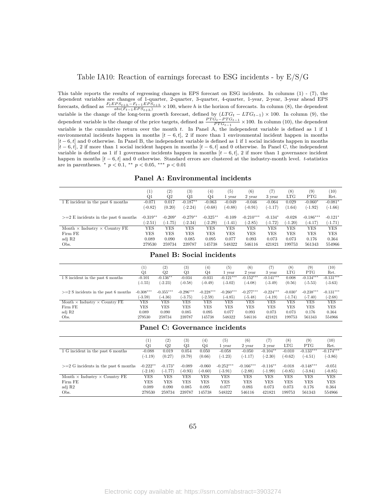## <span id="page-64-0"></span>Table IA10: Reaction of earnings forecast to ESG incidents - by E/S/G

This table reports the results of regressing changes in EPS forecast on ESG incidents. In columns (1) - (7), the dependent variables are changes of 1-quarter, 2-quarter, 3-quarter, 4-quarter, 1-year, 2-year, 3-year ahead EPS forecasts, defined as  $\frac{F_t EPS_{t+h} - F_{t-1} EPS_{t+h}}{abs(F_{t-1} EPS_{t+h})} \times 100$ , where h is the horizon of forecasts. In column (8), the dependent variable is the change of the long-term growth forecast, defined by  $(LTG_t - LTG_{t-1}) \times 100$ . In column (9), the dependent variable is the change of the price targets, defined as  $\frac{PTG_t - PTG_{t-1}}{PTG_{t-1}} \times 100$ . In column (10), the dependent variable is the cumulative return over the month *t*. In Panel A, the independent variable is defined as 1 if 1 environmental incidents happen in months [*t −* 6*, t*], 2 if more than 1 environmental incident happen in months [*t −* 6*, t*] and 0 otherwise. In Panel B, the independent variable is defined as 1 if 1 social incidents happen in months [*t −* 6*, t*], 2 if more than 1 social incident happen in months [*t −* 6*, t*] and 0 otherwise. In Panel C, the independent variable is defined as 1 if 1 governance incidents happen in months  $[t - 6, t]$ , 2 if more than 1 governance incident happen in months [*t −* 6*, t*] and 0 otherwise. Standard errors are clustered at the industry-month level. *t*-statistics are in parentheses. *∗ p <* 0*.*1, *∗∗ p <* 0*.*05, *∗∗∗ p <* 0*.*01

| Panel A: Environmental incidents |  |
|----------------------------------|--|
|----------------------------------|--|

|                                             | I,         | $\scriptstyle{(2)}$ | (3)        | $\left( 4\right)$ | (5)       | (6)         | (7)       | (8)       | (9)         | (10)       |
|---------------------------------------------|------------|---------------------|------------|-------------------|-----------|-------------|-----------|-----------|-------------|------------|
|                                             | Q1         | $_{\rm Q2}$         | Q3         | Q4                | 1 vear    | 2 year      | 3 year    | LTG       | <b>PTG</b>  | Ret.       |
| 1 E incident in the past 6 months           | $-0.071$   | 0.017               | $-0.187**$ | $-0.063$          | $-0.049$  | $-0.046$    | $-0.064$  | 0.029     | $-0.060*$   | $-0.081*$  |
|                                             | $(-0.82)$  | (0.20)              | $(-2.24)$  | $(-0.68)$         | $(-0.88)$ | $(-0.91)$   | $(-1.17)$ | (1.64)    | $(-1.92)$   | $(-1.66)$  |
| $>=2 E$ incidents in the past 6 months      | $-0.319**$ | $-0.209*$           | $-0.279**$ | $-0.325**$        | $-0.109$  | $-0.210***$ | $-0.134*$ | $-0.028$  | $-0.186***$ | $-0.121*$  |
|                                             | $(-2.51)$  | $(-1.75)$           | $(-2.34)$  | $(-2.29)$         | $(-1.41)$ | $-2.85$     | $(-1.72)$ | $(-1.20)$ | $(-4.17)$   | $(-1.71)$  |
| Month $\times$ Industry $\times$ Country FE | YES        | YES                 | YES        | YES               | YES       | YES         | YES       | YES       | YES         | <b>YES</b> |
| Firm FE                                     | YES        | YES                 | YES        | YES               | YES       | YES         | YES       | YES       | YES         | <b>YES</b> |
| adj R2                                      | 0.089      | 0.090               | 0.085      | 0.095             | 0.077     | 0.093       | 0.073     | 0.073     | 0.176       | 0.364      |
| Obs.                                        | 279530     | 259734              | 239787     | 145738            | 548322    | 546116      | 421821    | 199753    | 561343      | 554966     |

#### **Panel B: Social incidents**

|                                             | $_{(1)}$    | (2)         | (3)         | $\left(4\right)$ | (5)         | (6)         |             | (8)        | (9)         | (10)        |
|---------------------------------------------|-------------|-------------|-------------|------------------|-------------|-------------|-------------|------------|-------------|-------------|
|                                             | Q1          | $_{\rm Q2}$ | Q3          | Q4               | l vear      | 2 year      | 3 year      | <b>LTG</b> | <b>PTG</b>  | Ret.        |
| 1 S incident in the past 6 months           | $-0.101$    | $-0.136**$  | $-0.034$    | $-0.031$         | $-0.121***$ | $-0.152***$ | $-0.141***$ | 0.008      | $-0.134***$ | $-0.131***$ |
|                                             | $(-1.55)$   | $(-2.23)$   | $(-0.58)$   | $(-0.49)$        | $(-3.02)$   | $(-4.08)$   | $(-3.49)$   | (0.56)     | $(-5.53)$   | $(-3.63)$   |
|                                             |             |             |             |                  |             |             |             |            |             |             |
| $>=2$ S incidents in the past 6 months      | $-0.308***$ | $-0.355***$ | $-0.296***$ | $-0.228***$      | $-0.260***$ | $-0.277***$ | $-0.224***$ | $-0.030*$  | $-0.238***$ | $-0.131***$ |
|                                             | $(-3.59)$   | $(-4.36)$   | $(-3.75)$   | $(-2.59)$        | $(-4.85)$   | $(-5.48)$   | $(-4.19)$   | $(-1.74)$  | $(-7.40)$   | $(-2.68)$   |
| Month $\times$ Industry $\times$ Country FE | YES         | YES         | YES         | YES              | YES         | YES         | <b>YES</b>  | YES        | YES         | YES         |
| Firm FE                                     | YES         | YES         | YES         | YES              | YES         | <b>YES</b>  | <b>YES</b>  | YES        | YES         | <b>YES</b>  |
| adj R2                                      | 0.089       | 0.090       | 0.085       | 0.095            | 0.077       | 0.093       | 0.073       | 0.073      | 0.176       | 0.364       |
| Obs.                                        | 279530      | 259734      | 239787      | 145738           | 548322      | 546116      | 421821      | 199753     | 561343      | 554966      |

#### **Panel C: Governance incidents**

|                                             | $\left(1\right)$<br>Q1 | (2)<br>$_{\rm Q2}$ | $\left( 3\right)$<br>Q3 | $^{(4)}$<br>Q4 | (5)<br>1 vear | (6)<br>2 year | 7)<br>3 year | (8)<br><b>LTG</b> | (9)<br><b>PTG</b> | (10)<br>Ret. |
|---------------------------------------------|------------------------|--------------------|-------------------------|----------------|---------------|---------------|--------------|-------------------|-------------------|--------------|
| 1 G incident in the past 6 months           | $-0.088$               | 0.019              | 0.054                   | 0.050          | $-0.058$      | $-0.050$      | $-0.104**$   | $-0.010$          | $-0.133***$       | $-0.174***$  |
|                                             | $(-1.19)$              | (0.27)             | (0.79)                  | (0.66)         | $(-1.23)$     | $(-1.17)$     | $(-2.30)$    | $(-0.62)$         | $(-4.51)$         | $(-3.86)$    |
| $>=2$ G incidents in the past 6 months      | $-0.222**$             | $-0.173*$          | $-0.089$                | $-0.060$       | $-0.252***$   | $-0.166***$   | $-0.116**$   | $-0.018$          | $-0.148***$       | $-0.051$     |
|                                             | $(-2.18)$              | $(-1.77)$          | $(-0.93)$               | $(-0.60)$      | $(-3.91)$     | $(-2.88)$     | $(-1.99)$    | $(-0.85)$         | $(-3.84)$         | $(-0.85)$    |
| Month $\times$ Industry $\times$ Country FE | YES                    | YES                | YES                     | YES            | <b>YES</b>    | YES           | YES          | YES               | YES               | YES          |
| Firm FE                                     | YES                    | YES                | YES                     | YES            | <b>YES</b>    | YES           | YES          | YES               | YES               | <b>YES</b>   |
| adj R2                                      | 0.089                  | 0.090              | 0.085                   | 0.095          | 0.077         | 0.093         | 0.073        | 0.073             | 0.176             | 0.364        |
| Obs.                                        | 279530                 | 259734             | 239787                  | 145738         | 548322        | 546116        | 421821       | 199753            | 561343            | 554966       |